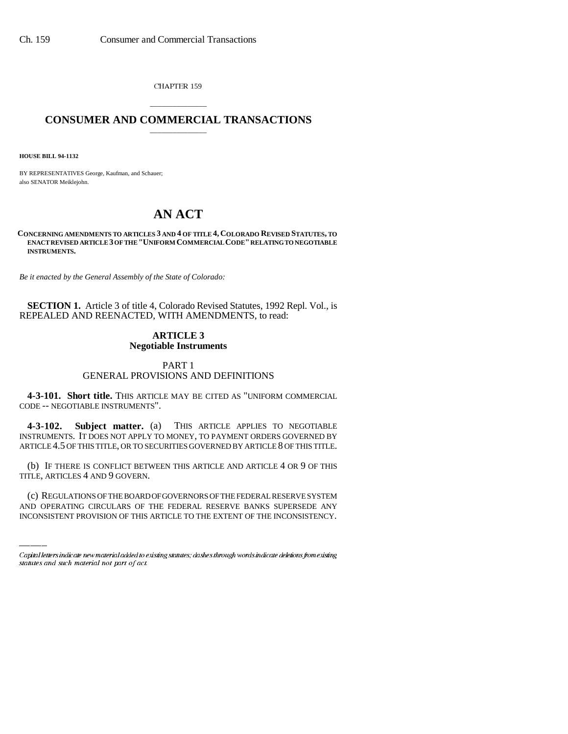CHAPTER 159

# \_\_\_\_\_\_\_\_\_\_\_\_\_\_\_ **CONSUMER AND COMMERCIAL TRANSACTIONS** \_\_\_\_\_\_\_\_\_\_\_\_\_\_\_

**HOUSE BILL 94-1132**

BY REPRESENTATIVES George, Kaufman, and Schauer; also SENATOR Meiklejohn.

# **AN ACT**

**CONCERNING AMENDMENTS TO ARTICLES 3 AND 4 OF TITLE 4, COLORADO REVISED STATUTES, TO ENACT REVISED ARTICLE 3 OF THE "UNIFORM COMMERCIAL CODE" RELATING TO NEGOTIABLE INSTRUMENTS.**

*Be it enacted by the General Assembly of the State of Colorado:*

**SECTION 1.** Article 3 of title 4, Colorado Revised Statutes, 1992 Repl. Vol., is REPEALED AND REENACTED, WITH AMENDMENTS, to read:

## **ARTICLE 3 Negotiable Instruments**

## PART 1 GENERAL PROVISIONS AND DEFINITIONS

**4-3-101. Short title.** THIS ARTICLE MAY BE CITED AS "UNIFORM COMMERCIAL CODE -- NEGOTIABLE INSTRUMENTS".

**4-3-102. Subject matter.** (a) THIS ARTICLE APPLIES TO NEGOTIABLE INSTRUMENTS. IT DOES NOT APPLY TO MONEY, TO PAYMENT ORDERS GOVERNED BY ARTICLE 4.5 OF THIS TITLE, OR TO SECURITIES GOVERNED BY ARTICLE 8 OF THIS TITLE.

TITLE, ARTICLES 4 AND 9 GOVERN. (b) IF THERE IS CONFLICT BETWEEN THIS ARTICLE AND ARTICLE 4 OR 9 OF THIS

(c) REGULATIONS OF THE BOARD OF GOVERNORS OF THE FEDERAL RESERVE SYSTEM AND OPERATING CIRCULARS OF THE FEDERAL RESERVE BANKS SUPERSEDE ANY INCONSISTENT PROVISION OF THIS ARTICLE TO THE EXTENT OF THE INCONSISTENCY.

Capital letters indicate new material added to existing statutes; dashes through words indicate deletions from existing statutes and such material not part of act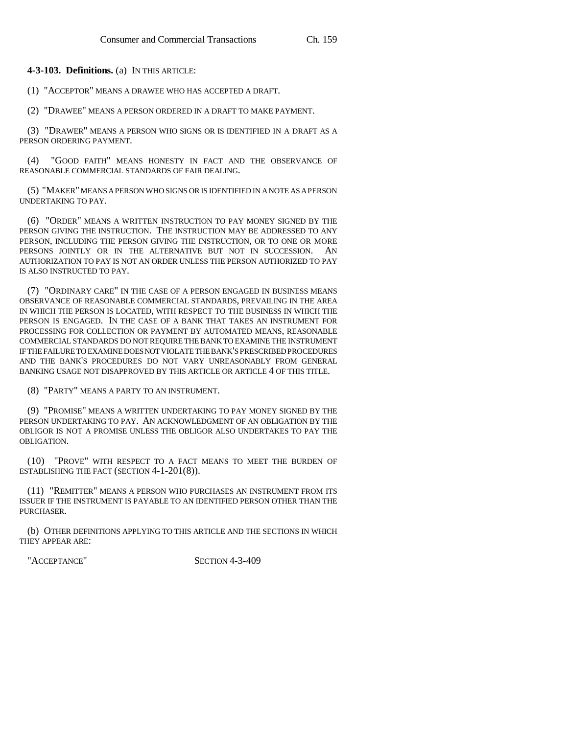## **4-3-103. Definitions.** (a) IN THIS ARTICLE:

(1) "ACCEPTOR" MEANS A DRAWEE WHO HAS ACCEPTED A DRAFT.

(2) "DRAWEE" MEANS A PERSON ORDERED IN A DRAFT TO MAKE PAYMENT.

(3) "DRAWER" MEANS A PERSON WHO SIGNS OR IS IDENTIFIED IN A DRAFT AS A PERSON ORDERING PAYMENT.

(4) "GOOD FAITH" MEANS HONESTY IN FACT AND THE OBSERVANCE OF REASONABLE COMMERCIAL STANDARDS OF FAIR DEALING.

(5) "MAKER" MEANS A PERSON WHO SIGNS OR IS IDENTIFIED IN A NOTE AS A PERSON UNDERTAKING TO PAY.

(6) "ORDER" MEANS A WRITTEN INSTRUCTION TO PAY MONEY SIGNED BY THE PERSON GIVING THE INSTRUCTION. THE INSTRUCTION MAY BE ADDRESSED TO ANY PERSON, INCLUDING THE PERSON GIVING THE INSTRUCTION, OR TO ONE OR MORE PERSONS JOINTLY OR IN THE ALTERNATIVE BUT NOT IN SUCCESSION. AN AUTHORIZATION TO PAY IS NOT AN ORDER UNLESS THE PERSON AUTHORIZED TO PAY IS ALSO INSTRUCTED TO PAY.

(7) "ORDINARY CARE" IN THE CASE OF A PERSON ENGAGED IN BUSINESS MEANS OBSERVANCE OF REASONABLE COMMERCIAL STANDARDS, PREVAILING IN THE AREA IN WHICH THE PERSON IS LOCATED, WITH RESPECT TO THE BUSINESS IN WHICH THE PERSON IS ENGAGED. IN THE CASE OF A BANK THAT TAKES AN INSTRUMENT FOR PROCESSING FOR COLLECTION OR PAYMENT BY AUTOMATED MEANS, REASONABLE COMMERCIAL STANDARDS DO NOT REQUIRE THE BANK TO EXAMINE THE INSTRUMENT IF THE FAILURE TO EXAMINE DOES NOT VIOLATE THE BANK'S PRESCRIBED PROCEDURES AND THE BANK'S PROCEDURES DO NOT VARY UNREASONABLY FROM GENERAL BANKING USAGE NOT DISAPPROVED BY THIS ARTICLE OR ARTICLE 4 OF THIS TITLE.

(8) "PARTY" MEANS A PARTY TO AN INSTRUMENT.

(9) "PROMISE" MEANS A WRITTEN UNDERTAKING TO PAY MONEY SIGNED BY THE PERSON UNDERTAKING TO PAY. AN ACKNOWLEDGMENT OF AN OBLIGATION BY THE OBLIGOR IS NOT A PROMISE UNLESS THE OBLIGOR ALSO UNDERTAKES TO PAY THE OBLIGATION.

(10) "PROVE" WITH RESPECT TO A FACT MEANS TO MEET THE BURDEN OF ESTABLISHING THE FACT (SECTION 4-1-201(8)).

(11) "REMITTER" MEANS A PERSON WHO PURCHASES AN INSTRUMENT FROM ITS ISSUER IF THE INSTRUMENT IS PAYABLE TO AN IDENTIFIED PERSON OTHER THAN THE PURCHASER.

(b) OTHER DEFINITIONS APPLYING TO THIS ARTICLE AND THE SECTIONS IN WHICH THEY APPEAR ARE:

"ACCEPTANCE" SECTION 4-3-409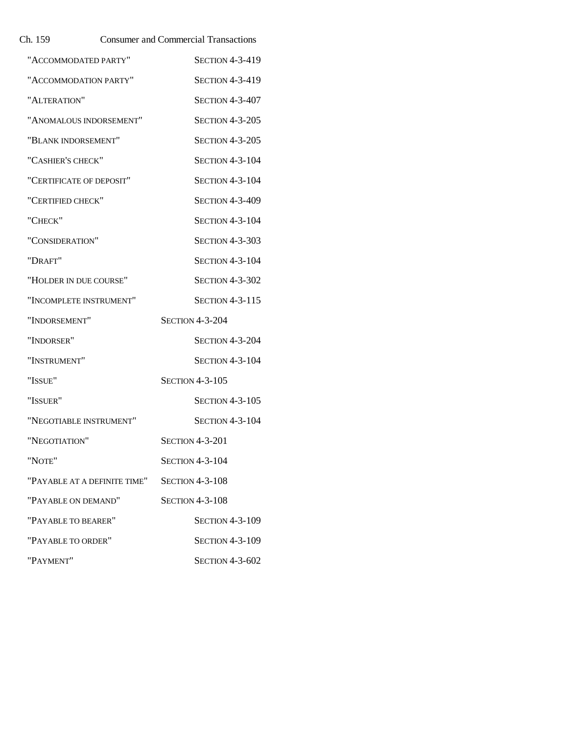| Ch. 159<br><b>Consumer and Commercial Transactions</b> |                              |                        |
|--------------------------------------------------------|------------------------------|------------------------|
| "ACCOMMODATED PARTY"                                   |                              | <b>SECTION 4-3-419</b> |
| "ACCOMMODATION PARTY"                                  |                              | <b>SECTION 4-3-419</b> |
| "ALTERATION"                                           |                              | <b>SECTION 4-3-407</b> |
| "ANOMALOUS INDORSEMENT"                                |                              | <b>SECTION 4-3-205</b> |
| "BLANK INDORSEMENT"                                    |                              | <b>SECTION 4-3-205</b> |
| "CASHIER'S CHECK"                                      |                              | <b>SECTION 4-3-104</b> |
|                                                        | "CERTIFICATE OF DEPOSIT"     | <b>SECTION 4-3-104</b> |
| "CERTIFIED CHECK"                                      |                              | <b>SECTION 4-3-409</b> |
| "CHECK"                                                |                              | <b>SECTION 4-3-104</b> |
| "CONSIDERATION"                                        |                              | <b>SECTION 4-3-303</b> |
| "DRAFT"                                                |                              | <b>SECTION 4-3-104</b> |
| "HOLDER IN DUE COURSE"                                 |                              | <b>SECTION 4-3-302</b> |
|                                                        | "INCOMPLETE INSTRUMENT"      | <b>SECTION 4-3-115</b> |
| "INDORSEMENT"                                          |                              | <b>SECTION 4-3-204</b> |
| "INDORSER"                                             |                              | <b>SECTION 4-3-204</b> |
| "INSTRUMENT"                                           |                              | <b>SECTION 4-3-104</b> |
| "ISSUE"                                                |                              | <b>SECTION 4-3-105</b> |
| "ISSUER"                                               |                              | <b>SECTION 4-3-105</b> |
|                                                        | "NEGOTIABLE INSTRUMENT"      | <b>SECTION 4-3-104</b> |
| "NEGOTIATION"                                          |                              | <b>SECTION 4-3-201</b> |
| "NOTE"                                                 |                              | <b>SECTION 4-3-104</b> |
|                                                        | "PAYABLE AT A DEFINITE TIME" | <b>SECTION 4-3-108</b> |
| "PAYABLE ON DEMAND"                                    |                              | <b>SECTION 4-3-108</b> |
| "PAYABLE TO BEARER"                                    |                              | <b>SECTION 4-3-109</b> |
| "PAYABLE TO ORDER"                                     |                              | <b>SECTION 4-3-109</b> |
| "PAYMENT"                                              |                              | <b>SECTION 4-3-602</b> |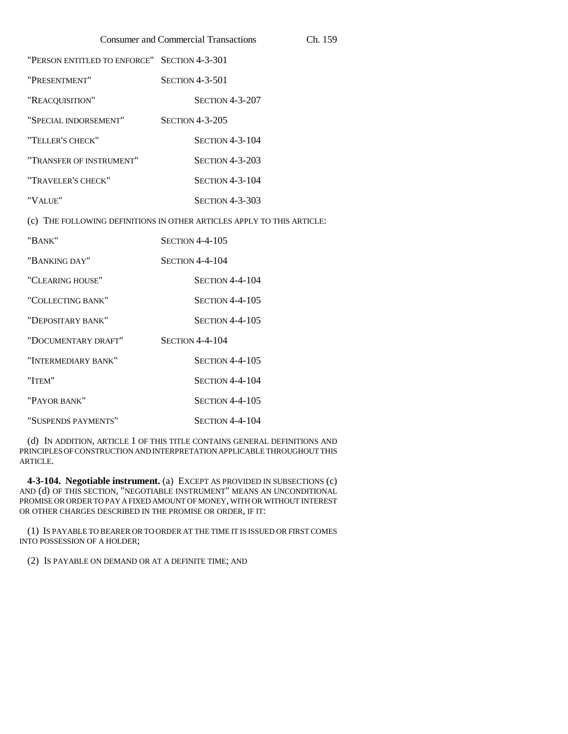| <b>Consumer and Commercial Transactions</b><br>Ch. 159 |                                                                        |  |
|--------------------------------------------------------|------------------------------------------------------------------------|--|
| "PERSON ENTITLED TO ENFORCE" SECTION 4-3-301           |                                                                        |  |
| "PRESENTMENT"                                          | <b>SECTION 4-3-501</b>                                                 |  |
| "REACQUISITION"                                        | <b>SECTION 4-3-207</b>                                                 |  |
| "SPECIAL INDORSEMENT"                                  | <b>SECTION 4-3-205</b>                                                 |  |
| "TELLER'S CHECK"                                       | <b>SECTION 4-3-104</b>                                                 |  |
| "TRANSFER OF INSTRUMENT"                               | <b>SECTION 4-3-203</b>                                                 |  |
| "TRAVELER'S CHECK"                                     | <b>SECTION 4-3-104</b>                                                 |  |
| "VALUE"                                                | <b>SECTION 4-3-303</b>                                                 |  |
|                                                        | (c) THE FOLLOWING DEFINITIONS IN OTHER ARTICLES APPLY TO THIS ARTICLE: |  |
| "BANK"                                                 | <b>SECTION 4-4-105</b>                                                 |  |
| "BANKING DAY"                                          | <b>SECTION 4-4-104</b>                                                 |  |
| "CLEARING HOUSE"                                       | <b>SECTION 4-4-104</b>                                                 |  |
| "COLLECTING BANK"                                      | <b>SECTION 4-4-105</b>                                                 |  |
| "DEPOSITARY BANK"                                      | <b>SECTION 4-4-105</b>                                                 |  |
| "DOCUMENTARY DRAFT"                                    | <b>SECTION 4-4-104</b>                                                 |  |
| "INTERMEDIARY BANK"                                    | <b>SECTION 4-4-105</b>                                                 |  |
| "ITEM"                                                 | <b>SECTION 4-4-104</b>                                                 |  |
| "PAYOR BANK"                                           | <b>SECTION 4-4-105</b>                                                 |  |
| "SUSPENDS PAYMENTS"                                    | <b>SECTION 4-4-104</b>                                                 |  |

(d) IN ADDITION, ARTICLE 1 OF THIS TITLE CONTAINS GENERAL DEFINITIONS AND PRINCIPLES OF CONSTRUCTION AND INTERPRETATION APPLICABLE THROUGHOUT THIS ARTICLE.

**4-3-104. Negotiable instrument.** (a) EXCEPT AS PROVIDED IN SUBSECTIONS (c) AND (d) OF THIS SECTION, "NEGOTIABLE INSTRUMENT" MEANS AN UNCONDITIONAL PROMISE OR ORDER TO PAY A FIXED AMOUNT OF MONEY, WITH OR WITHOUT INTEREST OR OTHER CHARGES DESCRIBED IN THE PROMISE OR ORDER, IF IT:

(1) IS PAYABLE TO BEARER OR TO ORDER AT THE TIME IT IS ISSUED OR FIRST COMES INTO POSSESSION OF A HOLDER;

(2) IS PAYABLE ON DEMAND OR AT A DEFINITE TIME; AND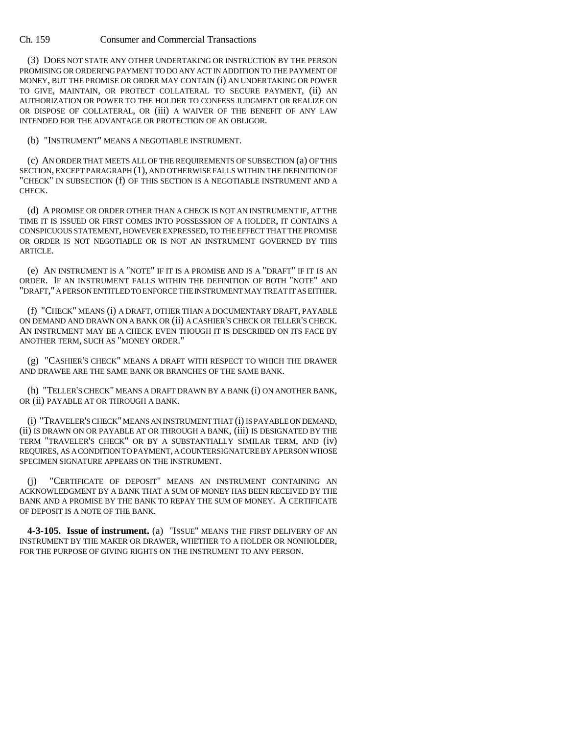(3) DOES NOT STATE ANY OTHER UNDERTAKING OR INSTRUCTION BY THE PERSON PROMISING OR ORDERING PAYMENT TO DO ANY ACT IN ADDITION TO THE PAYMENT OF MONEY, BUT THE PROMISE OR ORDER MAY CONTAIN (i) AN UNDERTAKING OR POWER TO GIVE, MAINTAIN, OR PROTECT COLLATERAL TO SECURE PAYMENT, (ii) AN AUTHORIZATION OR POWER TO THE HOLDER TO CONFESS JUDGMENT OR REALIZE ON OR DISPOSE OF COLLATERAL, OR (iii) A WAIVER OF THE BENEFIT OF ANY LAW INTENDED FOR THE ADVANTAGE OR PROTECTION OF AN OBLIGOR.

(b) "INSTRUMENT" MEANS A NEGOTIABLE INSTRUMENT.

(c) AN ORDER THAT MEETS ALL OF THE REQUIREMENTS OF SUBSECTION (a) OF THIS SECTION, EXCEPT PARAGRAPH (1), AND OTHERWISE FALLS WITHIN THE DEFINITION OF "CHECK" IN SUBSECTION (f) OF THIS SECTION IS A NEGOTIABLE INSTRUMENT AND A CHECK.

(d) A PROMISE OR ORDER OTHER THAN A CHECK IS NOT AN INSTRUMENT IF, AT THE TIME IT IS ISSUED OR FIRST COMES INTO POSSESSION OF A HOLDER, IT CONTAINS A CONSPICUOUS STATEMENT, HOWEVER EXPRESSED, TO THE EFFECT THAT THE PROMISE OR ORDER IS NOT NEGOTIABLE OR IS NOT AN INSTRUMENT GOVERNED BY THIS ARTICLE.

(e) AN INSTRUMENT IS A "NOTE" IF IT IS A PROMISE AND IS A "DRAFT" IF IT IS AN ORDER. IF AN INSTRUMENT FALLS WITHIN THE DEFINITION OF BOTH "NOTE" AND "DRAFT," A PERSON ENTITLED TO ENFORCE THE INSTRUMENT MAY TREAT IT AS EITHER.

(f) "CHECK" MEANS (i) A DRAFT, OTHER THAN A DOCUMENTARY DRAFT, PAYABLE ON DEMAND AND DRAWN ON A BANK OR (ii) A CASHIER'S CHECK OR TELLER'S CHECK. AN INSTRUMENT MAY BE A CHECK EVEN THOUGH IT IS DESCRIBED ON ITS FACE BY ANOTHER TERM, SUCH AS "MONEY ORDER."

(g) "CASHIER'S CHECK" MEANS A DRAFT WITH RESPECT TO WHICH THE DRAWER AND DRAWEE ARE THE SAME BANK OR BRANCHES OF THE SAME BANK.

(h) "TELLER'S CHECK" MEANS A DRAFT DRAWN BY A BANK (i) ON ANOTHER BANK, OR (ii) PAYABLE AT OR THROUGH A BANK.

(i) "TRAVELER'S CHECK" MEANS AN INSTRUMENT THAT (i) IS PAYABLE ON DEMAND, (ii) IS DRAWN ON OR PAYABLE AT OR THROUGH A BANK, (iii) IS DESIGNATED BY THE TERM "TRAVELER'S CHECK" OR BY A SUBSTANTIALLY SIMILAR TERM, AND (iv) REQUIRES, AS A CONDITION TO PAYMENT, A COUNTERSIGNATURE BY A PERSON WHOSE SPECIMEN SIGNATURE APPEARS ON THE INSTRUMENT.

(j) "CERTIFICATE OF DEPOSIT" MEANS AN INSTRUMENT CONTAINING AN ACKNOWLEDGMENT BY A BANK THAT A SUM OF MONEY HAS BEEN RECEIVED BY THE BANK AND A PROMISE BY THE BANK TO REPAY THE SUM OF MONEY. A CERTIFICATE OF DEPOSIT IS A NOTE OF THE BANK.

**4-3-105. Issue of instrument.** (a) "ISSUE" MEANS THE FIRST DELIVERY OF AN INSTRUMENT BY THE MAKER OR DRAWER, WHETHER TO A HOLDER OR NONHOLDER, FOR THE PURPOSE OF GIVING RIGHTS ON THE INSTRUMENT TO ANY PERSON.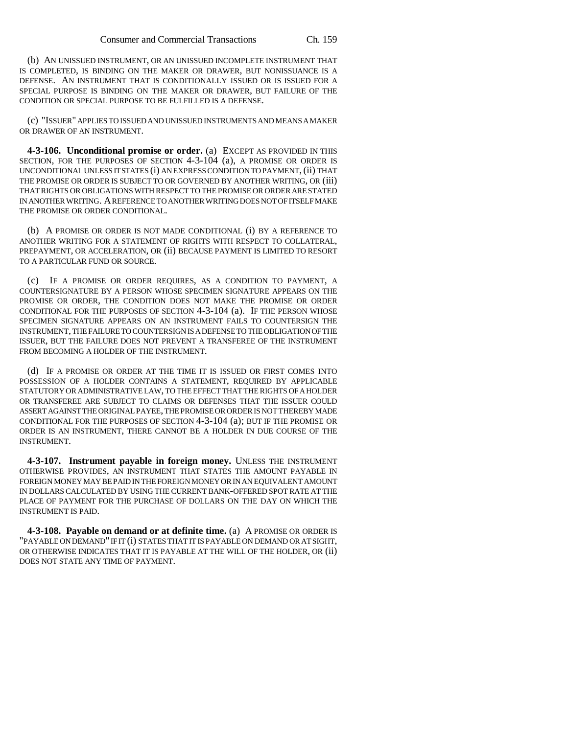(b) AN UNISSUED INSTRUMENT, OR AN UNISSUED INCOMPLETE INSTRUMENT THAT IS COMPLETED, IS BINDING ON THE MAKER OR DRAWER, BUT NONISSUANCE IS A DEFENSE. AN INSTRUMENT THAT IS CONDITIONALLY ISSUED OR IS ISSUED FOR A SPECIAL PURPOSE IS BINDING ON THE MAKER OR DRAWER, BUT FAILURE OF THE CONDITION OR SPECIAL PURPOSE TO BE FULFILLED IS A DEFENSE.

(c) "ISSUER" APPLIES TO ISSUED AND UNISSUED INSTRUMENTS AND MEANS A MAKER OR DRAWER OF AN INSTRUMENT.

**4-3-106. Unconditional promise or order.** (a) EXCEPT AS PROVIDED IN THIS SECTION, FOR THE PURPOSES OF SECTION 4-3-104 (a), A PROMISE OR ORDER IS UNCONDITIONAL UNLESS IT STATES (i) AN EXPRESS CONDITION TO PAYMENT, (ii) THAT THE PROMISE OR ORDER IS SUBJECT TO OR GOVERNED BY ANOTHER WRITING, OR (iii) THAT RIGHTS OR OBLIGATIONS WITH RESPECT TO THE PROMISE OR ORDER ARE STATED IN ANOTHER WRITING. A REFERENCE TO ANOTHER WRITING DOES NOT OF ITSELF MAKE THE PROMISE OR ORDER CONDITIONAL.

(b) A PROMISE OR ORDER IS NOT MADE CONDITIONAL (i) BY A REFERENCE TO ANOTHER WRITING FOR A STATEMENT OF RIGHTS WITH RESPECT TO COLLATERAL, PREPAYMENT, OR ACCELERATION, OR (ii) BECAUSE PAYMENT IS LIMITED TO RESORT TO A PARTICULAR FUND OR SOURCE.

(c) IF A PROMISE OR ORDER REQUIRES, AS A CONDITION TO PAYMENT, A COUNTERSIGNATURE BY A PERSON WHOSE SPECIMEN SIGNATURE APPEARS ON THE PROMISE OR ORDER, THE CONDITION DOES NOT MAKE THE PROMISE OR ORDER CONDITIONAL FOR THE PURPOSES OF SECTION 4-3-104 (a). IF THE PERSON WHOSE SPECIMEN SIGNATURE APPEARS ON AN INSTRUMENT FAILS TO COUNTERSIGN THE INSTRUMENT, THE FAILURE TO COUNTERSIGN IS A DEFENSE TO THE OBLIGATION OF THE ISSUER, BUT THE FAILURE DOES NOT PREVENT A TRANSFEREE OF THE INSTRUMENT FROM BECOMING A HOLDER OF THE INSTRUMENT.

(d) IF A PROMISE OR ORDER AT THE TIME IT IS ISSUED OR FIRST COMES INTO POSSESSION OF A HOLDER CONTAINS A STATEMENT, REQUIRED BY APPLICABLE STATUTORY OR ADMINISTRATIVE LAW, TO THE EFFECT THAT THE RIGHTS OF A HOLDER OR TRANSFEREE ARE SUBJECT TO CLAIMS OR DEFENSES THAT THE ISSUER COULD ASSERT AGAINST THE ORIGINAL PAYEE, THE PROMISE OR ORDER IS NOT THEREBY MADE CONDITIONAL FOR THE PURPOSES OF SECTION 4-3-104 (a); BUT IF THE PROMISE OR ORDER IS AN INSTRUMENT, THERE CANNOT BE A HOLDER IN DUE COURSE OF THE INSTRUMENT.

**4-3-107. Instrument payable in foreign money.** UNLESS THE INSTRUMENT OTHERWISE PROVIDES, AN INSTRUMENT THAT STATES THE AMOUNT PAYABLE IN FOREIGN MONEY MAY BE PAID IN THE FOREIGN MONEY OR IN AN EQUIVALENT AMOUNT IN DOLLARS CALCULATED BY USING THE CURRENT BANK-OFFERED SPOT RATE AT THE PLACE OF PAYMENT FOR THE PURCHASE OF DOLLARS ON THE DAY ON WHICH THE INSTRUMENT IS PAID.

**4-3-108. Payable on demand or at definite time.** (a) A PROMISE OR ORDER IS "PAYABLE ON DEMAND" IF IT (i) STATES THAT IT IS PAYABLE ON DEMAND OR AT SIGHT, OR OTHERWISE INDICATES THAT IT IS PAYABLE AT THE WILL OF THE HOLDER, OR (ii) DOES NOT STATE ANY TIME OF PAYMENT.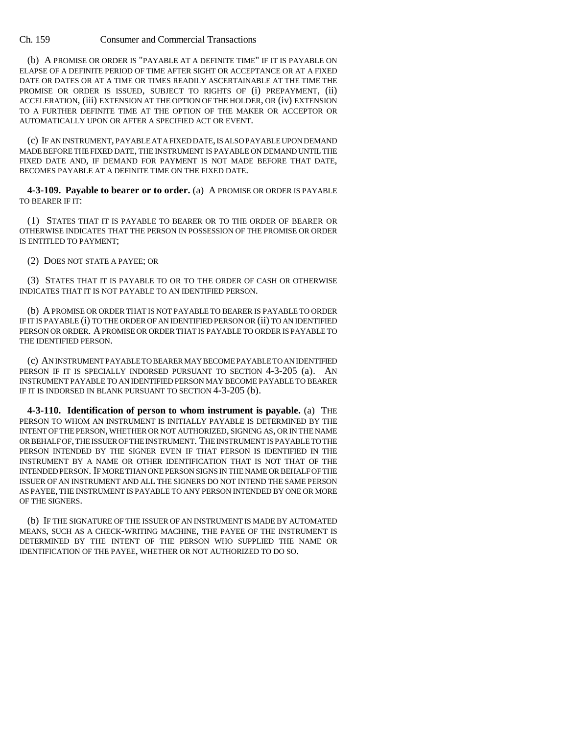(b) A PROMISE OR ORDER IS "PAYABLE AT A DEFINITE TIME" IF IT IS PAYABLE ON ELAPSE OF A DEFINITE PERIOD OF TIME AFTER SIGHT OR ACCEPTANCE OR AT A FIXED DATE OR DATES OR AT A TIME OR TIMES READILY ASCERTAINABLE AT THE TIME THE PROMISE OR ORDER IS ISSUED, SUBJECT TO RIGHTS OF (i) PREPAYMENT, (ii) ACCELERATION, (iii) EXTENSION AT THE OPTION OF THE HOLDER, OR (iv) EXTENSION TO A FURTHER DEFINITE TIME AT THE OPTION OF THE MAKER OR ACCEPTOR OR AUTOMATICALLY UPON OR AFTER A SPECIFIED ACT OR EVENT.

(c) IF AN INSTRUMENT, PAYABLE AT A FIXED DATE, IS ALSO PAYABLE UPON DEMAND MADE BEFORE THE FIXED DATE, THE INSTRUMENT IS PAYABLE ON DEMAND UNTIL THE FIXED DATE AND, IF DEMAND FOR PAYMENT IS NOT MADE BEFORE THAT DATE, BECOMES PAYABLE AT A DEFINITE TIME ON THE FIXED DATE.

**4-3-109. Payable to bearer or to order.** (a) A PROMISE OR ORDER IS PAYABLE TO BEARER IF IT:

(1) STATES THAT IT IS PAYABLE TO BEARER OR TO THE ORDER OF BEARER OR OTHERWISE INDICATES THAT THE PERSON IN POSSESSION OF THE PROMISE OR ORDER IS ENTITLED TO PAYMENT;

(2) DOES NOT STATE A PAYEE; OR

(3) STATES THAT IT IS PAYABLE TO OR TO THE ORDER OF CASH OR OTHERWISE INDICATES THAT IT IS NOT PAYABLE TO AN IDENTIFIED PERSON.

(b) A PROMISE OR ORDER THAT IS NOT PAYABLE TO BEARER IS PAYABLE TO ORDER IF IT IS PAYABLE (i) TO THE ORDER OF AN IDENTIFIED PERSON OR (ii) TO AN IDENTIFIED PERSON OR ORDER. A PROMISE OR ORDER THAT IS PAYABLE TO ORDER IS PAYABLE TO THE IDENTIFIED PERSON.

(c) AN INSTRUMENT PAYABLE TO BEARER MAY BECOME PAYABLE TO AN IDENTIFIED PERSON IF IT IS SPECIALLY INDORSED PURSUANT TO SECTION 4-3-205 (a). AN INSTRUMENT PAYABLE TO AN IDENTIFIED PERSON MAY BECOME PAYABLE TO BEARER IF IT IS INDORSED IN BLANK PURSUANT TO SECTION 4-3-205 (b).

**4-3-110. Identification of person to whom instrument is payable.** (a) THE PERSON TO WHOM AN INSTRUMENT IS INITIALLY PAYABLE IS DETERMINED BY THE INTENT OF THE PERSON, WHETHER OR NOT AUTHORIZED, SIGNING AS, OR IN THE NAME OR BEHALF OF, THE ISSUER OF THE INSTRUMENT. THE INSTRUMENT IS PAYABLE TO THE PERSON INTENDED BY THE SIGNER EVEN IF THAT PERSON IS IDENTIFIED IN THE INSTRUMENT BY A NAME OR OTHER IDENTIFICATION THAT IS NOT THAT OF THE INTENDED PERSON. IF MORE THAN ONE PERSON SIGNS IN THE NAME OR BEHALF OF THE ISSUER OF AN INSTRUMENT AND ALL THE SIGNERS DO NOT INTEND THE SAME PERSON AS PAYEE, THE INSTRUMENT IS PAYABLE TO ANY PERSON INTENDED BY ONE OR MORE OF THE SIGNERS.

(b) IF THE SIGNATURE OF THE ISSUER OF AN INSTRUMENT IS MADE BY AUTOMATED MEANS, SUCH AS A CHECK-WRITING MACHINE, THE PAYEE OF THE INSTRUMENT IS DETERMINED BY THE INTENT OF THE PERSON WHO SUPPLIED THE NAME OR IDENTIFICATION OF THE PAYEE, WHETHER OR NOT AUTHORIZED TO DO SO.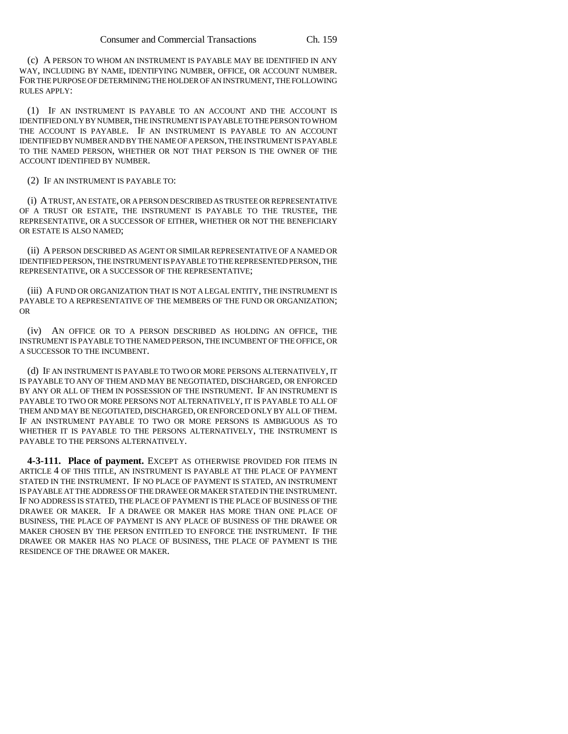(c) A PERSON TO WHOM AN INSTRUMENT IS PAYABLE MAY BE IDENTIFIED IN ANY WAY, INCLUDING BY NAME, IDENTIFYING NUMBER, OFFICE, OR ACCOUNT NUMBER. FOR THE PURPOSE OF DETERMINING THE HOLDER OF AN INSTRUMENT, THE FOLLOWING RULES APPLY:

(1) IF AN INSTRUMENT IS PAYABLE TO AN ACCOUNT AND THE ACCOUNT IS IDENTIFIED ONLY BY NUMBER, THE INSTRUMENT IS PAYABLE TO THE PERSON TO WHOM THE ACCOUNT IS PAYABLE. IF AN INSTRUMENT IS PAYABLE TO AN ACCOUNT IDENTIFIED BY NUMBER AND BY THE NAME OF A PERSON, THE INSTRUMENT IS PAYABLE TO THE NAMED PERSON, WHETHER OR NOT THAT PERSON IS THE OWNER OF THE ACCOUNT IDENTIFIED BY NUMBER.

(2) IF AN INSTRUMENT IS PAYABLE TO:

(i) A TRUST, AN ESTATE, OR A PERSON DESCRIBED AS TRUSTEE OR REPRESENTATIVE OF A TRUST OR ESTATE, THE INSTRUMENT IS PAYABLE TO THE TRUSTEE, THE REPRESENTATIVE, OR A SUCCESSOR OF EITHER, WHETHER OR NOT THE BENEFICIARY OR ESTATE IS ALSO NAMED;

(ii) A PERSON DESCRIBED AS AGENT OR SIMILAR REPRESENTATIVE OF A NAMED OR IDENTIFIED PERSON, THE INSTRUMENT IS PAYABLE TO THE REPRESENTED PERSON, THE REPRESENTATIVE, OR A SUCCESSOR OF THE REPRESENTATIVE;

(iii) A FUND OR ORGANIZATION THAT IS NOT A LEGAL ENTITY, THE INSTRUMENT IS PAYABLE TO A REPRESENTATIVE OF THE MEMBERS OF THE FUND OR ORGANIZATION; OR

(iv) AN OFFICE OR TO A PERSON DESCRIBED AS HOLDING AN OFFICE, THE INSTRUMENT IS PAYABLE TO THE NAMED PERSON, THE INCUMBENT OF THE OFFICE, OR A SUCCESSOR TO THE INCUMBENT.

(d) IF AN INSTRUMENT IS PAYABLE TO TWO OR MORE PERSONS ALTERNATIVELY, IT IS PAYABLE TO ANY OF THEM AND MAY BE NEGOTIATED, DISCHARGED, OR ENFORCED BY ANY OR ALL OF THEM IN POSSESSION OF THE INSTRUMENT. IF AN INSTRUMENT IS PAYABLE TO TWO OR MORE PERSONS NOT ALTERNATIVELY, IT IS PAYABLE TO ALL OF THEM AND MAY BE NEGOTIATED, DISCHARGED, OR ENFORCED ONLY BY ALL OF THEM. IF AN INSTRUMENT PAYABLE TO TWO OR MORE PERSONS IS AMBIGUOUS AS TO WHETHER IT IS PAYABLE TO THE PERSONS ALTERNATIVELY, THE INSTRUMENT IS PAYABLE TO THE PERSONS ALTERNATIVELY.

**4-3-111. Place of payment.** EXCEPT AS OTHERWISE PROVIDED FOR ITEMS IN ARTICLE 4 OF THIS TITLE, AN INSTRUMENT IS PAYABLE AT THE PLACE OF PAYMENT STATED IN THE INSTRUMENT. IF NO PLACE OF PAYMENT IS STATED, AN INSTRUMENT IS PAYABLE AT THE ADDRESS OF THE DRAWEE OR MAKER STATED IN THE INSTRUMENT. IF NO ADDRESS IS STATED, THE PLACE OF PAYMENT IS THE PLACE OF BUSINESS OF THE DRAWEE OR MAKER. IF A DRAWEE OR MAKER HAS MORE THAN ONE PLACE OF BUSINESS, THE PLACE OF PAYMENT IS ANY PLACE OF BUSINESS OF THE DRAWEE OR MAKER CHOSEN BY THE PERSON ENTITLED TO ENFORCE THE INSTRUMENT. IF THE DRAWEE OR MAKER HAS NO PLACE OF BUSINESS, THE PLACE OF PAYMENT IS THE RESIDENCE OF THE DRAWEE OR MAKER.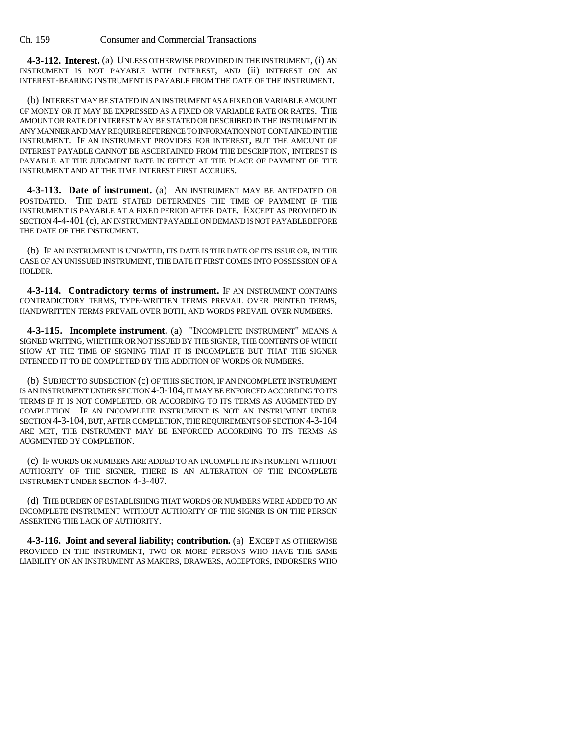**4-3-112. Interest.** (a) UNLESS OTHERWISE PROVIDED IN THE INSTRUMENT, (i) AN INSTRUMENT IS NOT PAYABLE WITH INTEREST, AND (ii) INTEREST ON AN INTEREST-BEARING INSTRUMENT IS PAYABLE FROM THE DATE OF THE INSTRUMENT.

(b) INTEREST MAY BE STATED IN AN INSTRUMENT AS A FIXED OR VARIABLE AMOUNT OF MONEY OR IT MAY BE EXPRESSED AS A FIXED OR VARIABLE RATE OR RATES. THE AMOUNT OR RATE OF INTEREST MAY BE STATED OR DESCRIBED IN THE INSTRUMENT IN ANY MANNER AND MAY REQUIRE REFERENCE TO INFORMATION NOT CONTAINED IN THE INSTRUMENT. IF AN INSTRUMENT PROVIDES FOR INTEREST, BUT THE AMOUNT OF INTEREST PAYABLE CANNOT BE ASCERTAINED FROM THE DESCRIPTION, INTEREST IS PAYABLE AT THE JUDGMENT RATE IN EFFECT AT THE PLACE OF PAYMENT OF THE INSTRUMENT AND AT THE TIME INTEREST FIRST ACCRUES.

**4-3-113. Date of instrument.** (a) AN INSTRUMENT MAY BE ANTEDATED OR POSTDATED. THE DATE STATED DETERMINES THE TIME OF PAYMENT IF THE INSTRUMENT IS PAYABLE AT A FIXED PERIOD AFTER DATE. EXCEPT AS PROVIDED IN SECTION 4-4-401 (c), AN INSTRUMENT PAYABLE ON DEMAND IS NOT PAYABLE BEFORE THE DATE OF THE INSTRUMENT.

(b) IF AN INSTRUMENT IS UNDATED, ITS DATE IS THE DATE OF ITS ISSUE OR, IN THE CASE OF AN UNISSUED INSTRUMENT, THE DATE IT FIRST COMES INTO POSSESSION OF A HOLDER.

**4-3-114. Contradictory terms of instrument.** IF AN INSTRUMENT CONTAINS CONTRADICTORY TERMS, TYPE-WRITTEN TERMS PREVAIL OVER PRINTED TERMS, HANDWRITTEN TERMS PREVAIL OVER BOTH, AND WORDS PREVAIL OVER NUMBERS.

**4-3-115. Incomplete instrument.** (a) "INCOMPLETE INSTRUMENT" MEANS A SIGNED WRITING, WHETHER OR NOT ISSUED BY THE SIGNER, THE CONTENTS OF WHICH SHOW AT THE TIME OF SIGNING THAT IT IS INCOMPLETE BUT THAT THE SIGNER INTENDED IT TO BE COMPLETED BY THE ADDITION OF WORDS OR NUMBERS.

(b) SUBJECT TO SUBSECTION (c) OF THIS SECTION, IF AN INCOMPLETE INSTRUMENT IS AN INSTRUMENT UNDER SECTION 4-3-104, IT MAY BE ENFORCED ACCORDING TO ITS TERMS IF IT IS NOT COMPLETED, OR ACCORDING TO ITS TERMS AS AUGMENTED BY COMPLETION. IF AN INCOMPLETE INSTRUMENT IS NOT AN INSTRUMENT UNDER SECTION 4-3-104, BUT, AFTER COMPLETION, THE REQUIREMENTS OF SECTION 4-3-104 ARE MET, THE INSTRUMENT MAY BE ENFORCED ACCORDING TO ITS TERMS AS AUGMENTED BY COMPLETION.

(c) IF WORDS OR NUMBERS ARE ADDED TO AN INCOMPLETE INSTRUMENT WITHOUT AUTHORITY OF THE SIGNER, THERE IS AN ALTERATION OF THE INCOMPLETE INSTRUMENT UNDER SECTION 4-3-407.

(d) THE BURDEN OF ESTABLISHING THAT WORDS OR NUMBERS WERE ADDED TO AN INCOMPLETE INSTRUMENT WITHOUT AUTHORITY OF THE SIGNER IS ON THE PERSON ASSERTING THE LACK OF AUTHORITY.

**4-3-116. Joint and several liability; contribution.** (a) EXCEPT AS OTHERWISE PROVIDED IN THE INSTRUMENT, TWO OR MORE PERSONS WHO HAVE THE SAME LIABILITY ON AN INSTRUMENT AS MAKERS, DRAWERS, ACCEPTORS, INDORSERS WHO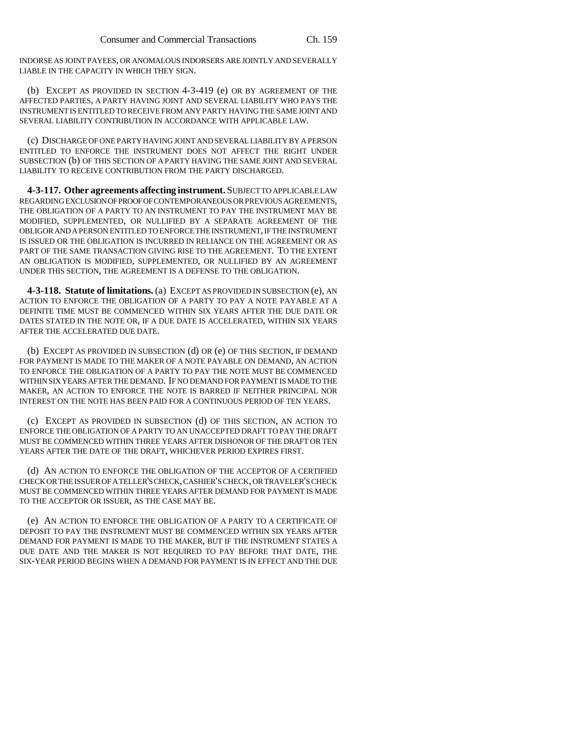INDORSE AS JOINT PAYEES, OR ANOMALOUS INDORSERS ARE JOINTLY AND SEVERALLY LIABLE IN THE CAPACITY IN WHICH THEY SIGN.

(b) EXCEPT AS PROVIDED IN SECTION 4-3-419 (e) OR BY AGREEMENT OF THE AFFECTED PARTIES, A PARTY HAVING JOINT AND SEVERAL LIABILITY WHO PAYS THE INSTRUMENT IS ENTITLED TO RECEIVE FROM ANY PARTY HAVING THE SAME JOINT AND SEVERAL LIABILITY CONTRIBUTION IN ACCORDANCE WITH APPLICABLE LAW.

(c) DISCHARGE OF ONE PARTY HAVING JOINT AND SEVERAL LIABILITY BY A PERSON ENTITLED TO ENFORCE THE INSTRUMENT DOES NOT AFFECT THE RIGHT UNDER SUBSECTION (b) OF THIS SECTION OF A PARTY HAVING THE SAME JOINT AND SEVERAL LIABILITY TO RECEIVE CONTRIBUTION FROM THE PARTY DISCHARGED.

**4-3-117. Other agreements affecting instrument.** SUBJECT TO APPLICABLE LAW REGARDING EXCLUSION OF PROOF OF CONTEMPORANEOUS OR PREVIOUS AGREEMENTS, THE OBLIGATION OF A PARTY TO AN INSTRUMENT TO PAY THE INSTRUMENT MAY BE MODIFIED, SUPPLEMENTED, OR NULLIFIED BY A SEPARATE AGREEMENT OF THE OBLIGOR AND A PERSON ENTITLED TO ENFORCE THE INSTRUMENT, IF THE INSTRUMENT IS ISSUED OR THE OBLIGATION IS INCURRED IN RELIANCE ON THE AGREEMENT OR AS PART OF THE SAME TRANSACTION GIVING RISE TO THE AGREEMENT. TO THE EXTENT AN OBLIGATION IS MODIFIED, SUPPLEMENTED, OR NULLIFIED BY AN AGREEMENT UNDER THIS SECTION, THE AGREEMENT IS A DEFENSE TO THE OBLIGATION.

**4-3-118. Statute of limitations.** (a) EXCEPT AS PROVIDED IN SUBSECTION (e), AN ACTION TO ENFORCE THE OBLIGATION OF A PARTY TO PAY A NOTE PAYABLE AT A DEFINITE TIME MUST BE COMMENCED WITHIN SIX YEARS AFTER THE DUE DATE OR DATES STATED IN THE NOTE OR, IF A DUE DATE IS ACCELERATED, WITHIN SIX YEARS AFTER THE ACCELERATED DUE DATE.

(b) EXCEPT AS PROVIDED IN SUBSECTION (d) OR (e) OF THIS SECTION, IF DEMAND FOR PAYMENT IS MADE TO THE MAKER OF A NOTE PAYABLE ON DEMAND, AN ACTION TO ENFORCE THE OBLIGATION OF A PARTY TO PAY THE NOTE MUST BE COMMENCED WITHIN SIX YEARS AFTER THE DEMAND. IF NO DEMAND FOR PAYMENT IS MADE TO THE MAKER, AN ACTION TO ENFORCE THE NOTE IS BARRED IF NEITHER PRINCIPAL NOR INTEREST ON THE NOTE HAS BEEN PAID FOR A CONTINUOUS PERIOD OF TEN YEARS.

(c) EXCEPT AS PROVIDED IN SUBSECTION (d) OF THIS SECTION, AN ACTION TO ENFORCE THE OBLIGATION OF A PARTY TO AN UNACCEPTED DRAFT TO PAY THE DRAFT MUST BE COMMENCED WITHIN THREE YEARS AFTER DISHONOR OF THE DRAFT OR TEN YEARS AFTER THE DATE OF THE DRAFT, WHICHEVER PERIOD EXPIRES FIRST.

(d) AN ACTION TO ENFORCE THE OBLIGATION OF THE ACCEPTOR OF A CERTIFIED CHECK OR THE ISSUER OF A TELLER'S CHECK, CASHIER'S CHECK, OR TRAVELER'S CHECK MUST BE COMMENCED WITHIN THREE YEARS AFTER DEMAND FOR PAYMENT IS MADE TO THE ACCEPTOR OR ISSUER, AS THE CASE MAY BE.

(e) AN ACTION TO ENFORCE THE OBLIGATION OF A PARTY TO A CERTIFICATE OF DEPOSIT TO PAY THE INSTRUMENT MUST BE COMMENCED WITHIN SIX YEARS AFTER DEMAND FOR PAYMENT IS MADE TO THE MAKER, BUT IF THE INSTRUMENT STATES A DUE DATE AND THE MAKER IS NOT REQUIRED TO PAY BEFORE THAT DATE, THE SIX-YEAR PERIOD BEGINS WHEN A DEMAND FOR PAYMENT IS IN EFFECT AND THE DUE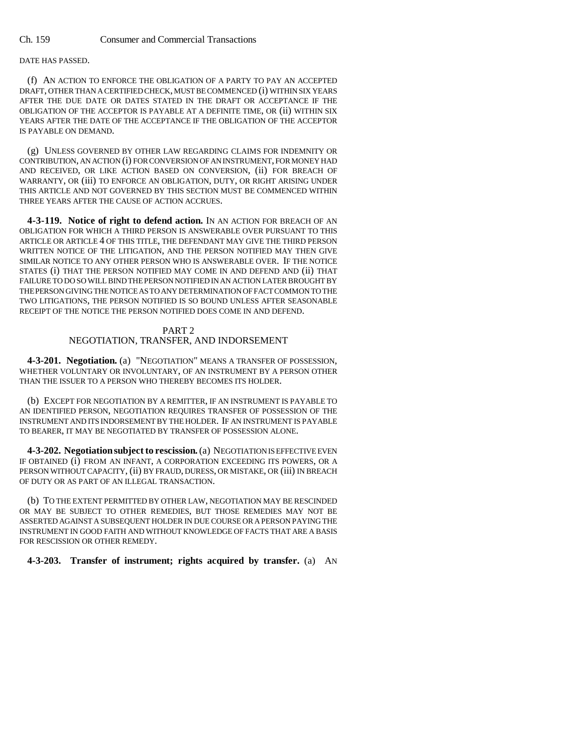DATE HAS PASSED.

(f) AN ACTION TO ENFORCE THE OBLIGATION OF A PARTY TO PAY AN ACCEPTED DRAFT, OTHER THAN A CERTIFIED CHECK, MUST BE COMMENCED (i) WITHIN SIX YEARS AFTER THE DUE DATE OR DATES STATED IN THE DRAFT OR ACCEPTANCE IF THE OBLIGATION OF THE ACCEPTOR IS PAYABLE AT A DEFINITE TIME, OR (ii) WITHIN SIX YEARS AFTER THE DATE OF THE ACCEPTANCE IF THE OBLIGATION OF THE ACCEPTOR IS PAYABLE ON DEMAND.

(g) UNLESS GOVERNED BY OTHER LAW REGARDING CLAIMS FOR INDEMNITY OR CONTRIBUTION, AN ACTION (i) FOR CONVERSION OF AN INSTRUMENT, FOR MONEY HAD AND RECEIVED, OR LIKE ACTION BASED ON CONVERSION, (ii) FOR BREACH OF WARRANTY, OR (iii) TO ENFORCE AN OBLIGATION, DUTY, OR RIGHT ARISING UNDER THIS ARTICLE AND NOT GOVERNED BY THIS SECTION MUST BE COMMENCED WITHIN THREE YEARS AFTER THE CAUSE OF ACTION ACCRUES.

**4-3-119. Notice of right to defend action.** IN AN ACTION FOR BREACH OF AN OBLIGATION FOR WHICH A THIRD PERSON IS ANSWERABLE OVER PURSUANT TO THIS ARTICLE OR ARTICLE 4 OF THIS TITLE, THE DEFENDANT MAY GIVE THE THIRD PERSON WRITTEN NOTICE OF THE LITIGATION, AND THE PERSON NOTIFIED MAY THEN GIVE SIMILAR NOTICE TO ANY OTHER PERSON WHO IS ANSWERABLE OVER. IF THE NOTICE STATES (i) THAT THE PERSON NOTIFIED MAY COME IN AND DEFEND AND (ii) THAT FAILURE TO DO SO WILL BIND THE PERSON NOTIFIED IN AN ACTION LATER BROUGHT BY THE PERSON GIVING THE NOTICE AS TO ANY DETERMINATION OF FACT COMMON TO THE TWO LITIGATIONS, THE PERSON NOTIFIED IS SO BOUND UNLESS AFTER SEASONABLE RECEIPT OF THE NOTICE THE PERSON NOTIFIED DOES COME IN AND DEFEND.

#### PART 2

#### NEGOTIATION, TRANSFER, AND INDORSEMENT

**4-3-201. Negotiation.** (a) "NEGOTIATION" MEANS A TRANSFER OF POSSESSION, WHETHER VOLUNTARY OR INVOLUNTARY, OF AN INSTRUMENT BY A PERSON OTHER THAN THE ISSUER TO A PERSON WHO THEREBY BECOMES ITS HOLDER.

(b) EXCEPT FOR NEGOTIATION BY A REMITTER, IF AN INSTRUMENT IS PAYABLE TO AN IDENTIFIED PERSON, NEGOTIATION REQUIRES TRANSFER OF POSSESSION OF THE INSTRUMENT AND ITS INDORSEMENT BY THE HOLDER. IF AN INSTRUMENT IS PAYABLE TO BEARER, IT MAY BE NEGOTIATED BY TRANSFER OF POSSESSION ALONE.

**4-3-202. Negotiation subject to rescission.** (a) NEGOTIATION IS EFFECTIVE EVEN IF OBTAINED (i) FROM AN INFANT, A CORPORATION EXCEEDING ITS POWERS, OR A PERSON WITHOUT CAPACITY, (ii) BY FRAUD, DURESS, OR MISTAKE, OR (iii) IN BREACH OF DUTY OR AS PART OF AN ILLEGAL TRANSACTION.

(b) TO THE EXTENT PERMITTED BY OTHER LAW, NEGOTIATION MAY BE RESCINDED OR MAY BE SUBJECT TO OTHER REMEDIES, BUT THOSE REMEDIES MAY NOT BE ASSERTED AGAINST A SUBSEQUENT HOLDER IN DUE COURSE OR A PERSON PAYING THE INSTRUMENT IN GOOD FAITH AND WITHOUT KNOWLEDGE OF FACTS THAT ARE A BASIS FOR RESCISSION OR OTHER REMEDY.

# **4-3-203. Transfer of instrument; rights acquired by transfer.** (a) AN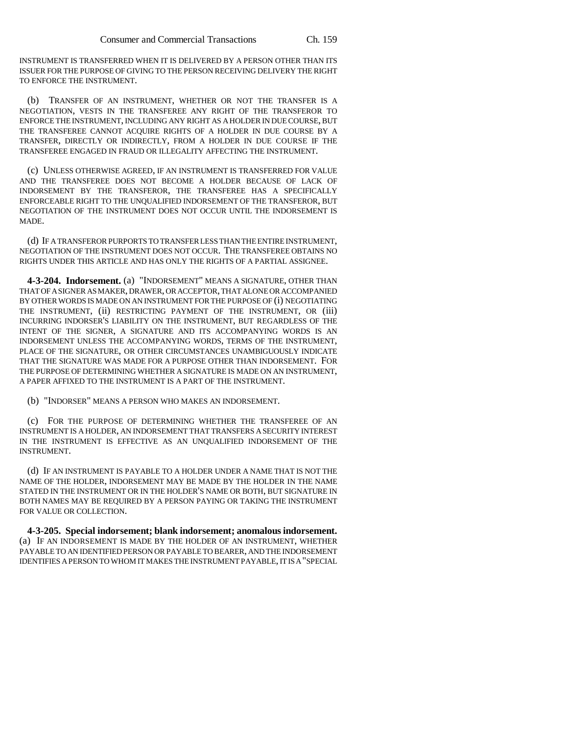INSTRUMENT IS TRANSFERRED WHEN IT IS DELIVERED BY A PERSON OTHER THAN ITS ISSUER FOR THE PURPOSE OF GIVING TO THE PERSON RECEIVING DELIVERY THE RIGHT TO ENFORCE THE INSTRUMENT.

(b) TRANSFER OF AN INSTRUMENT, WHETHER OR NOT THE TRANSFER IS A NEGOTIATION, VESTS IN THE TRANSFEREE ANY RIGHT OF THE TRANSFEROR TO ENFORCE THE INSTRUMENT, INCLUDING ANY RIGHT AS A HOLDER IN DUE COURSE, BUT THE TRANSFEREE CANNOT ACQUIRE RIGHTS OF A HOLDER IN DUE COURSE BY A TRANSFER, DIRECTLY OR INDIRECTLY, FROM A HOLDER IN DUE COURSE IF THE TRANSFEREE ENGAGED IN FRAUD OR ILLEGALITY AFFECTING THE INSTRUMENT.

(c) UNLESS OTHERWISE AGREED, IF AN INSTRUMENT IS TRANSFERRED FOR VALUE AND THE TRANSFEREE DOES NOT BECOME A HOLDER BECAUSE OF LACK OF INDORSEMENT BY THE TRANSFEROR, THE TRANSFEREE HAS A SPECIFICALLY ENFORCEABLE RIGHT TO THE UNQUALIFIED INDORSEMENT OF THE TRANSFEROR, BUT NEGOTIATION OF THE INSTRUMENT DOES NOT OCCUR UNTIL THE INDORSEMENT IS MADE.

(d) IF A TRANSFEROR PURPORTS TO TRANSFER LESS THAN THE ENTIRE INSTRUMENT, NEGOTIATION OF THE INSTRUMENT DOES NOT OCCUR. THE TRANSFEREE OBTAINS NO RIGHTS UNDER THIS ARTICLE AND HAS ONLY THE RIGHTS OF A PARTIAL ASSIGNEE.

**4-3-204. Indorsement.** (a) "INDORSEMENT" MEANS A SIGNATURE, OTHER THAN THAT OF A SIGNER AS MAKER, DRAWER, OR ACCEPTOR, THAT ALONE OR ACCOMPANIED BY OTHER WORDS IS MADE ON AN INSTRUMENT FOR THE PURPOSE OF (i) NEGOTIATING THE INSTRUMENT, (ii) RESTRICTING PAYMENT OF THE INSTRUMENT, OR (iii) INCURRING INDORSER'S LIABILITY ON THE INSTRUMENT, BUT REGARDLESS OF THE INTENT OF THE SIGNER, A SIGNATURE AND ITS ACCOMPANYING WORDS IS AN INDORSEMENT UNLESS THE ACCOMPANYING WORDS, TERMS OF THE INSTRUMENT, PLACE OF THE SIGNATURE, OR OTHER CIRCUMSTANCES UNAMBIGUOUSLY INDICATE THAT THE SIGNATURE WAS MADE FOR A PURPOSE OTHER THAN INDORSEMENT. FOR THE PURPOSE OF DETERMINING WHETHER A SIGNATURE IS MADE ON AN INSTRUMENT, A PAPER AFFIXED TO THE INSTRUMENT IS A PART OF THE INSTRUMENT.

(b) "INDORSER" MEANS A PERSON WHO MAKES AN INDORSEMENT.

(c) FOR THE PURPOSE OF DETERMINING WHETHER THE TRANSFEREE OF AN INSTRUMENT IS A HOLDER, AN INDORSEMENT THAT TRANSFERS A SECURITY INTEREST IN THE INSTRUMENT IS EFFECTIVE AS AN UNQUALIFIED INDORSEMENT OF THE INSTRUMENT.

(d) IF AN INSTRUMENT IS PAYABLE TO A HOLDER UNDER A NAME THAT IS NOT THE NAME OF THE HOLDER, INDORSEMENT MAY BE MADE BY THE HOLDER IN THE NAME STATED IN THE INSTRUMENT OR IN THE HOLDER'S NAME OR BOTH, BUT SIGNATURE IN BOTH NAMES MAY BE REQUIRED BY A PERSON PAYING OR TAKING THE INSTRUMENT FOR VALUE OR COLLECTION.

**4-3-205. Special indorsement; blank indorsement; anomalous indorsement.** (a) IF AN INDORSEMENT IS MADE BY THE HOLDER OF AN INSTRUMENT, WHETHER PAYABLE TO AN IDENTIFIED PERSON OR PAYABLE TO BEARER, AND THE INDORSEMENT IDENTIFIES A PERSON TO WHOM IT MAKES THE INSTRUMENT PAYABLE, IT IS A "SPECIAL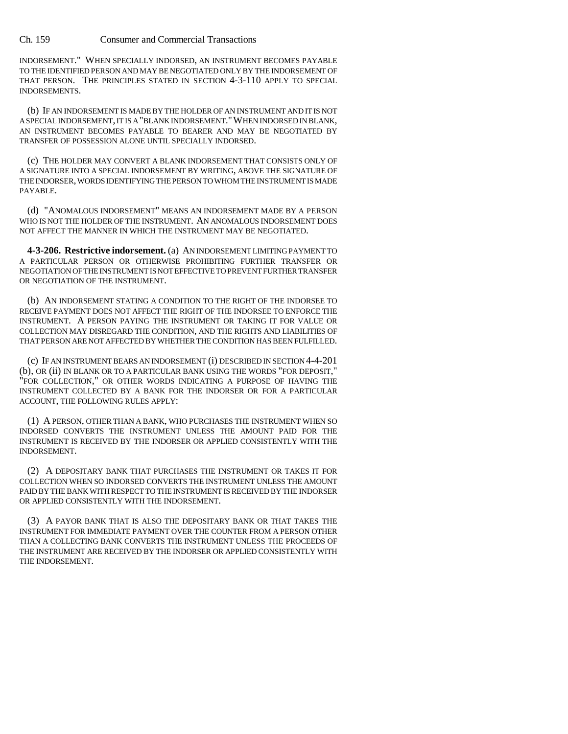INDORSEMENT." WHEN SPECIALLY INDORSED, AN INSTRUMENT BECOMES PAYABLE TO THE IDENTIFIED PERSON AND MAY BE NEGOTIATED ONLY BY THE INDORSEMENT OF THAT PERSON. THE PRINCIPLES STATED IN SECTION 4-3-110 APPLY TO SPECIAL INDORSEMENTS.

(b) IF AN INDORSEMENT IS MADE BY THE HOLDER OF AN INSTRUMENT AND IT IS NOT A SPECIAL INDORSEMENT, IT IS A "BLANK INDORSEMENT."WHEN INDORSED IN BLANK, AN INSTRUMENT BECOMES PAYABLE TO BEARER AND MAY BE NEGOTIATED BY TRANSFER OF POSSESSION ALONE UNTIL SPECIALLY INDORSED.

(c) THE HOLDER MAY CONVERT A BLANK INDORSEMENT THAT CONSISTS ONLY OF A SIGNATURE INTO A SPECIAL INDORSEMENT BY WRITING, ABOVE THE SIGNATURE OF THE INDORSER, WORDS IDENTIFYING THE PERSON TO WHOM THE INSTRUMENT IS MADE PAYABLE.

(d) "ANOMALOUS INDORSEMENT" MEANS AN INDORSEMENT MADE BY A PERSON WHO IS NOT THE HOLDER OF THE INSTRUMENT. AN ANOMALOUS INDORSEMENT DOES NOT AFFECT THE MANNER IN WHICH THE INSTRUMENT MAY BE NEGOTIATED.

**4-3-206. Restrictive indorsement.** (a) AN INDORSEMENT LIMITING PAYMENT TO A PARTICULAR PERSON OR OTHERWISE PROHIBITING FURTHER TRANSFER OR NEGOTIATION OF THE INSTRUMENT IS NOT EFFECTIVE TO PREVENT FURTHER TRANSFER OR NEGOTIATION OF THE INSTRUMENT.

(b) AN INDORSEMENT STATING A CONDITION TO THE RIGHT OF THE INDORSEE TO RECEIVE PAYMENT DOES NOT AFFECT THE RIGHT OF THE INDORSEE TO ENFORCE THE INSTRUMENT. A PERSON PAYING THE INSTRUMENT OR TAKING IT FOR VALUE OR COLLECTION MAY DISREGARD THE CONDITION, AND THE RIGHTS AND LIABILITIES OF THAT PERSON ARE NOT AFFECTED BY WHETHER THE CONDITION HAS BEEN FULFILLED.

(c) IF AN INSTRUMENT BEARS AN INDORSEMENT (i) DESCRIBED IN SECTION 4-4-201 (b), OR (ii) IN BLANK OR TO A PARTICULAR BANK USING THE WORDS "FOR DEPOSIT," "FOR COLLECTION," OR OTHER WORDS INDICATING A PURPOSE OF HAVING THE INSTRUMENT COLLECTED BY A BANK FOR THE INDORSER OR FOR A PARTICULAR ACCOUNT, THE FOLLOWING RULES APPLY:

(1) A PERSON, OTHER THAN A BANK, WHO PURCHASES THE INSTRUMENT WHEN SO INDORSED CONVERTS THE INSTRUMENT UNLESS THE AMOUNT PAID FOR THE INSTRUMENT IS RECEIVED BY THE INDORSER OR APPLIED CONSISTENTLY WITH THE INDORSEMENT.

(2) A DEPOSITARY BANK THAT PURCHASES THE INSTRUMENT OR TAKES IT FOR COLLECTION WHEN SO INDORSED CONVERTS THE INSTRUMENT UNLESS THE AMOUNT PAID BY THE BANK WITH RESPECT TO THE INSTRUMENT IS RECEIVED BY THE INDORSER OR APPLIED CONSISTENTLY WITH THE INDORSEMENT.

(3) A PAYOR BANK THAT IS ALSO THE DEPOSITARY BANK OR THAT TAKES THE INSTRUMENT FOR IMMEDIATE PAYMENT OVER THE COUNTER FROM A PERSON OTHER THAN A COLLECTING BANK CONVERTS THE INSTRUMENT UNLESS THE PROCEEDS OF THE INSTRUMENT ARE RECEIVED BY THE INDORSER OR APPLIED CONSISTENTLY WITH THE INDORSEMENT.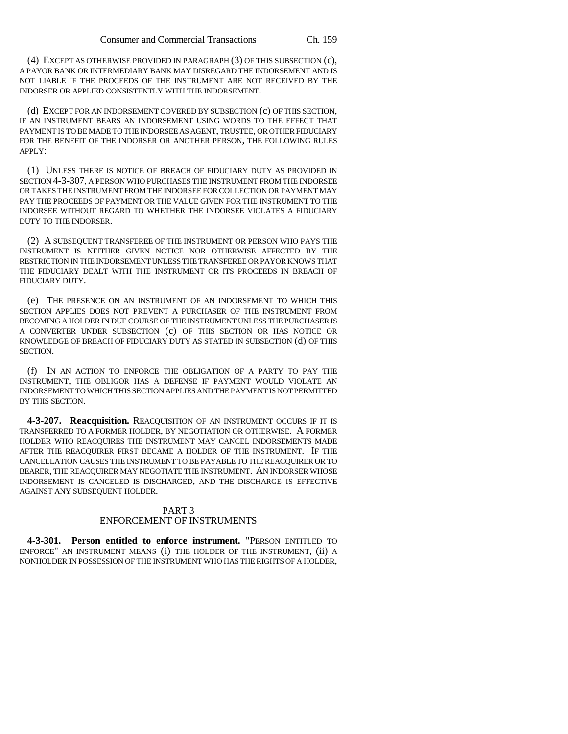(4) EXCEPT AS OTHERWISE PROVIDED IN PARAGRAPH (3) OF THIS SUBSECTION (c), A PAYOR BANK OR INTERMEDIARY BANK MAY DISREGARD THE INDORSEMENT AND IS NOT LIABLE IF THE PROCEEDS OF THE INSTRUMENT ARE NOT RECEIVED BY THE INDORSER OR APPLIED CONSISTENTLY WITH THE INDORSEMENT.

(d) EXCEPT FOR AN INDORSEMENT COVERED BY SUBSECTION (c) OF THIS SECTION, IF AN INSTRUMENT BEARS AN INDORSEMENT USING WORDS TO THE EFFECT THAT PAYMENT IS TO BE MADE TO THE INDORSEE AS AGENT, TRUSTEE, OR OTHER FIDUCIARY FOR THE BENEFIT OF THE INDORSER OR ANOTHER PERSON, THE FOLLOWING RULES APPLY:

(1) UNLESS THERE IS NOTICE OF BREACH OF FIDUCIARY DUTY AS PROVIDED IN SECTION 4-3-307, A PERSON WHO PURCHASES THE INSTRUMENT FROM THE INDORSEE OR TAKES THE INSTRUMENT FROM THE INDORSEE FOR COLLECTION OR PAYMENT MAY PAY THE PROCEEDS OF PAYMENT OR THE VALUE GIVEN FOR THE INSTRUMENT TO THE INDORSEE WITHOUT REGARD TO WHETHER THE INDORSEE VIOLATES A FIDUCIARY DUTY TO THE INDORSER.

(2) A SUBSEQUENT TRANSFEREE OF THE INSTRUMENT OR PERSON WHO PAYS THE INSTRUMENT IS NEITHER GIVEN NOTICE NOR OTHERWISE AFFECTED BY THE RESTRICTION IN THE INDORSEMENT UNLESS THE TRANSFEREE OR PAYOR KNOWS THAT THE FIDUCIARY DEALT WITH THE INSTRUMENT OR ITS PROCEEDS IN BREACH OF FIDUCIARY DUTY.

(e) THE PRESENCE ON AN INSTRUMENT OF AN INDORSEMENT TO WHICH THIS SECTION APPLIES DOES NOT PREVENT A PURCHASER OF THE INSTRUMENT FROM BECOMING A HOLDER IN DUE COURSE OF THE INSTRUMENT UNLESS THE PURCHASER IS A CONVERTER UNDER SUBSECTION (c) OF THIS SECTION OR HAS NOTICE OR KNOWLEDGE OF BREACH OF FIDUCIARY DUTY AS STATED IN SUBSECTION (d) OF THIS SECTION.

(f) IN AN ACTION TO ENFORCE THE OBLIGATION OF A PARTY TO PAY THE INSTRUMENT, THE OBLIGOR HAS A DEFENSE IF PAYMENT WOULD VIOLATE AN INDORSEMENT TO WHICH THIS SECTION APPLIES AND THE PAYMENT IS NOT PERMITTED BY THIS SECTION.

**4-3-207. Reacquisition.** REACQUISITION OF AN INSTRUMENT OCCURS IF IT IS TRANSFERRED TO A FORMER HOLDER, BY NEGOTIATION OR OTHERWISE. A FORMER HOLDER WHO REACQUIRES THE INSTRUMENT MAY CANCEL INDORSEMENTS MADE AFTER THE REACQUIRER FIRST BECAME A HOLDER OF THE INSTRUMENT. IF THE CANCELLATION CAUSES THE INSTRUMENT TO BE PAYABLE TO THE REACQUIRER OR TO BEARER, THE REACQUIRER MAY NEGOTIATE THE INSTRUMENT. AN INDORSER WHOSE INDORSEMENT IS CANCELED IS DISCHARGED, AND THE DISCHARGE IS EFFECTIVE AGAINST ANY SUBSEQUENT HOLDER.

#### PART 3 ENFORCEMENT OF INSTRUMENTS

**4-3-301. Person entitled to enforce instrument.** "PERSON ENTITLED TO ENFORCE" AN INSTRUMENT MEANS (i) THE HOLDER OF THE INSTRUMENT, (ii) A NONHOLDER IN POSSESSION OF THE INSTRUMENT WHO HAS THE RIGHTS OF A HOLDER,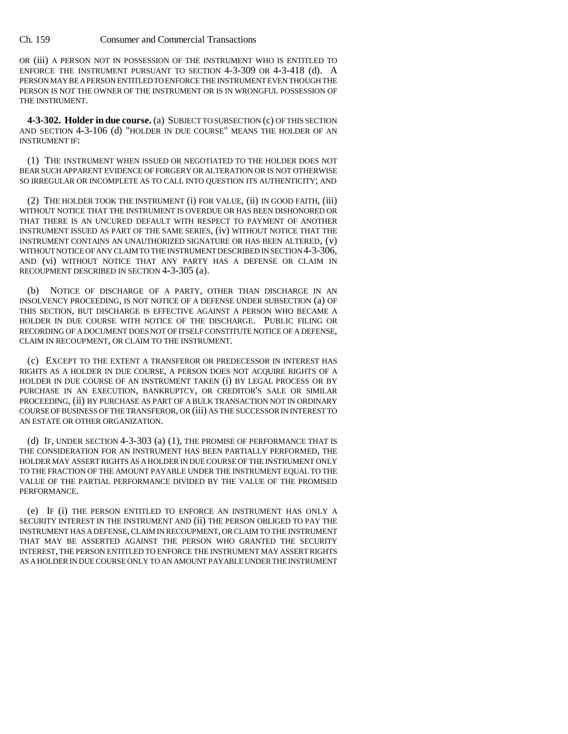OR (iii) A PERSON NOT IN POSSESSION OF THE INSTRUMENT WHO IS ENTITLED TO ENFORCE THE INSTRUMENT PURSUANT TO SECTION 4-3-309 OR 4-3-418 (d). A PERSON MAY BE A PERSON ENTITLED TO ENFORCE THE INSTRUMENT EVEN THOUGH THE PERSON IS NOT THE OWNER OF THE INSTRUMENT OR IS IN WRONGFUL POSSESSION OF THE INSTRUMENT.

**4-3-302. Holder in due course.** (a) SUBJECT TO SUBSECTION (c) OF THIS SECTION AND SECTION 4-3-106 (d) "HOLDER IN DUE COURSE" MEANS THE HOLDER OF AN INSTRUMENT IF:

(1) THE INSTRUMENT WHEN ISSUED OR NEGOTIATED TO THE HOLDER DOES NOT BEAR SUCH APPARENT EVIDENCE OF FORGERY OR ALTERATION OR IS NOT OTHERWISE SO IRREGULAR OR INCOMPLETE AS TO CALL INTO QUESTION ITS AUTHENTICITY; AND

(2) THE HOLDER TOOK THE INSTRUMENT (i) FOR VALUE, (ii) IN GOOD FAITH, (iii) WITHOUT NOTICE THAT THE INSTRUMENT IS OVERDUE OR HAS BEEN DISHONORED OR THAT THERE IS AN UNCURED DEFAULT WITH RESPECT TO PAYMENT OF ANOTHER INSTRUMENT ISSUED AS PART OF THE SAME SERIES, (iv) WITHOUT NOTICE THAT THE INSTRUMENT CONTAINS AN UNAUTHORIZED SIGNATURE OR HAS BEEN ALTERED, (v) WITHOUT NOTICE OF ANY CLAIM TO THE INSTRUMENT DESCRIBED IN SECTION 4-3-306, AND (vi) WITHOUT NOTICE THAT ANY PARTY HAS A DEFENSE OR CLAIM IN RECOUPMENT DESCRIBED IN SECTION 4-3-305 (a).

NOTICE OF DISCHARGE OF A PARTY, OTHER THAN DISCHARGE IN AN INSOLVENCY PROCEEDING, IS NOT NOTICE OF A DEFENSE UNDER SUBSECTION (a) OF THIS SECTION, BUT DISCHARGE IS EFFECTIVE AGAINST A PERSON WHO BECAME A HOLDER IN DUE COURSE WITH NOTICE OF THE DISCHARGE. PUBLIC FILING OR RECORDING OF A DOCUMENT DOES NOT OF ITSELF CONSTITUTE NOTICE OF A DEFENSE, CLAIM IN RECOUPMENT, OR CLAIM TO THE INSTRUMENT.

(c) EXCEPT TO THE EXTENT A TRANSFEROR OR PREDECESSOR IN INTEREST HAS RIGHTS AS A HOLDER IN DUE COURSE, A PERSON DOES NOT ACQUIRE RIGHTS OF A HOLDER IN DUE COURSE OF AN INSTRUMENT TAKEN (i) BY LEGAL PROCESS OR BY PURCHASE IN AN EXECUTION, BANKRUPTCY, OR CREDITOR'S SALE OR SIMILAR PROCEEDING, (ii) BY PURCHASE AS PART OF A BULK TRANSACTION NOT IN ORDINARY COURSE OF BUSINESS OF THE TRANSFEROR, OR (iii) AS THE SUCCESSOR IN INTEREST TO AN ESTATE OR OTHER ORGANIZATION.

(d) IF, UNDER SECTION 4-3-303 (a) (1), THE PROMISE OF PERFORMANCE THAT IS THE CONSIDERATION FOR AN INSTRUMENT HAS BEEN PARTIALLY PERFORMED, THE HOLDER MAY ASSERT RIGHTS AS A HOLDER IN DUE COURSE OF THE INSTRUMENT ONLY TO THE FRACTION OF THE AMOUNT PAYABLE UNDER THE INSTRUMENT EQUAL TO THE VALUE OF THE PARTIAL PERFORMANCE DIVIDED BY THE VALUE OF THE PROMISED PERFORMANCE.

(e) IF (i) THE PERSON ENTITLED TO ENFORCE AN INSTRUMENT HAS ONLY A SECURITY INTEREST IN THE INSTRUMENT AND (ii) THE PERSON OBLIGED TO PAY THE INSTRUMENT HAS A DEFENSE, CLAIM IN RECOUPMENT, OR CLAIM TO THE INSTRUMENT THAT MAY BE ASSERTED AGAINST THE PERSON WHO GRANTED THE SECURITY INTEREST, THE PERSON ENTITLED TO ENFORCE THE INSTRUMENT MAY ASSERT RIGHTS AS A HOLDER IN DUE COURSE ONLY TO AN AMOUNT PAYABLE UNDER THE INSTRUMENT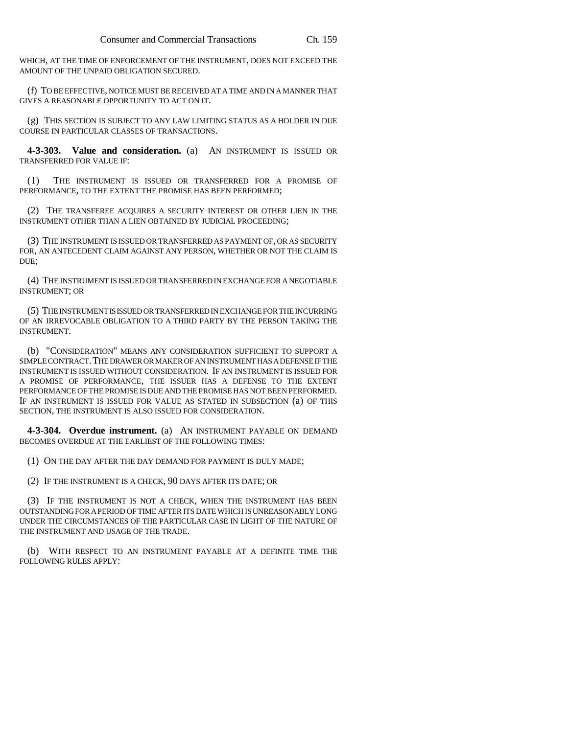WHICH, AT THE TIME OF ENFORCEMENT OF THE INSTRUMENT, DOES NOT EXCEED THE AMOUNT OF THE UNPAID OBLIGATION SECURED.

(f) TO BE EFFECTIVE, NOTICE MUST BE RECEIVED AT A TIME AND IN A MANNER THAT GIVES A REASONABLE OPPORTUNITY TO ACT ON IT.

(g) THIS SECTION IS SUBJECT TO ANY LAW LIMITING STATUS AS A HOLDER IN DUE COURSE IN PARTICULAR CLASSES OF TRANSACTIONS.

**4-3-303. Value and consideration.** (a) AN INSTRUMENT IS ISSUED OR TRANSFERRED FOR VALUE IF:

(1) THE INSTRUMENT IS ISSUED OR TRANSFERRED FOR A PROMISE OF PERFORMANCE, TO THE EXTENT THE PROMISE HAS BEEN PERFORMED;

(2) THE TRANSFEREE ACQUIRES A SECURITY INTEREST OR OTHER LIEN IN THE INSTRUMENT OTHER THAN A LIEN OBTAINED BY JUDICIAL PROCEEDING;

(3) THE INSTRUMENT IS ISSUED OR TRANSFERRED AS PAYMENT OF, OR AS SECURITY FOR, AN ANTECEDENT CLAIM AGAINST ANY PERSON, WHETHER OR NOT THE CLAIM IS DUE;

(4) THE INSTRUMENT IS ISSUED OR TRANSFERRED IN EXCHANGE FOR A NEGOTIABLE INSTRUMENT; OR

(5) THE INSTRUMENT IS ISSUED OR TRANSFERRED IN EXCHANGE FOR THE INCURRING OF AN IRREVOCABLE OBLIGATION TO A THIRD PARTY BY THE PERSON TAKING THE INSTRUMENT.

(b) "CONSIDERATION" MEANS ANY CONSIDERATION SUFFICIENT TO SUPPORT A SIMPLE CONTRACT. THE DRAWER OR MAKER OF AN INSTRUMENT HAS A DEFENSE IF THE INSTRUMENT IS ISSUED WITHOUT CONSIDERATION. IF AN INSTRUMENT IS ISSUED FOR A PROMISE OF PERFORMANCE, THE ISSUER HAS A DEFENSE TO THE EXTENT PERFORMANCE OF THE PROMISE IS DUE AND THE PROMISE HAS NOT BEEN PERFORMED. IF AN INSTRUMENT IS ISSUED FOR VALUE AS STATED IN SUBSECTION (a) OF THIS SECTION, THE INSTRUMENT IS ALSO ISSUED FOR CONSIDERATION.

**4-3-304. Overdue instrument.** (a) AN INSTRUMENT PAYABLE ON DEMAND BECOMES OVERDUE AT THE EARLIEST OF THE FOLLOWING TIMES:

(1) ON THE DAY AFTER THE DAY DEMAND FOR PAYMENT IS DULY MADE;

(2) IF THE INSTRUMENT IS A CHECK, 90 DAYS AFTER ITS DATE; OR

(3) IF THE INSTRUMENT IS NOT A CHECK, WHEN THE INSTRUMENT HAS BEEN OUTSTANDING FOR A PERIOD OF TIME AFTER ITS DATE WHICH IS UNREASONABLY LONG UNDER THE CIRCUMSTANCES OF THE PARTICULAR CASE IN LIGHT OF THE NATURE OF THE INSTRUMENT AND USAGE OF THE TRADE.

(b) WITH RESPECT TO AN INSTRUMENT PAYABLE AT A DEFINITE TIME THE FOLLOWING RULES APPLY: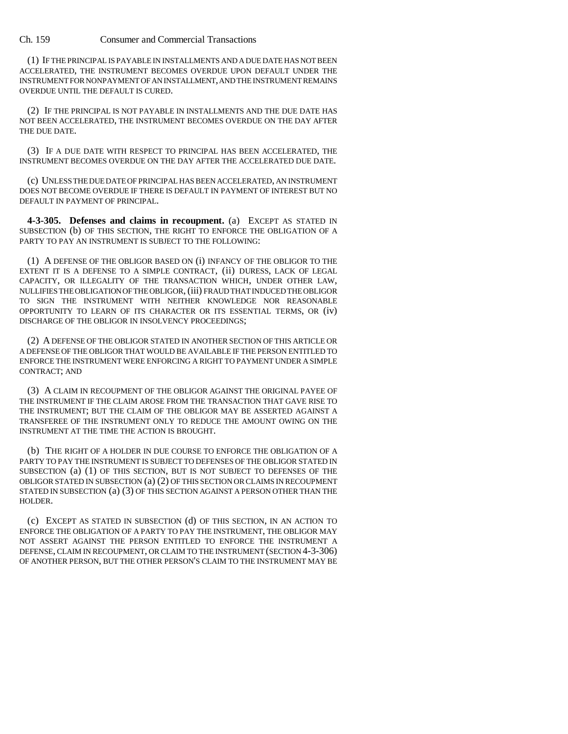(1) IF THE PRINCIPAL IS PAYABLE IN INSTALLMENTS AND A DUE DATE HAS NOT BEEN ACCELERATED, THE INSTRUMENT BECOMES OVERDUE UPON DEFAULT UNDER THE INSTRUMENT FOR NONPAYMENT OF AN INSTALLMENT, AND THE INSTRUMENT REMAINS OVERDUE UNTIL THE DEFAULT IS CURED.

(2) IF THE PRINCIPAL IS NOT PAYABLE IN INSTALLMENTS AND THE DUE DATE HAS NOT BEEN ACCELERATED, THE INSTRUMENT BECOMES OVERDUE ON THE DAY AFTER THE DUE DATE.

(3) IF A DUE DATE WITH RESPECT TO PRINCIPAL HAS BEEN ACCELERATED, THE INSTRUMENT BECOMES OVERDUE ON THE DAY AFTER THE ACCELERATED DUE DATE.

(c) UNLESS THE DUE DATE OF PRINCIPAL HAS BEEN ACCELERATED, AN INSTRUMENT DOES NOT BECOME OVERDUE IF THERE IS DEFAULT IN PAYMENT OF INTEREST BUT NO DEFAULT IN PAYMENT OF PRINCIPAL.

**4-3-305. Defenses and claims in recoupment.** (a) EXCEPT AS STATED IN SUBSECTION (b) OF THIS SECTION, THE RIGHT TO ENFORCE THE OBLIGATION OF A PARTY TO PAY AN INSTRUMENT IS SUBJECT TO THE FOLLOWING:

(1) A DEFENSE OF THE OBLIGOR BASED ON (i) INFANCY OF THE OBLIGOR TO THE EXTENT IT IS A DEFENSE TO A SIMPLE CONTRACT, (ii) DURESS, LACK OF LEGAL CAPACITY, OR ILLEGALITY OF THE TRANSACTION WHICH, UNDER OTHER LAW, NULLIFIES THE OBLIGATION OF THE OBLIGOR, (iii) FRAUD THAT INDUCED THE OBLIGOR TO SIGN THE INSTRUMENT WITH NEITHER KNOWLEDGE NOR REASONABLE OPPORTUNITY TO LEARN OF ITS CHARACTER OR ITS ESSENTIAL TERMS, OR (iv) DISCHARGE OF THE OBLIGOR IN INSOLVENCY PROCEEDINGS;

(2) A DEFENSE OF THE OBLIGOR STATED IN ANOTHER SECTION OF THIS ARTICLE OR A DEFENSE OF THE OBLIGOR THAT WOULD BE AVAILABLE IF THE PERSON ENTITLED TO ENFORCE THE INSTRUMENT WERE ENFORCING A RIGHT TO PAYMENT UNDER A SIMPLE CONTRACT; AND

(3) A CLAIM IN RECOUPMENT OF THE OBLIGOR AGAINST THE ORIGINAL PAYEE OF THE INSTRUMENT IF THE CLAIM AROSE FROM THE TRANSACTION THAT GAVE RISE TO THE INSTRUMENT; BUT THE CLAIM OF THE OBLIGOR MAY BE ASSERTED AGAINST A TRANSFEREE OF THE INSTRUMENT ONLY TO REDUCE THE AMOUNT OWING ON THE INSTRUMENT AT THE TIME THE ACTION IS BROUGHT.

(b) THE RIGHT OF A HOLDER IN DUE COURSE TO ENFORCE THE OBLIGATION OF A PARTY TO PAY THE INSTRUMENT IS SUBJECT TO DEFENSES OF THE OBLIGOR STATED IN SUBSECTION (a) (1) OF THIS SECTION, BUT IS NOT SUBJECT TO DEFENSES OF THE OBLIGOR STATED IN SUBSECTION (a) (2) OF THIS SECTION OR CLAIMS IN RECOUPMENT STATED IN SUBSECTION (a) (3) OF THIS SECTION AGAINST A PERSON OTHER THAN THE HOLDER.

(c) EXCEPT AS STATED IN SUBSECTION (d) OF THIS SECTION, IN AN ACTION TO ENFORCE THE OBLIGATION OF A PARTY TO PAY THE INSTRUMENT, THE OBLIGOR MAY NOT ASSERT AGAINST THE PERSON ENTITLED TO ENFORCE THE INSTRUMENT A DEFENSE, CLAIM IN RECOUPMENT, OR CLAIM TO THE INSTRUMENT (SECTION 4-3-306) OF ANOTHER PERSON, BUT THE OTHER PERSON'S CLAIM TO THE INSTRUMENT MAY BE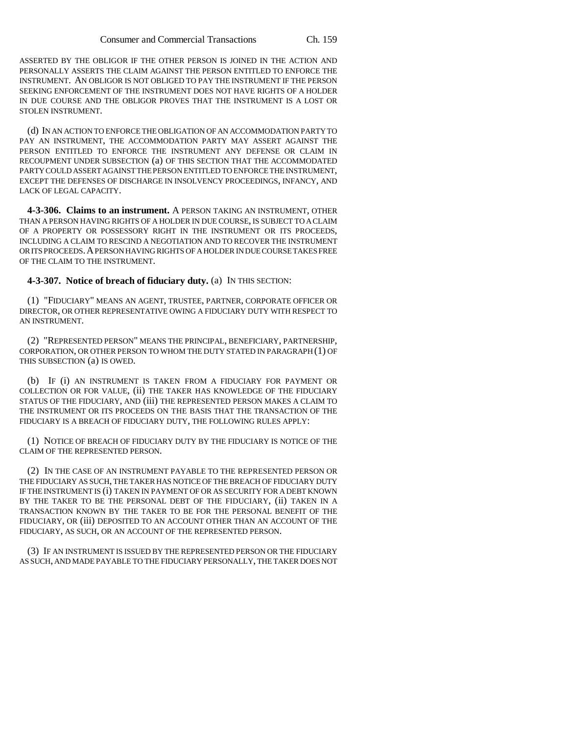ASSERTED BY THE OBLIGOR IF THE OTHER PERSON IS JOINED IN THE ACTION AND PERSONALLY ASSERTS THE CLAIM AGAINST THE PERSON ENTITLED TO ENFORCE THE INSTRUMENT. AN OBLIGOR IS NOT OBLIGED TO PAY THE INSTRUMENT IF THE PERSON SEEKING ENFORCEMENT OF THE INSTRUMENT DOES NOT HAVE RIGHTS OF A HOLDER IN DUE COURSE AND THE OBLIGOR PROVES THAT THE INSTRUMENT IS A LOST OR STOLEN INSTRUMENT.

(d) IN AN ACTION TO ENFORCE THE OBLIGATION OF AN ACCOMMODATION PARTY TO PAY AN INSTRUMENT, THE ACCOMMODATION PARTY MAY ASSERT AGAINST THE PERSON ENTITLED TO ENFORCE THE INSTRUMENT ANY DEFENSE OR CLAIM IN RECOUPMENT UNDER SUBSECTION (a) OF THIS SECTION THAT THE ACCOMMODATED PARTY COULD ASSERT AGAINST THE PERSON ENTITLED TO ENFORCE THE INSTRUMENT, EXCEPT THE DEFENSES OF DISCHARGE IN INSOLVENCY PROCEEDINGS, INFANCY, AND LACK OF LEGAL CAPACITY.

**4-3-306. Claims to an instrument.** A PERSON TAKING AN INSTRUMENT, OTHER THAN A PERSON HAVING RIGHTS OF A HOLDER IN DUE COURSE, IS SUBJECT TO A CLAIM OF A PROPERTY OR POSSESSORY RIGHT IN THE INSTRUMENT OR ITS PROCEEDS, INCLUDING A CLAIM TO RESCIND A NEGOTIATION AND TO RECOVER THE INSTRUMENT OR ITS PROCEEDS.A PERSON HAVING RIGHTS OF A HOLDER IN DUE COURSE TAKES FREE OF THE CLAIM TO THE INSTRUMENT.

**4-3-307. Notice of breach of fiduciary duty.** (a) IN THIS SECTION:

(1) "FIDUCIARY" MEANS AN AGENT, TRUSTEE, PARTNER, CORPORATE OFFICER OR DIRECTOR, OR OTHER REPRESENTATIVE OWING A FIDUCIARY DUTY WITH RESPECT TO AN INSTRUMENT.

(2) "REPRESENTED PERSON" MEANS THE PRINCIPAL, BENEFICIARY, PARTNERSHIP, CORPORATION, OR OTHER PERSON TO WHOM THE DUTY STATED IN PARAGRAPH (1) OF THIS SUBSECTION (a) IS OWED.

(b) IF (i) AN INSTRUMENT IS TAKEN FROM A FIDUCIARY FOR PAYMENT OR COLLECTION OR FOR VALUE, (ii) THE TAKER HAS KNOWLEDGE OF THE FIDUCIARY STATUS OF THE FIDUCIARY, AND (iii) THE REPRESENTED PERSON MAKES A CLAIM TO THE INSTRUMENT OR ITS PROCEEDS ON THE BASIS THAT THE TRANSACTION OF THE FIDUCIARY IS A BREACH OF FIDUCIARY DUTY, THE FOLLOWING RULES APPLY:

(1) NOTICE OF BREACH OF FIDUCIARY DUTY BY THE FIDUCIARY IS NOTICE OF THE CLAIM OF THE REPRESENTED PERSON.

(2) IN THE CASE OF AN INSTRUMENT PAYABLE TO THE REPRESENTED PERSON OR THE FIDUCIARY AS SUCH, THE TAKER HAS NOTICE OF THE BREACH OF FIDUCIARY DUTY IF THE INSTRUMENT IS (i) TAKEN IN PAYMENT OF OR AS SECURITY FOR A DEBT KNOWN BY THE TAKER TO BE THE PERSONAL DEBT OF THE FIDUCIARY, (ii) TAKEN IN A TRANSACTION KNOWN BY THE TAKER TO BE FOR THE PERSONAL BENEFIT OF THE FIDUCIARY, OR (iii) DEPOSITED TO AN ACCOUNT OTHER THAN AN ACCOUNT OF THE FIDUCIARY, AS SUCH, OR AN ACCOUNT OF THE REPRESENTED PERSON.

(3) IF AN INSTRUMENT IS ISSUED BY THE REPRESENTED PERSON OR THE FIDUCIARY AS SUCH, AND MADE PAYABLE TO THE FIDUCIARY PERSONALLY, THE TAKER DOES NOT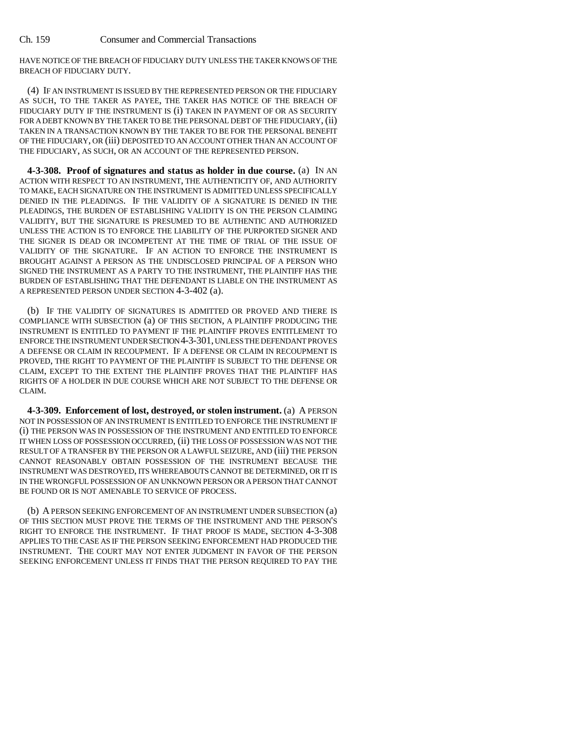HAVE NOTICE OF THE BREACH OF FIDUCIARY DUTY UNLESS THE TAKER KNOWS OF THE BREACH OF FIDUCIARY DUTY.

(4) IF AN INSTRUMENT IS ISSUED BY THE REPRESENTED PERSON OR THE FIDUCIARY AS SUCH, TO THE TAKER AS PAYEE, THE TAKER HAS NOTICE OF THE BREACH OF FIDUCIARY DUTY IF THE INSTRUMENT IS (i) TAKEN IN PAYMENT OF OR AS SECURITY FOR A DEBT KNOWN BY THE TAKER TO BE THE PERSONAL DEBT OF THE FIDUCIARY, (ii) TAKEN IN A TRANSACTION KNOWN BY THE TAKER TO BE FOR THE PERSONAL BENEFIT OF THE FIDUCIARY, OR (iii) DEPOSITED TO AN ACCOUNT OTHER THAN AN ACCOUNT OF THE FIDUCIARY, AS SUCH, OR AN ACCOUNT OF THE REPRESENTED PERSON.

**4-3-308. Proof of signatures and status as holder in due course.** (a) IN AN ACTION WITH RESPECT TO AN INSTRUMENT, THE AUTHENTICITY OF, AND AUTHORITY TO MAKE, EACH SIGNATURE ON THE INSTRUMENT IS ADMITTED UNLESS SPECIFICALLY DENIED IN THE PLEADINGS. IF THE VALIDITY OF A SIGNATURE IS DENIED IN THE PLEADINGS, THE BURDEN OF ESTABLISHING VALIDITY IS ON THE PERSON CLAIMING VALIDITY, BUT THE SIGNATURE IS PRESUMED TO BE AUTHENTIC AND AUTHORIZED UNLESS THE ACTION IS TO ENFORCE THE LIABILITY OF THE PURPORTED SIGNER AND THE SIGNER IS DEAD OR INCOMPETENT AT THE TIME OF TRIAL OF THE ISSUE OF VALIDITY OF THE SIGNATURE. IF AN ACTION TO ENFORCE THE INSTRUMENT IS BROUGHT AGAINST A PERSON AS THE UNDISCLOSED PRINCIPAL OF A PERSON WHO SIGNED THE INSTRUMENT AS A PARTY TO THE INSTRUMENT, THE PLAINTIFF HAS THE BURDEN OF ESTABLISHING THAT THE DEFENDANT IS LIABLE ON THE INSTRUMENT AS A REPRESENTED PERSON UNDER SECTION 4-3-402 (a).

(b) IF THE VALIDITY OF SIGNATURES IS ADMITTED OR PROVED AND THERE IS COMPLIANCE WITH SUBSECTION (a) OF THIS SECTION, A PLAINTIFF PRODUCING THE INSTRUMENT IS ENTITLED TO PAYMENT IF THE PLAINTIFF PROVES ENTITLEMENT TO ENFORCE THE INSTRUMENT UNDER SECTION 4-3-301, UNLESS THE DEFENDANT PROVES A DEFENSE OR CLAIM IN RECOUPMENT. IF A DEFENSE OR CLAIM IN RECOUPMENT IS PROVED, THE RIGHT TO PAYMENT OF THE PLAINTIFF IS SUBJECT TO THE DEFENSE OR CLAIM, EXCEPT TO THE EXTENT THE PLAINTIFF PROVES THAT THE PLAINTIFF HAS RIGHTS OF A HOLDER IN DUE COURSE WHICH ARE NOT SUBJECT TO THE DEFENSE OR CLAIM.

**4-3-309. Enforcement of lost, destroyed, or stolen instrument.** (a) A PERSON NOT IN POSSESSION OF AN INSTRUMENT IS ENTITLED TO ENFORCE THE INSTRUMENT IF (i) THE PERSON WAS IN POSSESSION OF THE INSTRUMENT AND ENTITLED TO ENFORCE IT WHEN LOSS OF POSSESSION OCCURRED, (ii) THE LOSS OF POSSESSION WAS NOT THE RESULT OF A TRANSFER BY THE PERSON OR A LAWFUL SEIZURE, AND (iii) THE PERSON CANNOT REASONABLY OBTAIN POSSESSION OF THE INSTRUMENT BECAUSE THE INSTRUMENT WAS DESTROYED, ITS WHEREABOUTS CANNOT BE DETERMINED, OR IT IS IN THE WRONGFUL POSSESSION OF AN UNKNOWN PERSON OR A PERSON THAT CANNOT BE FOUND OR IS NOT AMENABLE TO SERVICE OF PROCESS.

(b) A PERSON SEEKING ENFORCEMENT OF AN INSTRUMENT UNDER SUBSECTION (a) OF THIS SECTION MUST PROVE THE TERMS OF THE INSTRUMENT AND THE PERSON'S RIGHT TO ENFORCE THE INSTRUMENT. IF THAT PROOF IS MADE, SECTION 4-3-308 APPLIES TO THE CASE AS IF THE PERSON SEEKING ENFORCEMENT HAD PRODUCED THE INSTRUMENT. THE COURT MAY NOT ENTER JUDGMENT IN FAVOR OF THE PERSON SEEKING ENFORCEMENT UNLESS IT FINDS THAT THE PERSON REQUIRED TO PAY THE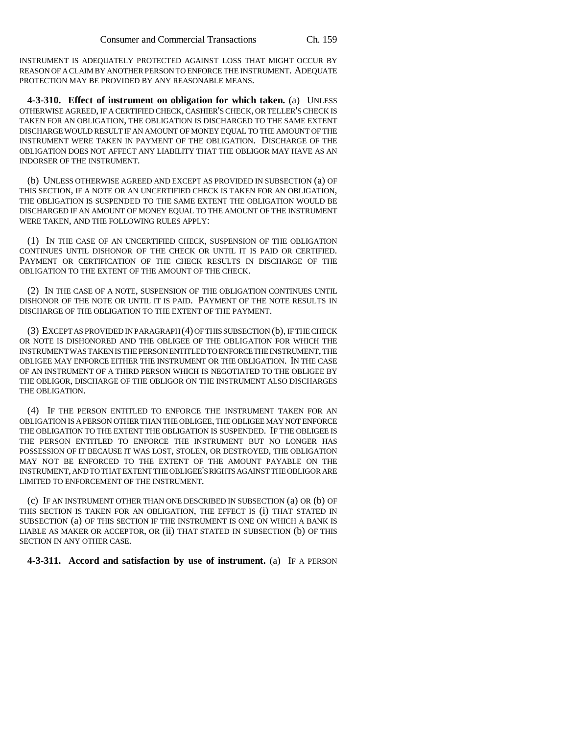INSTRUMENT IS ADEQUATELY PROTECTED AGAINST LOSS THAT MIGHT OCCUR BY REASON OF A CLAIM BY ANOTHER PERSON TO ENFORCE THE INSTRUMENT. ADEQUATE PROTECTION MAY BE PROVIDED BY ANY REASONABLE MEANS.

**4-3-310. Effect of instrument on obligation for which taken.** (a) UNLESS OTHERWISE AGREED, IF A CERTIFIED CHECK, CASHIER'S CHECK, OR TELLER'S CHECK IS TAKEN FOR AN OBLIGATION, THE OBLIGATION IS DISCHARGED TO THE SAME EXTENT DISCHARGE WOULD RESULT IF AN AMOUNT OF MONEY EQUAL TO THE AMOUNT OF THE INSTRUMENT WERE TAKEN IN PAYMENT OF THE OBLIGATION. DISCHARGE OF THE OBLIGATION DOES NOT AFFECT ANY LIABILITY THAT THE OBLIGOR MAY HAVE AS AN INDORSER OF THE INSTRUMENT.

(b) UNLESS OTHERWISE AGREED AND EXCEPT AS PROVIDED IN SUBSECTION (a) OF THIS SECTION, IF A NOTE OR AN UNCERTIFIED CHECK IS TAKEN FOR AN OBLIGATION, THE OBLIGATION IS SUSPENDED TO THE SAME EXTENT THE OBLIGATION WOULD BE DISCHARGED IF AN AMOUNT OF MONEY EQUAL TO THE AMOUNT OF THE INSTRUMENT WERE TAKEN, AND THE FOLLOWING RULES APPLY:

(1) IN THE CASE OF AN UNCERTIFIED CHECK, SUSPENSION OF THE OBLIGATION CONTINUES UNTIL DISHONOR OF THE CHECK OR UNTIL IT IS PAID OR CERTIFIED. PAYMENT OR CERTIFICATION OF THE CHECK RESULTS IN DISCHARGE OF THE OBLIGATION TO THE EXTENT OF THE AMOUNT OF THE CHECK.

(2) IN THE CASE OF A NOTE, SUSPENSION OF THE OBLIGATION CONTINUES UNTIL DISHONOR OF THE NOTE OR UNTIL IT IS PAID. PAYMENT OF THE NOTE RESULTS IN DISCHARGE OF THE OBLIGATION TO THE EXTENT OF THE PAYMENT.

(3) EXCEPT AS PROVIDED IN PARAGRAPH (4) OF THIS SUBSECTION (b), IF THE CHECK OR NOTE IS DISHONORED AND THE OBLIGEE OF THE OBLIGATION FOR WHICH THE INSTRUMENT WAS TAKEN IS THE PERSON ENTITLED TO ENFORCE THE INSTRUMENT, THE OBLIGEE MAY ENFORCE EITHER THE INSTRUMENT OR THE OBLIGATION. IN THE CASE OF AN INSTRUMENT OF A THIRD PERSON WHICH IS NEGOTIATED TO THE OBLIGEE BY THE OBLIGOR, DISCHARGE OF THE OBLIGOR ON THE INSTRUMENT ALSO DISCHARGES THE OBLIGATION.

(4) IF THE PERSON ENTITLED TO ENFORCE THE INSTRUMENT TAKEN FOR AN OBLIGATION IS A PERSON OTHER THAN THE OBLIGEE, THE OBLIGEE MAY NOT ENFORCE THE OBLIGATION TO THE EXTENT THE OBLIGATION IS SUSPENDED. IF THE OBLIGEE IS THE PERSON ENTITLED TO ENFORCE THE INSTRUMENT BUT NO LONGER HAS POSSESSION OF IT BECAUSE IT WAS LOST, STOLEN, OR DESTROYED, THE OBLIGATION MAY NOT BE ENFORCED TO THE EXTENT OF THE AMOUNT PAYABLE ON THE INSTRUMENT, AND TO THAT EXTENT THE OBLIGEE'S RIGHTS AGAINST THE OBLIGOR ARE LIMITED TO ENFORCEMENT OF THE INSTRUMENT.

(c) IF AN INSTRUMENT OTHER THAN ONE DESCRIBED IN SUBSECTION (a) OR (b) OF THIS SECTION IS TAKEN FOR AN OBLIGATION, THE EFFECT IS (i) THAT STATED IN SUBSECTION (a) OF THIS SECTION IF THE INSTRUMENT IS ONE ON WHICH A BANK IS LIABLE AS MAKER OR ACCEPTOR, OR (ii) THAT STATED IN SUBSECTION (b) OF THIS SECTION IN ANY OTHER CASE.

# **4-3-311. Accord and satisfaction by use of instrument.** (a) IF A PERSON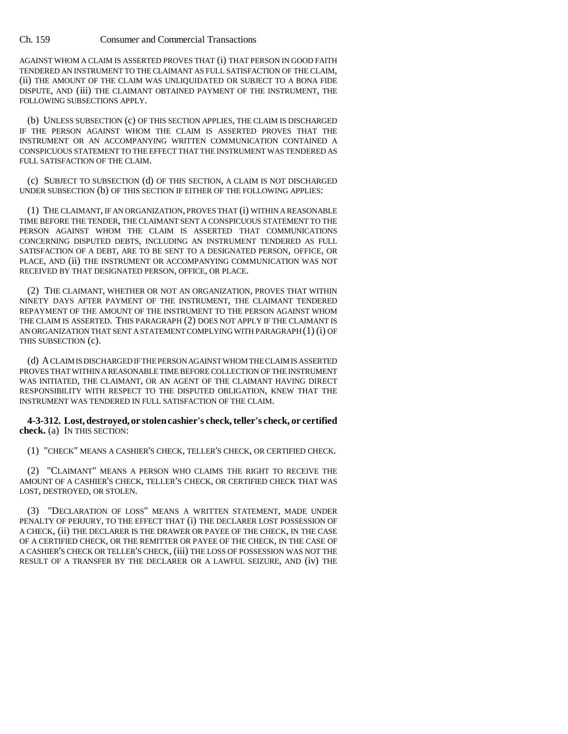AGAINST WHOM A CLAIM IS ASSERTED PROVES THAT (i) THAT PERSON IN GOOD FAITH TENDERED AN INSTRUMENT TO THE CLAIMANT AS FULL SATISFACTION OF THE CLAIM, (ii) THE AMOUNT OF THE CLAIM WAS UNLIQUIDATED OR SUBJECT TO A BONA FIDE DISPUTE, AND (iii) THE CLAIMANT OBTAINED PAYMENT OF THE INSTRUMENT, THE FOLLOWING SUBSECTIONS APPLY.

(b) UNLESS SUBSECTION (c) OF THIS SECTION APPLIES, THE CLAIM IS DISCHARGED IF THE PERSON AGAINST WHOM THE CLAIM IS ASSERTED PROVES THAT THE INSTRUMENT OR AN ACCOMPANYING WRITTEN COMMUNICATION CONTAINED A CONSPICUOUS STATEMENT TO THE EFFECT THAT THE INSTRUMENT WAS TENDERED AS FULL SATISFACTION OF THE CLAIM.

(c) SUBJECT TO SUBSECTION (d) OF THIS SECTION, A CLAIM IS NOT DISCHARGED UNDER SUBSECTION (b) OF THIS SECTION IF EITHER OF THE FOLLOWING APPLIES:

(1) THE CLAIMANT, IF AN ORGANIZATION, PROVES THAT (i) WITHIN A REASONABLE TIME BEFORE THE TENDER, THE CLAIMANT SENT A CONSPICUOUS STATEMENT TO THE PERSON AGAINST WHOM THE CLAIM IS ASSERTED THAT COMMUNICATIONS CONCERNING DISPUTED DEBTS, INCLUDING AN INSTRUMENT TENDERED AS FULL SATISFACTION OF A DEBT, ARE TO BE SENT TO A DESIGNATED PERSON, OFFICE, OR PLACE, AND (ii) THE INSTRUMENT OR ACCOMPANYING COMMUNICATION WAS NOT RECEIVED BY THAT DESIGNATED PERSON, OFFICE, OR PLACE.

(2) THE CLAIMANT, WHETHER OR NOT AN ORGANIZATION, PROVES THAT WITHIN NINETY DAYS AFTER PAYMENT OF THE INSTRUMENT, THE CLAIMANT TENDERED REPAYMENT OF THE AMOUNT OF THE INSTRUMENT TO THE PERSON AGAINST WHOM THE CLAIM IS ASSERTED. THIS PARAGRAPH (2) DOES NOT APPLY IF THE CLAIMANT IS AN ORGANIZATION THAT SENT A STATEMENT COMPLYING WITH PARAGRAPH (1) (i) OF THIS SUBSECTION (c).

(d) A CLAIM IS DISCHARGED IF THE PERSON AGAINST WHOM THE CLAIM IS ASSERTED PROVES THAT WITHIN A REASONABLE TIME BEFORE COLLECTION OF THE INSTRUMENT WAS INITIATED, THE CLAIMANT, OR AN AGENT OF THE CLAIMANT HAVING DIRECT RESPONSIBILITY WITH RESPECT TO THE DISPUTED OBLIGATION, KNEW THAT THE INSTRUMENT WAS TENDERED IN FULL SATISFACTION OF THE CLAIM.

**4-3-312. Lost, destroyed, or stolen cashier's check, teller's check, or certified check.** (a) IN THIS SECTION:

(1) "CHECK" MEANS A CASHIER'S CHECK, TELLER'S CHECK, OR CERTIFIED CHECK.

(2) "CLAIMANT" MEANS A PERSON WHO CLAIMS THE RIGHT TO RECEIVE THE AMOUNT OF A CASHIER'S CHECK, TELLER'S CHECK, OR CERTIFIED CHECK THAT WAS LOST, DESTROYED, OR STOLEN.

(3) "DECLARATION OF LOSS" MEANS A WRITTEN STATEMENT, MADE UNDER PENALTY OF PERJURY, TO THE EFFECT THAT (i) THE DECLARER LOST POSSESSION OF A CHECK, (ii) THE DECLARER IS THE DRAWER OR PAYEE OF THE CHECK, IN THE CASE OF A CERTIFIED CHECK, OR THE REMITTER OR PAYEE OF THE CHECK, IN THE CASE OF A CASHIER'S CHECK OR TELLER'S CHECK, (iii) THE LOSS OF POSSESSION WAS NOT THE RESULT OF A TRANSFER BY THE DECLARER OR A LAWFUL SEIZURE, AND (iv) THE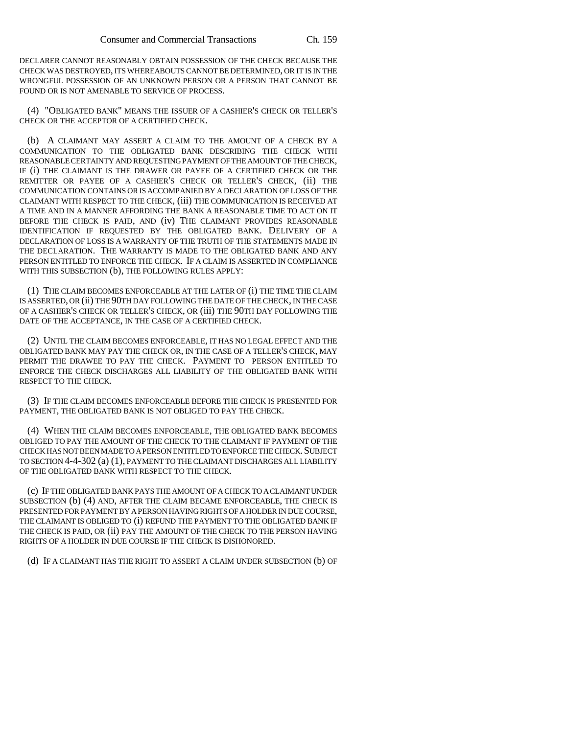DECLARER CANNOT REASONABLY OBTAIN POSSESSION OF THE CHECK BECAUSE THE CHECK WAS DESTROYED, ITS WHEREABOUTS CANNOT BE DETERMINED, OR IT IS IN THE WRONGFUL POSSESSION OF AN UNKNOWN PERSON OR A PERSON THAT CANNOT BE FOUND OR IS NOT AMENABLE TO SERVICE OF PROCESS.

(4) "OBLIGATED BANK" MEANS THE ISSUER OF A CASHIER'S CHECK OR TELLER'S CHECK OR THE ACCEPTOR OF A CERTIFIED CHECK.

(b) A CLAIMANT MAY ASSERT A CLAIM TO THE AMOUNT OF A CHECK BY A COMMUNICATION TO THE OBLIGATED BANK DESCRIBING THE CHECK WITH REASONABLE CERTAINTY AND REQUESTING PAYMENT OF THE AMOUNT OF THE CHECK, IF (i) THE CLAIMANT IS THE DRAWER OR PAYEE OF A CERTIFIED CHECK OR THE REMITTER OR PAYEE OF A CASHIER'S CHECK OR TELLER'S CHECK, (ii) THE COMMUNICATION CONTAINS OR IS ACCOMPANIED BY A DECLARATION OF LOSS OF THE CLAIMANT WITH RESPECT TO THE CHECK, (iii) THE COMMUNICATION IS RECEIVED AT A TIME AND IN A MANNER AFFORDING THE BANK A REASONABLE TIME TO ACT ON IT BEFORE THE CHECK IS PAID, AND (iv) THE CLAIMANT PROVIDES REASONABLE IDENTIFICATION IF REQUESTED BY THE OBLIGATED BANK. DELIVERY OF A DECLARATION OF LOSS IS A WARRANTY OF THE TRUTH OF THE STATEMENTS MADE IN THE DECLARATION. THE WARRANTY IS MADE TO THE OBLIGATED BANK AND ANY PERSON ENTITLED TO ENFORCE THE CHECK. IF A CLAIM IS ASSERTED IN COMPLIANCE WITH THIS SUBSECTION (b), THE FOLLOWING RULES APPLY:

(1) THE CLAIM BECOMES ENFORCEABLE AT THE LATER OF (i) THE TIME THE CLAIM IS ASSERTED, OR (ii) THE 90TH DAY FOLLOWING THE DATE OF THE CHECK, IN THE CASE OF A CASHIER'S CHECK OR TELLER'S CHECK, OR (iii) THE 90TH DAY FOLLOWING THE DATE OF THE ACCEPTANCE, IN THE CASE OF A CERTIFIED CHECK.

(2) UNTIL THE CLAIM BECOMES ENFORCEABLE, IT HAS NO LEGAL EFFECT AND THE OBLIGATED BANK MAY PAY THE CHECK OR, IN THE CASE OF A TELLER'S CHECK, MAY PERMIT THE DRAWEE TO PAY THE CHECK. PAYMENT TO PERSON ENTITLED TO ENFORCE THE CHECK DISCHARGES ALL LIABILITY OF THE OBLIGATED BANK WITH RESPECT TO THE CHECK.

(3) IF THE CLAIM BECOMES ENFORCEABLE BEFORE THE CHECK IS PRESENTED FOR PAYMENT, THE OBLIGATED BANK IS NOT OBLIGED TO PAY THE CHECK.

(4) WHEN THE CLAIM BECOMES ENFORCEABLE, THE OBLIGATED BANK BECOMES OBLIGED TO PAY THE AMOUNT OF THE CHECK TO THE CLAIMANT IF PAYMENT OF THE CHECK HAS NOT BEEN MADE TO A PERSON ENTITLED TO ENFORCE THE CHECK. SUBJECT TO SECTION 4-4-302 (a) (1), PAYMENT TO THE CLAIMANT DISCHARGES ALL LIABILITY OF THE OBLIGATED BANK WITH RESPECT TO THE CHECK.

(c) IF THE OBLIGATED BANK PAYS THE AMOUNT OF A CHECK TO A CLAIMANT UNDER SUBSECTION (b) (4) AND, AFTER THE CLAIM BECAME ENFORCEABLE, THE CHECK IS PRESENTED FOR PAYMENT BY A PERSON HAVING RIGHTS OF A HOLDER IN DUE COURSE, THE CLAIMANT IS OBLIGED TO (i) REFUND THE PAYMENT TO THE OBLIGATED BANK IF THE CHECK IS PAID, OR (ii) PAY THE AMOUNT OF THE CHECK TO THE PERSON HAVING RIGHTS OF A HOLDER IN DUE COURSE IF THE CHECK IS DISHONORED.

(d) IF A CLAIMANT HAS THE RIGHT TO ASSERT A CLAIM UNDER SUBSECTION (b) OF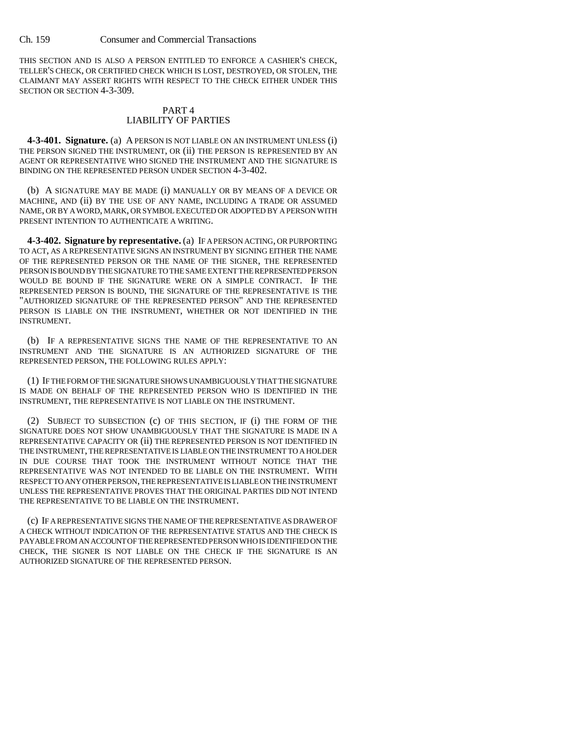THIS SECTION AND IS ALSO A PERSON ENTITLED TO ENFORCE A CASHIER'S CHECK, TELLER'S CHECK, OR CERTIFIED CHECK WHICH IS LOST, DESTROYED, OR STOLEN, THE CLAIMANT MAY ASSERT RIGHTS WITH RESPECT TO THE CHECK EITHER UNDER THIS SECTION OR SECTION 4-3-309.

## PART 4 LIABILITY OF PARTIES

**4-3-401. Signature.** (a) A PERSON IS NOT LIABLE ON AN INSTRUMENT UNLESS (i) THE PERSON SIGNED THE INSTRUMENT, OR (ii) THE PERSON IS REPRESENTED BY AN AGENT OR REPRESENTATIVE WHO SIGNED THE INSTRUMENT AND THE SIGNATURE IS BINDING ON THE REPRESENTED PERSON UNDER SECTION 4-3-402.

(b) A SIGNATURE MAY BE MADE (i) MANUALLY OR BY MEANS OF A DEVICE OR MACHINE, AND (ii) BY THE USE OF ANY NAME, INCLUDING A TRADE OR ASSUMED NAME, OR BY A WORD, MARK, OR SYMBOL EXECUTED OR ADOPTED BY A PERSON WITH PRESENT INTENTION TO AUTHENTICATE A WRITING.

**4-3-402. Signature by representative.** (a) IF A PERSON ACTING, OR PURPORTING TO ACT, AS A REPRESENTATIVE SIGNS AN INSTRUMENT BY SIGNING EITHER THE NAME OF THE REPRESENTED PERSON OR THE NAME OF THE SIGNER, THE REPRESENTED PERSON IS BOUND BY THE SIGNATURE TO THE SAME EXTENT THE REPRESENTED PERSON WOULD BE BOUND IF THE SIGNATURE WERE ON A SIMPLE CONTRACT. IF THE REPRESENTED PERSON IS BOUND, THE SIGNATURE OF THE REPRESENTATIVE IS THE "AUTHORIZED SIGNATURE OF THE REPRESENTED PERSON" AND THE REPRESENTED PERSON IS LIABLE ON THE INSTRUMENT, WHETHER OR NOT IDENTIFIED IN THE INSTRUMENT.

(b) IF A REPRESENTATIVE SIGNS THE NAME OF THE REPRESENTATIVE TO AN INSTRUMENT AND THE SIGNATURE IS AN AUTHORIZED SIGNATURE OF THE REPRESENTED PERSON, THE FOLLOWING RULES APPLY:

(1) IF THE FORM OF THE SIGNATURE SHOWS UNAMBIGUOUSLY THAT THE SIGNATURE IS MADE ON BEHALF OF THE REPRESENTED PERSON WHO IS IDENTIFIED IN THE INSTRUMENT, THE REPRESENTATIVE IS NOT LIABLE ON THE INSTRUMENT.

(2) SUBJECT TO SUBSECTION (c) OF THIS SECTION, IF (i) THE FORM OF THE SIGNATURE DOES NOT SHOW UNAMBIGUOUSLY THAT THE SIGNATURE IS MADE IN A REPRESENTATIVE CAPACITY OR (ii) THE REPRESENTED PERSON IS NOT IDENTIFIED IN THE INSTRUMENT, THE REPRESENTATIVE IS LIABLE ON THE INSTRUMENT TO A HOLDER IN DUE COURSE THAT TOOK THE INSTRUMENT WITHOUT NOTICE THAT THE REPRESENTATIVE WAS NOT INTENDED TO BE LIABLE ON THE INSTRUMENT. WITH RESPECT TO ANY OTHER PERSON, THE REPRESENTATIVE IS LIABLE ON THE INSTRUMENT UNLESS THE REPRESENTATIVE PROVES THAT THE ORIGINAL PARTIES DID NOT INTEND THE REPRESENTATIVE TO BE LIABLE ON THE INSTRUMENT.

(c) IF A REPRESENTATIVE SIGNS THE NAME OF THE REPRESENTATIVE AS DRAWER OF A CHECK WITHOUT INDICATION OF THE REPRESENTATIVE STATUS AND THE CHECK IS PAYABLE FROM AN ACCOUNT OF THE REPRESENTED PERSON WHO IS IDENTIFIED ON THE CHECK, THE SIGNER IS NOT LIABLE ON THE CHECK IF THE SIGNATURE IS AN AUTHORIZED SIGNATURE OF THE REPRESENTED PERSON.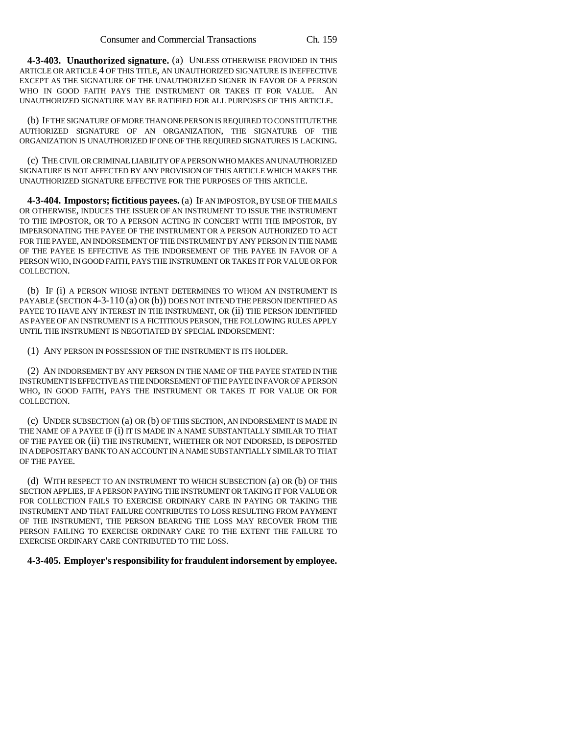**4-3-403. Unauthorized signature.** (a) UNLESS OTHERWISE PROVIDED IN THIS ARTICLE OR ARTICLE 4 OF THIS TITLE, AN UNAUTHORIZED SIGNATURE IS INEFFECTIVE EXCEPT AS THE SIGNATURE OF THE UNAUTHORIZED SIGNER IN FAVOR OF A PERSON WHO IN GOOD FAITH PAYS THE INSTRUMENT OR TAKES IT FOR VALUE. AN UNAUTHORIZED SIGNATURE MAY BE RATIFIED FOR ALL PURPOSES OF THIS ARTICLE.

(b) IF THE SIGNATURE OF MORE THAN ONE PERSON IS REQUIRED TO CONSTITUTE THE AUTHORIZED SIGNATURE OF AN ORGANIZATION, THE SIGNATURE OF THE ORGANIZATION IS UNAUTHORIZED IF ONE OF THE REQUIRED SIGNATURES IS LACKING.

(c) THE CIVIL OR CRIMINAL LIABILITY OF A PERSON WHO MAKES AN UNAUTHORIZED SIGNATURE IS NOT AFFECTED BY ANY PROVISION OF THIS ARTICLE WHICH MAKES THE UNAUTHORIZED SIGNATURE EFFECTIVE FOR THE PURPOSES OF THIS ARTICLE.

**4-3-404. Impostors; fictitious payees.** (a) IF AN IMPOSTOR, BY USE OF THE MAILS OR OTHERWISE, INDUCES THE ISSUER OF AN INSTRUMENT TO ISSUE THE INSTRUMENT TO THE IMPOSTOR, OR TO A PERSON ACTING IN CONCERT WITH THE IMPOSTOR, BY IMPERSONATING THE PAYEE OF THE INSTRUMENT OR A PERSON AUTHORIZED TO ACT FOR THE PAYEE, AN INDORSEMENT OF THE INSTRUMENT BY ANY PERSON IN THE NAME OF THE PAYEE IS EFFECTIVE AS THE INDORSEMENT OF THE PAYEE IN FAVOR OF A PERSON WHO, IN GOOD FAITH, PAYS THE INSTRUMENT OR TAKES IT FOR VALUE OR FOR COLLECTION.

(b) IF (i) A PERSON WHOSE INTENT DETERMINES TO WHOM AN INSTRUMENT IS PAYABLE (SECTION 4-3-110 (a) OR (b)) DOES NOT INTEND THE PERSON IDENTIFIED AS PAYEE TO HAVE ANY INTEREST IN THE INSTRUMENT, OR (ii) THE PERSON IDENTIFIED AS PAYEE OF AN INSTRUMENT IS A FICTITIOUS PERSON, THE FOLLOWING RULES APPLY UNTIL THE INSTRUMENT IS NEGOTIATED BY SPECIAL INDORSEMENT:

(1) ANY PERSON IN POSSESSION OF THE INSTRUMENT IS ITS HOLDER.

(2) AN INDORSEMENT BY ANY PERSON IN THE NAME OF THE PAYEE STATED IN THE INSTRUMENT IS EFFECTIVE AS THE INDORSEMENT OF THE PAYEE IN FAVOR OF A PERSON WHO, IN GOOD FAITH, PAYS THE INSTRUMENT OR TAKES IT FOR VALUE OR FOR COLLECTION.

(c) UNDER SUBSECTION (a) OR (b) OF THIS SECTION, AN INDORSEMENT IS MADE IN THE NAME OF A PAYEE IF (i) IT IS MADE IN A NAME SUBSTANTIALLY SIMILAR TO THAT OF THE PAYEE OR (ii) THE INSTRUMENT, WHETHER OR NOT INDORSED, IS DEPOSITED IN A DEPOSITARY BANK TO AN ACCOUNT IN A NAME SUBSTANTIALLY SIMILAR TO THAT OF THE PAYEE.

(d) WITH RESPECT TO AN INSTRUMENT TO WHICH SUBSECTION (a) OR (b) OF THIS SECTION APPLIES, IF A PERSON PAYING THE INSTRUMENT OR TAKING IT FOR VALUE OR FOR COLLECTION FAILS TO EXERCISE ORDINARY CARE IN PAYING OR TAKING THE INSTRUMENT AND THAT FAILURE CONTRIBUTES TO LOSS RESULTING FROM PAYMENT OF THE INSTRUMENT, THE PERSON BEARING THE LOSS MAY RECOVER FROM THE PERSON FAILING TO EXERCISE ORDINARY CARE TO THE EXTENT THE FAILURE TO EXERCISE ORDINARY CARE CONTRIBUTED TO THE LOSS.

#### **4-3-405. Employer's responsibility for fraudulent indorsement by employee.**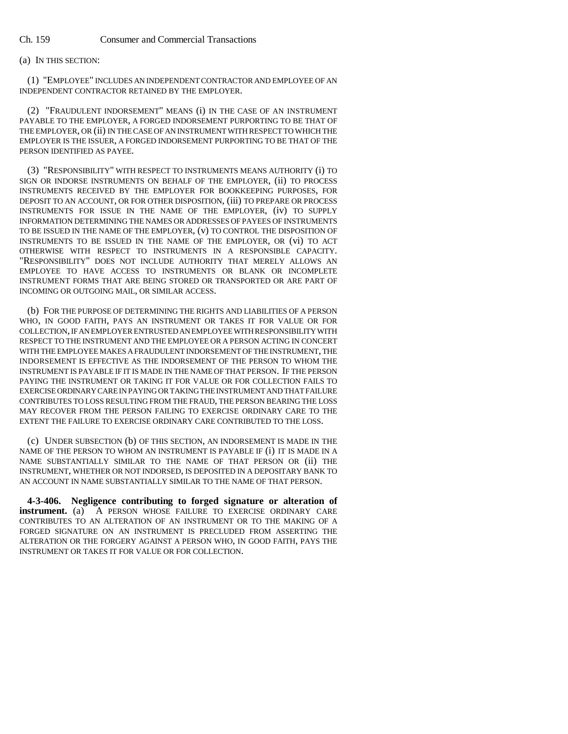### (a) IN THIS SECTION:

(1) "EMPLOYEE" INCLUDES AN INDEPENDENT CONTRACTOR AND EMPLOYEE OF AN INDEPENDENT CONTRACTOR RETAINED BY THE EMPLOYER.

(2) "FRAUDULENT INDORSEMENT" MEANS (i) IN THE CASE OF AN INSTRUMENT PAYABLE TO THE EMPLOYER, A FORGED INDORSEMENT PURPORTING TO BE THAT OF THE EMPLOYER, OR (ii) IN THE CASE OF AN INSTRUMENT WITH RESPECT TO WHICH THE EMPLOYER IS THE ISSUER, A FORGED INDORSEMENT PURPORTING TO BE THAT OF THE PERSON IDENTIFIED AS PAYEE.

(3) "RESPONSIBILITY" WITH RESPECT TO INSTRUMENTS MEANS AUTHORITY (i) TO SIGN OR INDORSE INSTRUMENTS ON BEHALF OF THE EMPLOYER, (ii) TO PROCESS INSTRUMENTS RECEIVED BY THE EMPLOYER FOR BOOKKEEPING PURPOSES, FOR DEPOSIT TO AN ACCOUNT, OR FOR OTHER DISPOSITION, (iii) TO PREPARE OR PROCESS INSTRUMENTS FOR ISSUE IN THE NAME OF THE EMPLOYER, (iv) TO SUPPLY INFORMATION DETERMINING THE NAMES OR ADDRESSES OF PAYEES OF INSTRUMENTS TO BE ISSUED IN THE NAME OF THE EMPLOYER, (v) TO CONTROL THE DISPOSITION OF INSTRUMENTS TO BE ISSUED IN THE NAME OF THE EMPLOYER, OR (vi) TO ACT OTHERWISE WITH RESPECT TO INSTRUMENTS IN A RESPONSIBLE CAPACITY. "RESPONSIBILITY" DOES NOT INCLUDE AUTHORITY THAT MERELY ALLOWS AN EMPLOYEE TO HAVE ACCESS TO INSTRUMENTS OR BLANK OR INCOMPLETE INSTRUMENT FORMS THAT ARE BEING STORED OR TRANSPORTED OR ARE PART OF INCOMING OR OUTGOING MAIL, OR SIMILAR ACCESS.

(b) FOR THE PURPOSE OF DETERMINING THE RIGHTS AND LIABILITIES OF A PERSON WHO, IN GOOD FAITH, PAYS AN INSTRUMENT OR TAKES IT FOR VALUE OR FOR COLLECTION, IF AN EMPLOYER ENTRUSTED AN EMPLOYEE WITH RESPONSIBILITY WITH RESPECT TO THE INSTRUMENT AND THE EMPLOYEE OR A PERSON ACTING IN CONCERT WITH THE EMPLOYEE MAKES A FRAUDULENT INDORSEMENT OF THE INSTRUMENT, THE INDORSEMENT IS EFFECTIVE AS THE INDORSEMENT OF THE PERSON TO WHOM THE INSTRUMENT IS PAYABLE IF IT IS MADE IN THE NAME OF THAT PERSON. IF THE PERSON PAYING THE INSTRUMENT OR TAKING IT FOR VALUE OR FOR COLLECTION FAILS TO EXERCISE ORDINARY CARE IN PAYING OR TAKING THE INSTRUMENT AND THAT FAILURE CONTRIBUTES TO LOSS RESULTING FROM THE FRAUD, THE PERSON BEARING THE LOSS MAY RECOVER FROM THE PERSON FAILING TO EXERCISE ORDINARY CARE TO THE EXTENT THE FAILURE TO EXERCISE ORDINARY CARE CONTRIBUTED TO THE LOSS.

(c) UNDER SUBSECTION (b) OF THIS SECTION, AN INDORSEMENT IS MADE IN THE NAME OF THE PERSON TO WHOM AN INSTRUMENT IS PAYABLE IF (i) IT IS MADE IN A NAME SUBSTANTIALLY SIMILAR TO THE NAME OF THAT PERSON OR (ii) THE INSTRUMENT, WHETHER OR NOT INDORSED, IS DEPOSITED IN A DEPOSITARY BANK TO AN ACCOUNT IN NAME SUBSTANTIALLY SIMILAR TO THE NAME OF THAT PERSON.

**4-3-406. Negligence contributing to forged signature or alteration of instrument.** (a) A PERSON WHOSE FAILURE TO EXERCISE ORDINARY CARE CONTRIBUTES TO AN ALTERATION OF AN INSTRUMENT OR TO THE MAKING OF A FORGED SIGNATURE ON AN INSTRUMENT IS PRECLUDED FROM ASSERTING THE ALTERATION OR THE FORGERY AGAINST A PERSON WHO, IN GOOD FAITH, PAYS THE INSTRUMENT OR TAKES IT FOR VALUE OR FOR COLLECTION.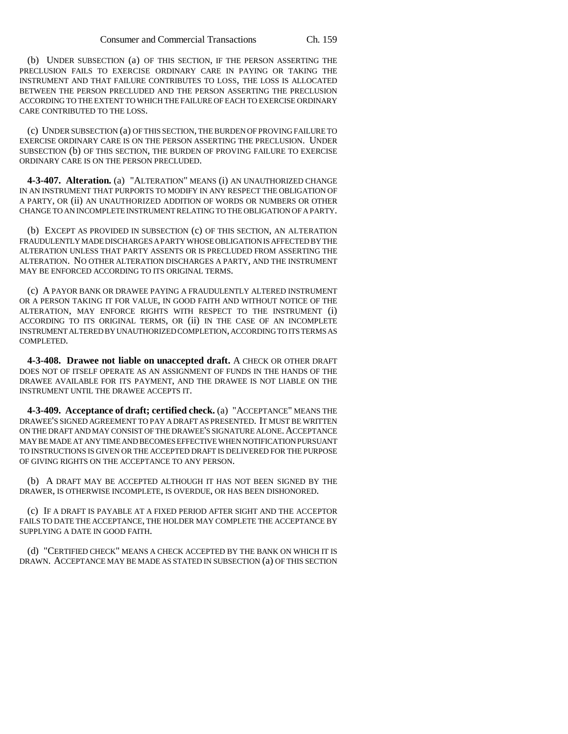(b) UNDER SUBSECTION (a) OF THIS SECTION, IF THE PERSON ASSERTING THE PRECLUSION FAILS TO EXERCISE ORDINARY CARE IN PAYING OR TAKING THE INSTRUMENT AND THAT FAILURE CONTRIBUTES TO LOSS, THE LOSS IS ALLOCATED BETWEEN THE PERSON PRECLUDED AND THE PERSON ASSERTING THE PRECLUSION ACCORDING TO THE EXTENT TO WHICH THE FAILURE OF EACH TO EXERCISE ORDINARY CARE CONTRIBUTED TO THE LOSS.

(c) UNDER SUBSECTION (a) OF THIS SECTION, THE BURDEN OF PROVING FAILURE TO EXERCISE ORDINARY CARE IS ON THE PERSON ASSERTING THE PRECLUSION. UNDER SUBSECTION (b) OF THIS SECTION, THE BURDEN OF PROVING FAILURE TO EXERCISE ORDINARY CARE IS ON THE PERSON PRECLUDED.

**4-3-407. Alteration.** (a) "ALTERATION" MEANS (i) AN UNAUTHORIZED CHANGE IN AN INSTRUMENT THAT PURPORTS TO MODIFY IN ANY RESPECT THE OBLIGATION OF A PARTY, OR (ii) AN UNAUTHORIZED ADDITION OF WORDS OR NUMBERS OR OTHER CHANGE TO AN INCOMPLETE INSTRUMENT RELATING TO THE OBLIGATION OF A PARTY.

(b) EXCEPT AS PROVIDED IN SUBSECTION (c) OF THIS SECTION, AN ALTERATION FRAUDULENTLY MADE DISCHARGES A PARTY WHOSE OBLIGATION IS AFFECTED BY THE ALTERATION UNLESS THAT PARTY ASSENTS OR IS PRECLUDED FROM ASSERTING THE ALTERATION. NO OTHER ALTERATION DISCHARGES A PARTY, AND THE INSTRUMENT MAY BE ENFORCED ACCORDING TO ITS ORIGINAL TERMS.

(c) A PAYOR BANK OR DRAWEE PAYING A FRAUDULENTLY ALTERED INSTRUMENT OR A PERSON TAKING IT FOR VALUE, IN GOOD FAITH AND WITHOUT NOTICE OF THE ALTERATION, MAY ENFORCE RIGHTS WITH RESPECT TO THE INSTRUMENT (i) ACCORDING TO ITS ORIGINAL TERMS, OR (ii) IN THE CASE OF AN INCOMPLETE INSTRUMENT ALTERED BY UNAUTHORIZED COMPLETION, ACCORDING TO ITS TERMS AS COMPLETED.

**4-3-408. Drawee not liable on unaccepted draft.** A CHECK OR OTHER DRAFT DOES NOT OF ITSELF OPERATE AS AN ASSIGNMENT OF FUNDS IN THE HANDS OF THE DRAWEE AVAILABLE FOR ITS PAYMENT, AND THE DRAWEE IS NOT LIABLE ON THE INSTRUMENT UNTIL THE DRAWEE ACCEPTS IT.

**4-3-409. Acceptance of draft; certified check.** (a) "ACCEPTANCE" MEANS THE DRAWEE'S SIGNED AGREEMENT TO PAY A DRAFT AS PRESENTED. IT MUST BE WRITTEN ON THE DRAFT AND MAY CONSIST OF THE DRAWEE'S SIGNATURE ALONE. ACCEPTANCE MAY BE MADE AT ANY TIME AND BECOMES EFFECTIVE WHEN NOTIFICATION PURSUANT TO INSTRUCTIONS IS GIVEN OR THE ACCEPTED DRAFT IS DELIVERED FOR THE PURPOSE OF GIVING RIGHTS ON THE ACCEPTANCE TO ANY PERSON.

(b) A DRAFT MAY BE ACCEPTED ALTHOUGH IT HAS NOT BEEN SIGNED BY THE DRAWER, IS OTHERWISE INCOMPLETE, IS OVERDUE, OR HAS BEEN DISHONORED.

(c) IF A DRAFT IS PAYABLE AT A FIXED PERIOD AFTER SIGHT AND THE ACCEPTOR FAILS TO DATE THE ACCEPTANCE, THE HOLDER MAY COMPLETE THE ACCEPTANCE BY SUPPLYING A DATE IN GOOD FAITH.

(d) "CERTIFIED CHECK" MEANS A CHECK ACCEPTED BY THE BANK ON WHICH IT IS DRAWN. ACCEPTANCE MAY BE MADE AS STATED IN SUBSECTION (a) OF THIS SECTION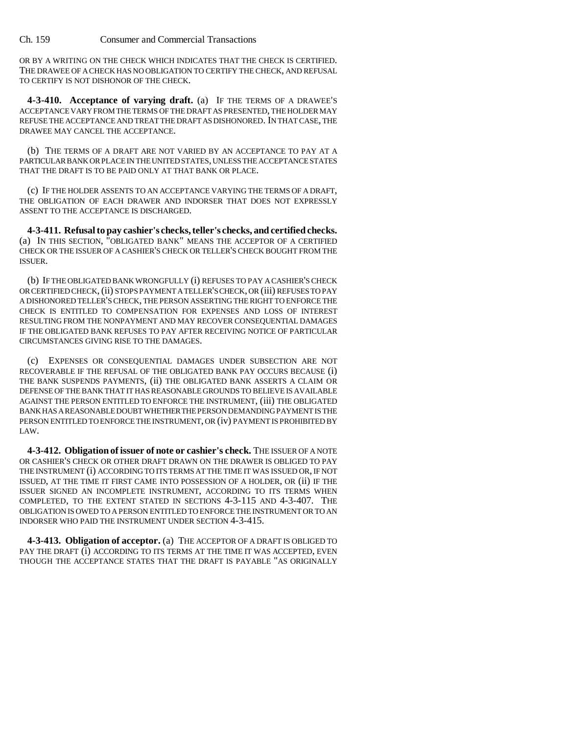OR BY A WRITING ON THE CHECK WHICH INDICATES THAT THE CHECK IS CERTIFIED. THE DRAWEE OF A CHECK HAS NO OBLIGATION TO CERTIFY THE CHECK, AND REFUSAL TO CERTIFY IS NOT DISHONOR OF THE CHECK.

**4-3-410. Acceptance of varying draft.** (a) IF THE TERMS OF A DRAWEE'S ACCEPTANCE VARY FROM THE TERMS OF THE DRAFT AS PRESENTED, THE HOLDER MAY REFUSE THE ACCEPTANCE AND TREAT THE DRAFT AS DISHONORED. IN THAT CASE, THE DRAWEE MAY CANCEL THE ACCEPTANCE.

(b) THE TERMS OF A DRAFT ARE NOT VARIED BY AN ACCEPTANCE TO PAY AT A PARTICULAR BANK OR PLACE IN THE UNITED STATES, UNLESS THE ACCEPTANCE STATES THAT THE DRAFT IS TO BE PAID ONLY AT THAT BANK OR PLACE.

(c) IF THE HOLDER ASSENTS TO AN ACCEPTANCE VARYING THE TERMS OF A DRAFT, THE OBLIGATION OF EACH DRAWER AND INDORSER THAT DOES NOT EXPRESSLY ASSENT TO THE ACCEPTANCE IS DISCHARGED.

**4-3-411. Refusal to pay cashier's checks, teller's checks, and certified checks.** (a) IN THIS SECTION, "OBLIGATED BANK" MEANS THE ACCEPTOR OF A CERTIFIED CHECK OR THE ISSUER OF A CASHIER'S CHECK OR TELLER'S CHECK BOUGHT FROM THE ISSUER.

(b) IF THE OBLIGATED BANK WRONGFULLY (i) REFUSES TO PAY A CASHIER'S CHECK OR CERTIFIED CHECK, (ii) STOPS PAYMENT A TELLER'S CHECK, OR (iii) REFUSES TO PAY A DISHONORED TELLER'S CHECK, THE PERSON ASSERTING THE RIGHT TO ENFORCE THE CHECK IS ENTITLED TO COMPENSATION FOR EXPENSES AND LOSS OF INTEREST RESULTING FROM THE NONPAYMENT AND MAY RECOVER CONSEQUENTIAL DAMAGES IF THE OBLIGATED BANK REFUSES TO PAY AFTER RECEIVING NOTICE OF PARTICULAR CIRCUMSTANCES GIVING RISE TO THE DAMAGES.

(c) EXPENSES OR CONSEQUENTIAL DAMAGES UNDER SUBSECTION ARE NOT RECOVERABLE IF THE REFUSAL OF THE OBLIGATED BANK PAY OCCURS BECAUSE (i) THE BANK SUSPENDS PAYMENTS, (ii) THE OBLIGATED BANK ASSERTS A CLAIM OR DEFENSE OF THE BANK THAT IT HAS REASONABLE GROUNDS TO BELIEVE IS AVAILABLE AGAINST THE PERSON ENTITLED TO ENFORCE THE INSTRUMENT, (iii) THE OBLIGATED BANK HAS A REASONABLE DOUBT WHETHER THE PERSON DEMANDING PAYMENT IS THE PERSON ENTITLED TO ENFORCE THE INSTRUMENT, OR (iv) PAYMENT IS PROHIBITED BY LAW.

**4-3-412. Obligation of issuer of note or cashier's check.** THE ISSUER OF A NOTE OR CASHIER'S CHECK OR OTHER DRAFT DRAWN ON THE DRAWER IS OBLIGED TO PAY THE INSTRUMENT (i) ACCORDING TO ITS TERMS AT THE TIME IT WAS ISSUED OR, IF NOT ISSUED, AT THE TIME IT FIRST CAME INTO POSSESSION OF A HOLDER, OR (ii) IF THE ISSUER SIGNED AN INCOMPLETE INSTRUMENT, ACCORDING TO ITS TERMS WHEN COMPLETED, TO THE EXTENT STATED IN SECTIONS 4-3-115 AND 4-3-407. THE OBLIGATION IS OWED TO A PERSON ENTITLED TO ENFORCE THE INSTRUMENT OR TO AN INDORSER WHO PAID THE INSTRUMENT UNDER SECTION 4-3-415.

**4-3-413. Obligation of acceptor.** (a) THE ACCEPTOR OF A DRAFT IS OBLIGED TO PAY THE DRAFT (i) ACCORDING TO ITS TERMS AT THE TIME IT WAS ACCEPTED, EVEN THOUGH THE ACCEPTANCE STATES THAT THE DRAFT IS PAYABLE "AS ORIGINALLY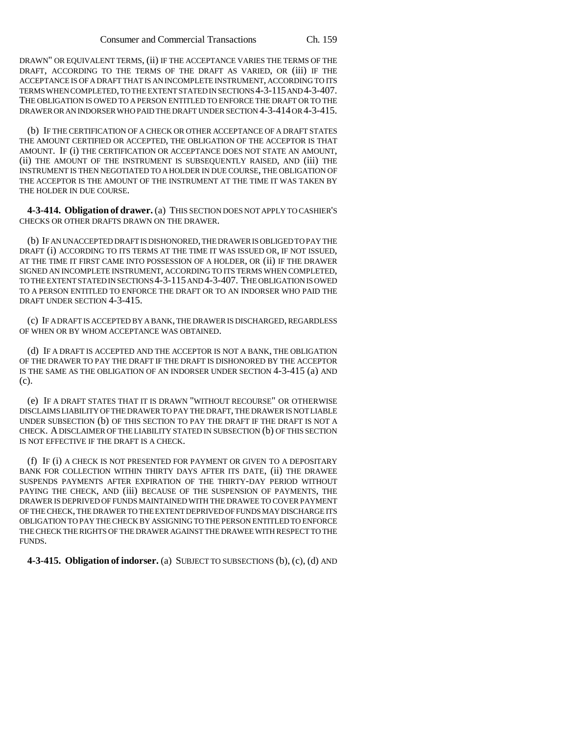DRAWN" OR EQUIVALENT TERMS, (ii) IF THE ACCEPTANCE VARIES THE TERMS OF THE DRAFT, ACCORDING TO THE TERMS OF THE DRAFT AS VARIED, OR (iii) IF THE ACCEPTANCE IS OF A DRAFT THAT IS AN INCOMPLETE INSTRUMENT, ACCORDING TO ITS TERMS WHEN COMPLETED, TO THE EXTENT STATED IN SECTIONS 4-3-115 AND 4-3-407. THE OBLIGATION IS OWED TO A PERSON ENTITLED TO ENFORCE THE DRAFT OR TO THE DRAWER OR AN INDORSER WHO PAID THE DRAFT UNDER SECTION 4-3-414 OR 4-3-415.

(b) IF THE CERTIFICATION OF A CHECK OR OTHER ACCEPTANCE OF A DRAFT STATES THE AMOUNT CERTIFIED OR ACCEPTED, THE OBLIGATION OF THE ACCEPTOR IS THAT AMOUNT. IF (i) THE CERTIFICATION OR ACCEPTANCE DOES NOT STATE AN AMOUNT, (ii) THE AMOUNT OF THE INSTRUMENT IS SUBSEQUENTLY RAISED, AND (iii) THE INSTRUMENT IS THEN NEGOTIATED TO A HOLDER IN DUE COURSE, THE OBLIGATION OF THE ACCEPTOR IS THE AMOUNT OF THE INSTRUMENT AT THE TIME IT WAS TAKEN BY THE HOLDER IN DUE COURSE.

**4-3-414. Obligation of drawer.** (a) THIS SECTION DOES NOT APPLY TO CASHIER'S CHECKS OR OTHER DRAFTS DRAWN ON THE DRAWER.

(b) IF AN UNACCEPTED DRAFT IS DISHONORED, THE DRAWER IS OBLIGED TO PAY THE DRAFT (i) ACCORDING TO ITS TERMS AT THE TIME IT WAS ISSUED OR, IF NOT ISSUED, AT THE TIME IT FIRST CAME INTO POSSESSION OF A HOLDER, OR (ii) IF THE DRAWER SIGNED AN INCOMPLETE INSTRUMENT, ACCORDING TO ITS TERMS WHEN COMPLETED, TO THE EXTENT STATED IN SECTIONS 4-3-115 AND 4-3-407. THE OBLIGATION IS OWED TO A PERSON ENTITLED TO ENFORCE THE DRAFT OR TO AN INDORSER WHO PAID THE DRAFT UNDER SECTION 4-3-415.

(c) IF A DRAFT IS ACCEPTED BY A BANK, THE DRAWER IS DISCHARGED, REGARDLESS OF WHEN OR BY WHOM ACCEPTANCE WAS OBTAINED.

(d) IF A DRAFT IS ACCEPTED AND THE ACCEPTOR IS NOT A BANK, THE OBLIGATION OF THE DRAWER TO PAY THE DRAFT IF THE DRAFT IS DISHONORED BY THE ACCEPTOR IS THE SAME AS THE OBLIGATION OF AN INDORSER UNDER SECTION 4-3-415 (a) AND (c).

(e) IF A DRAFT STATES THAT IT IS DRAWN "WITHOUT RECOURSE" OR OTHERWISE DISCLAIMS LIABILITY OF THE DRAWER TO PAY THE DRAFT, THE DRAWER IS NOT LIABLE UNDER SUBSECTION (b) OF THIS SECTION TO PAY THE DRAFT IF THE DRAFT IS NOT A CHECK. A DISCLAIMER OF THE LIABILITY STATED IN SUBSECTION (b) OF THIS SECTION IS NOT EFFECTIVE IF THE DRAFT IS A CHECK.

(f) IF (i) A CHECK IS NOT PRESENTED FOR PAYMENT OR GIVEN TO A DEPOSITARY BANK FOR COLLECTION WITHIN THIRTY DAYS AFTER ITS DATE, (ii) THE DRAWEE SUSPENDS PAYMENTS AFTER EXPIRATION OF THE THIRTY-DAY PERIOD WITHOUT PAYING THE CHECK, AND (iii) BECAUSE OF THE SUSPENSION OF PAYMENTS, THE DRAWER IS DEPRIVED OF FUNDS MAINTAINED WITH THE DRAWEE TO COVER PAYMENT OF THE CHECK, THE DRAWER TO THE EXTENT DEPRIVED OF FUNDS MAY DISCHARGE ITS OBLIGATION TO PAY THE CHECK BY ASSIGNING TO THE PERSON ENTITLED TO ENFORCE THE CHECK THE RIGHTS OF THE DRAWER AGAINST THE DRAWEE WITH RESPECT TO THE FUNDS.

**4-3-415. Obligation of indorser.** (a) SUBJECT TO SUBSECTIONS (b), (c), (d) AND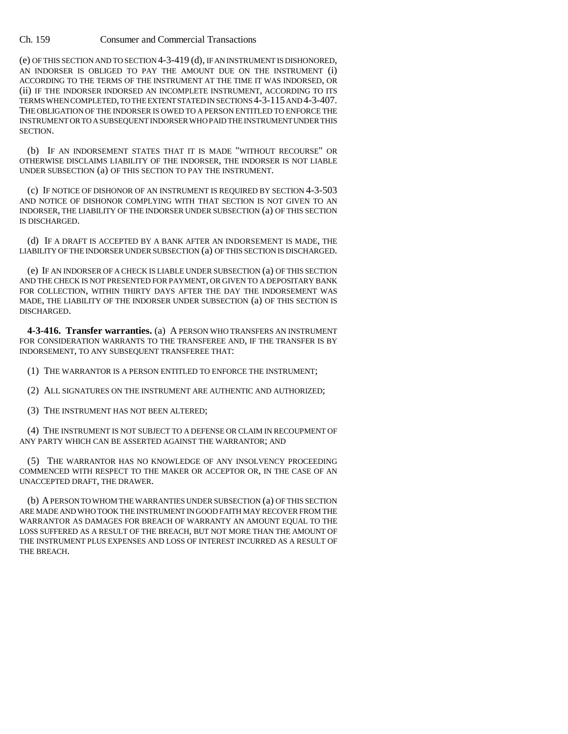(e) OF THIS SECTION AND TO SECTION 4-3-419 (d), IF AN INSTRUMENT IS DISHONORED, AN INDORSER IS OBLIGED TO PAY THE AMOUNT DUE ON THE INSTRUMENT (i) ACCORDING TO THE TERMS OF THE INSTRUMENT AT THE TIME IT WAS INDORSED, OR (ii) IF THE INDORSER INDORSED AN INCOMPLETE INSTRUMENT, ACCORDING TO ITS TERMS WHEN COMPLETED, TO THE EXTENT STATED IN SECTIONS 4-3-115 AND 4-3-407. THE OBLIGATION OF THE INDORSER IS OWED TO A PERSON ENTITLED TO ENFORCE THE INSTRUMENT OR TO A SUBSEQUENT INDORSER WHO PAID THE INSTRUMENT UNDER THIS **SECTION** 

(b) IF AN INDORSEMENT STATES THAT IT IS MADE "WITHOUT RECOURSE" OR OTHERWISE DISCLAIMS LIABILITY OF THE INDORSER, THE INDORSER IS NOT LIABLE UNDER SUBSECTION (a) OF THIS SECTION TO PAY THE INSTRUMENT.

(c) IF NOTICE OF DISHONOR OF AN INSTRUMENT IS REQUIRED BY SECTION 4-3-503 AND NOTICE OF DISHONOR COMPLYING WITH THAT SECTION IS NOT GIVEN TO AN INDORSER, THE LIABILITY OF THE INDORSER UNDER SUBSECTION (a) OF THIS SECTION IS DISCHARGED.

(d) IF A DRAFT IS ACCEPTED BY A BANK AFTER AN INDORSEMENT IS MADE, THE LIABILITY OF THE INDORSER UNDER SUBSECTION (a) OF THIS SECTION IS DISCHARGED.

(e) IF AN INDORSER OF A CHECK IS LIABLE UNDER SUBSECTION (a) OF THIS SECTION AND THE CHECK IS NOT PRESENTED FOR PAYMENT, OR GIVEN TO A DEPOSITARY BANK FOR COLLECTION, WITHIN THIRTY DAYS AFTER THE DAY THE INDORSEMENT WAS MADE, THE LIABILITY OF THE INDORSER UNDER SUBSECTION (a) OF THIS SECTION IS DISCHARGED.

**4-3-416. Transfer warranties.** (a) A PERSON WHO TRANSFERS AN INSTRUMENT FOR CONSIDERATION WARRANTS TO THE TRANSFEREE AND, IF THE TRANSFER IS BY INDORSEMENT, TO ANY SUBSEQUENT TRANSFEREE THAT:

(1) THE WARRANTOR IS A PERSON ENTITLED TO ENFORCE THE INSTRUMENT;

(2) ALL SIGNATURES ON THE INSTRUMENT ARE AUTHENTIC AND AUTHORIZED;

(3) THE INSTRUMENT HAS NOT BEEN ALTERED;

(4) THE INSTRUMENT IS NOT SUBJECT TO A DEFENSE OR CLAIM IN RECOUPMENT OF ANY PARTY WHICH CAN BE ASSERTED AGAINST THE WARRANTOR; AND

(5) THE WARRANTOR HAS NO KNOWLEDGE OF ANY INSOLVENCY PROCEEDING COMMENCED WITH RESPECT TO THE MAKER OR ACCEPTOR OR, IN THE CASE OF AN UNACCEPTED DRAFT, THE DRAWER.

(b) A PERSON TO WHOM THE WARRANTIES UNDER SUBSECTION (a) OF THIS SECTION ARE MADE AND WHO TOOK THE INSTRUMENT IN GOOD FAITH MAY RECOVER FROM THE WARRANTOR AS DAMAGES FOR BREACH OF WARRANTY AN AMOUNT EQUAL TO THE LOSS SUFFERED AS A RESULT OF THE BREACH, BUT NOT MORE THAN THE AMOUNT OF THE INSTRUMENT PLUS EXPENSES AND LOSS OF INTEREST INCURRED AS A RESULT OF THE BREACH.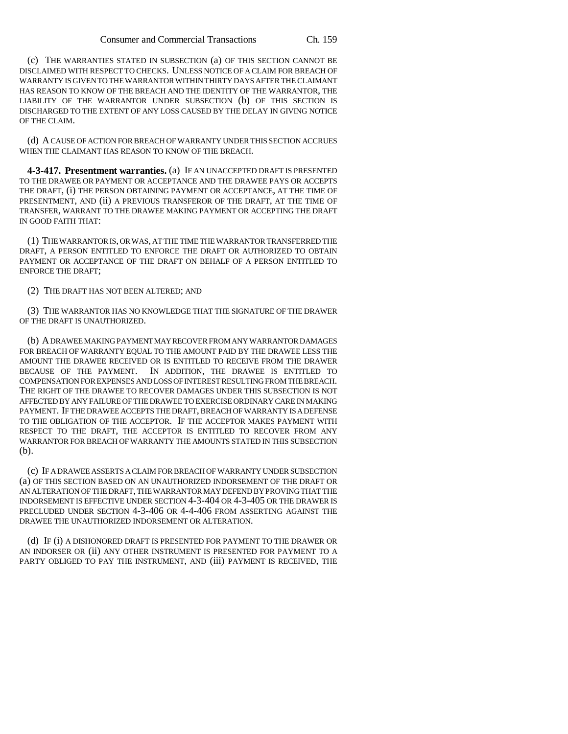(c) THE WARRANTIES STATED IN SUBSECTION (a) OF THIS SECTION CANNOT BE DISCLAIMED WITH RESPECT TO CHECKS. UNLESS NOTICE OF A CLAIM FOR BREACH OF WARRANTY IS GIVEN TO THE WARRANTOR WITHIN THIRTY DAYS AFTER THE CLAIMANT HAS REASON TO KNOW OF THE BREACH AND THE IDENTITY OF THE WARRANTOR, THE LIABILITY OF THE WARRANTOR UNDER SUBSECTION (b) OF THIS SECTION IS DISCHARGED TO THE EXTENT OF ANY LOSS CAUSED BY THE DELAY IN GIVING NOTICE OF THE CLAIM.

(d) A CAUSE OF ACTION FOR BREACH OF WARRANTY UNDER THIS SECTION ACCRUES WHEN THE CLAIMANT HAS REASON TO KNOW OF THE BREACH.

**4-3-417. Presentment warranties.** (a) IF AN UNACCEPTED DRAFT IS PRESENTED TO THE DRAWEE OR PAYMENT OR ACCEPTANCE AND THE DRAWEE PAYS OR ACCEPTS THE DRAFT, (i) THE PERSON OBTAINING PAYMENT OR ACCEPTANCE, AT THE TIME OF PRESENTMENT, AND (ii) A PREVIOUS TRANSFEROR OF THE DRAFT, AT THE TIME OF TRANSFER, WARRANT TO THE DRAWEE MAKING PAYMENT OR ACCEPTING THE DRAFT IN GOOD FAITH THAT:

(1) THE WARRANTOR IS, OR WAS, AT THE TIME THE WARRANTOR TRANSFERRED THE DRAFT, A PERSON ENTITLED TO ENFORCE THE DRAFT OR AUTHORIZED TO OBTAIN PAYMENT OR ACCEPTANCE OF THE DRAFT ON BEHALF OF A PERSON ENTITLED TO ENFORCE THE DRAFT;

(2) THE DRAFT HAS NOT BEEN ALTERED; AND

(3) THE WARRANTOR HAS NO KNOWLEDGE THAT THE SIGNATURE OF THE DRAWER OF THE DRAFT IS UNAUTHORIZED.

(b) A DRAWEE MAKING PAYMENT MAY RECOVER FROM ANY WARRANTOR DAMAGES FOR BREACH OF WARRANTY EQUAL TO THE AMOUNT PAID BY THE DRAWEE LESS THE AMOUNT THE DRAWEE RECEIVED OR IS ENTITLED TO RECEIVE FROM THE DRAWER BECAUSE OF THE PAYMENT. IN ADDITION, THE DRAWEE IS ENTITLED TO COMPENSATION FOR EXPENSES AND LOSS OF INTEREST RESULTING FROM THE BREACH. THE RIGHT OF THE DRAWEE TO RECOVER DAMAGES UNDER THIS SUBSECTION IS NOT AFFECTED BY ANY FAILURE OF THE DRAWEE TO EXERCISE ORDINARY CARE IN MAKING PAYMENT. IF THE DRAWEE ACCEPTS THE DRAFT, BREACH OF WARRANTY IS A DEFENSE TO THE OBLIGATION OF THE ACCEPTOR. IF THE ACCEPTOR MAKES PAYMENT WITH RESPECT TO THE DRAFT, THE ACCEPTOR IS ENTITLED TO RECOVER FROM ANY WARRANTOR FOR BREACH OF WARRANTY THE AMOUNTS STATED IN THIS SUBSECTION (b).

(c) IF A DRAWEE ASSERTS A CLAIM FOR BREACH OF WARRANTY UNDER SUBSECTION (a) OF THIS SECTION BASED ON AN UNAUTHORIZED INDORSEMENT OF THE DRAFT OR AN ALTERATION OF THE DRAFT, THE WARRANTOR MAY DEFEND BY PROVING THAT THE INDORSEMENT IS EFFECTIVE UNDER SECTION 4-3-404 OR 4-3-405 OR THE DRAWER IS PRECLUDED UNDER SECTION 4-3-406 OR 4-4-406 FROM ASSERTING AGAINST THE DRAWEE THE UNAUTHORIZED INDORSEMENT OR ALTERATION.

(d) IF (i) A DISHONORED DRAFT IS PRESENTED FOR PAYMENT TO THE DRAWER OR AN INDORSER OR (ii) ANY OTHER INSTRUMENT IS PRESENTED FOR PAYMENT TO A PARTY OBLIGED TO PAY THE INSTRUMENT, AND (iii) PAYMENT IS RECEIVED, THE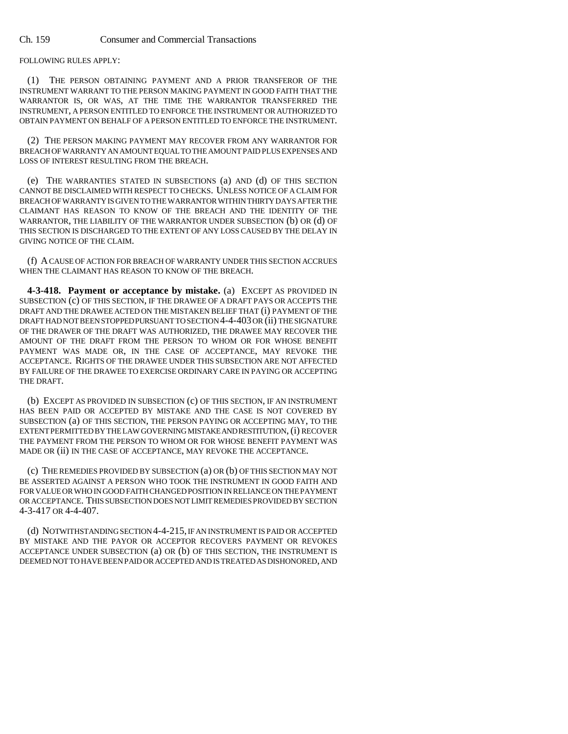FOLLOWING RULES APPLY:

(1) THE PERSON OBTAINING PAYMENT AND A PRIOR TRANSFEROR OF THE INSTRUMENT WARRANT TO THE PERSON MAKING PAYMENT IN GOOD FAITH THAT THE WARRANTOR IS, OR WAS, AT THE TIME THE WARRANTOR TRANSFERRED THE INSTRUMENT, A PERSON ENTITLED TO ENFORCE THE INSTRUMENT OR AUTHORIZED TO OBTAIN PAYMENT ON BEHALF OF A PERSON ENTITLED TO ENFORCE THE INSTRUMENT.

(2) THE PERSON MAKING PAYMENT MAY RECOVER FROM ANY WARRANTOR FOR BREACH OF WARRANTY AN AMOUNT EQUAL TO THE AMOUNT PAID PLUS EXPENSES AND LOSS OF INTEREST RESULTING FROM THE BREACH.

(e) THE WARRANTIES STATED IN SUBSECTIONS (a) AND (d) OF THIS SECTION CANNOT BE DISCLAIMED WITH RESPECT TO CHECKS. UNLESS NOTICE OF A CLAIM FOR BREACH OF WARRANTY IS GIVEN TO THE WARRANTOR WITHIN THIRTY DAYS AFTER THE CLAIMANT HAS REASON TO KNOW OF THE BREACH AND THE IDENTITY OF THE WARRANTOR, THE LIABILITY OF THE WARRANTOR UNDER SUBSECTION (b) OR (d) OF THIS SECTION IS DISCHARGED TO THE EXTENT OF ANY LOSS CAUSED BY THE DELAY IN GIVING NOTICE OF THE CLAIM.

(f) A CAUSE OF ACTION FOR BREACH OF WARRANTY UNDER THIS SECTION ACCRUES WHEN THE CLAIMANT HAS REASON TO KNOW OF THE BREACH.

**4-3-418. Payment or acceptance by mistake.** (a) EXCEPT AS PROVIDED IN SUBSECTION (c) OF THIS SECTION, IF THE DRAWEE OF A DRAFT PAYS OR ACCEPTS THE DRAFT AND THE DRAWEE ACTED ON THE MISTAKEN BELIEF THAT (i) PAYMENT OF THE DRAFT HAD NOT BEEN STOPPED PURSUANT TO SECTION 4-4-403 OR (ii) THE SIGNATURE OF THE DRAWER OF THE DRAFT WAS AUTHORIZED, THE DRAWEE MAY RECOVER THE AMOUNT OF THE DRAFT FROM THE PERSON TO WHOM OR FOR WHOSE BENEFIT PAYMENT WAS MADE OR, IN THE CASE OF ACCEPTANCE, MAY REVOKE THE ACCEPTANCE. RIGHTS OF THE DRAWEE UNDER THIS SUBSECTION ARE NOT AFFECTED BY FAILURE OF THE DRAWEE TO EXERCISE ORDINARY CARE IN PAYING OR ACCEPTING THE DRAFT.

(b) EXCEPT AS PROVIDED IN SUBSECTION (c) OF THIS SECTION, IF AN INSTRUMENT HAS BEEN PAID OR ACCEPTED BY MISTAKE AND THE CASE IS NOT COVERED BY SUBSECTION (a) OF THIS SECTION, THE PERSON PAYING OR ACCEPTING MAY, TO THE EXTENT PERMITTED BY THE LAW GOVERNING MISTAKE AND RESTITUTION, (i) RECOVER THE PAYMENT FROM THE PERSON TO WHOM OR FOR WHOSE BENEFIT PAYMENT WAS MADE OR (ii) IN THE CASE OF ACCEPTANCE, MAY REVOKE THE ACCEPTANCE.

(c) THE REMEDIES PROVIDED BY SUBSECTION (a) OR (b) OF THIS SECTION MAY NOT BE ASSERTED AGAINST A PERSON WHO TOOK THE INSTRUMENT IN GOOD FAITH AND FOR VALUE OR WHO IN GOOD FAITH CHANGED POSITION IN RELIANCE ON THE PAYMENT OR ACCEPTANCE. THIS SUBSECTION DOES NOT LIMIT REMEDIES PROVIDED BY SECTION 4-3-417 OR 4-4-407.

(d) NOTWITHSTANDING SECTION 4-4-215, IF AN INSTRUMENT IS PAID OR ACCEPTED BY MISTAKE AND THE PAYOR OR ACCEPTOR RECOVERS PAYMENT OR REVOKES ACCEPTANCE UNDER SUBSECTION (a) OR (b) OF THIS SECTION, THE INSTRUMENT IS DEEMED NOT TO HAVE BEEN PAID OR ACCEPTED AND IS TREATED AS DISHONORED, AND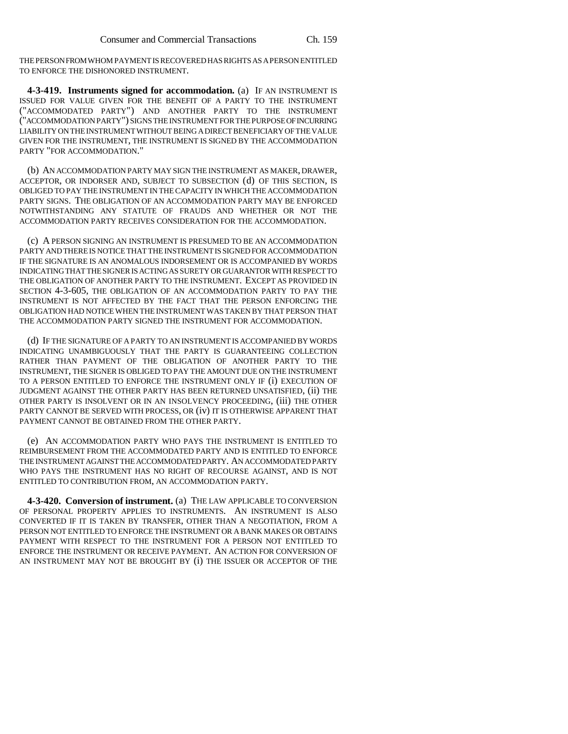THE PERSON FROM WHOM PAYMENT IS RECOVERED HAS RIGHTS AS A PERSON ENTITLED TO ENFORCE THE DISHONORED INSTRUMENT.

**4-3-419. Instruments signed for accommodation.** (a) IF AN INSTRUMENT IS ISSUED FOR VALUE GIVEN FOR THE BENEFIT OF A PARTY TO THE INSTRUMENT ("ACCOMMODATED PARTY") AND ANOTHER PARTY TO THE INSTRUMENT ("ACCOMMODATION PARTY") SIGNS THE INSTRUMENT FOR THE PURPOSE OF INCURRING LIABILITY ON THE INSTRUMENT WITHOUT BEING A DIRECT BENEFICIARY OF THE VALUE GIVEN FOR THE INSTRUMENT, THE INSTRUMENT IS SIGNED BY THE ACCOMMODATION PARTY "FOR ACCOMMODATION."

(b) AN ACCOMMODATION PARTY MAY SIGN THE INSTRUMENT AS MAKER, DRAWER, ACCEPTOR, OR INDORSER AND, SUBJECT TO SUBSECTION (d) OF THIS SECTION, IS OBLIGED TO PAY THE INSTRUMENT IN THE CAPACITY IN WHICH THE ACCOMMODATION PARTY SIGNS. THE OBLIGATION OF AN ACCOMMODATION PARTY MAY BE ENFORCED NOTWITHSTANDING ANY STATUTE OF FRAUDS AND WHETHER OR NOT THE ACCOMMODATION PARTY RECEIVES CONSIDERATION FOR THE ACCOMMODATION.

(c) A PERSON SIGNING AN INSTRUMENT IS PRESUMED TO BE AN ACCOMMODATION PARTY AND THERE IS NOTICE THAT THE INSTRUMENT IS SIGNED FOR ACCOMMODATION IF THE SIGNATURE IS AN ANOMALOUS INDORSEMENT OR IS ACCOMPANIED BY WORDS INDICATING THAT THE SIGNER IS ACTING AS SURETY OR GUARANTOR WITH RESPECT TO THE OBLIGATION OF ANOTHER PARTY TO THE INSTRUMENT. EXCEPT AS PROVIDED IN SECTION 4-3-605, THE OBLIGATION OF AN ACCOMMODATION PARTY TO PAY THE INSTRUMENT IS NOT AFFECTED BY THE FACT THAT THE PERSON ENFORCING THE OBLIGATION HAD NOTICE WHEN THE INSTRUMENT WAS TAKEN BY THAT PERSON THAT THE ACCOMMODATION PARTY SIGNED THE INSTRUMENT FOR ACCOMMODATION.

(d) IF THE SIGNATURE OF A PARTY TO AN INSTRUMENT IS ACCOMPANIED BY WORDS INDICATING UNAMBIGUOUSLY THAT THE PARTY IS GUARANTEEING COLLECTION RATHER THAN PAYMENT OF THE OBLIGATION OF ANOTHER PARTY TO THE INSTRUMENT, THE SIGNER IS OBLIGED TO PAY THE AMOUNT DUE ON THE INSTRUMENT TO A PERSON ENTITLED TO ENFORCE THE INSTRUMENT ONLY IF (i) EXECUTION OF JUDGMENT AGAINST THE OTHER PARTY HAS BEEN RETURNED UNSATISFIED, (ii) THE OTHER PARTY IS INSOLVENT OR IN AN INSOLVENCY PROCEEDING, (iii) THE OTHER PARTY CANNOT BE SERVED WITH PROCESS, OR (iv) IT IS OTHERWISE APPARENT THAT PAYMENT CANNOT BE OBTAINED FROM THE OTHER PARTY.

(e) AN ACCOMMODATION PARTY WHO PAYS THE INSTRUMENT IS ENTITLED TO REIMBURSEMENT FROM THE ACCOMMODATED PARTY AND IS ENTITLED TO ENFORCE THE INSTRUMENT AGAINST THE ACCOMMODATED PARTY. AN ACCOMMODATED PARTY WHO PAYS THE INSTRUMENT HAS NO RIGHT OF RECOURSE AGAINST, AND IS NOT ENTITLED TO CONTRIBUTION FROM, AN ACCOMMODATION PARTY.

**4-3-420. Conversion of instrument.** (a) THE LAW APPLICABLE TO CONVERSION OF PERSONAL PROPERTY APPLIES TO INSTRUMENTS. AN INSTRUMENT IS ALSO CONVERTED IF IT IS TAKEN BY TRANSFER, OTHER THAN A NEGOTIATION, FROM A PERSON NOT ENTITLED TO ENFORCE THE INSTRUMENT OR A BANK MAKES OR OBTAINS PAYMENT WITH RESPECT TO THE INSTRUMENT FOR A PERSON NOT ENTITLED TO ENFORCE THE INSTRUMENT OR RECEIVE PAYMENT. AN ACTION FOR CONVERSION OF AN INSTRUMENT MAY NOT BE BROUGHT BY (i) THE ISSUER OR ACCEPTOR OF THE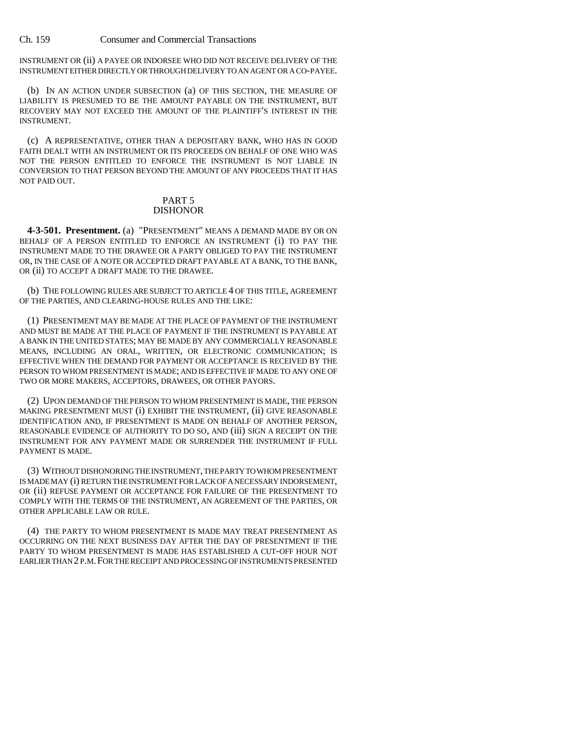INSTRUMENT OR (ii) A PAYEE OR INDORSEE WHO DID NOT RECEIVE DELIVERY OF THE INSTRUMENT EITHER DIRECTLY OR THROUGH DELIVERY TO AN AGENT OR A CO-PAYEE.

(b) IN AN ACTION UNDER SUBSECTION (a) OF THIS SECTION, THE MEASURE OF LIABILITY IS PRESUMED TO BE THE AMOUNT PAYABLE ON THE INSTRUMENT, BUT RECOVERY MAY NOT EXCEED THE AMOUNT OF THE PLAINTIFF'S INTEREST IN THE INSTRUMENT.

(c) A REPRESENTATIVE, OTHER THAN A DEPOSITARY BANK, WHO HAS IN GOOD FAITH DEALT WITH AN INSTRUMENT OR ITS PROCEEDS ON BEHALF OF ONE WHO WAS NOT THE PERSON ENTITLED TO ENFORCE THE INSTRUMENT IS NOT LIABLE IN CONVERSION TO THAT PERSON BEYOND THE AMOUNT OF ANY PROCEEDS THAT IT HAS NOT PAID OUT.

#### PART 5 DISHONOR

**4-3-501. Presentment.** (a) "PRESENTMENT" MEANS A DEMAND MADE BY OR ON BEHALF OF A PERSON ENTITLED TO ENFORCE AN INSTRUMENT (i) TO PAY THE INSTRUMENT MADE TO THE DRAWEE OR A PARTY OBLIGED TO PAY THE INSTRUMENT OR, IN THE CASE OF A NOTE OR ACCEPTED DRAFT PAYABLE AT A BANK, TO THE BANK, OR (ii) TO ACCEPT A DRAFT MADE TO THE DRAWEE.

(b) THE FOLLOWING RULES ARE SUBJECT TO ARTICLE 4 OF THIS TITLE, AGREEMENT OF THE PARTIES, AND CLEARING-HOUSE RULES AND THE LIKE:

(1) PRESENTMENT MAY BE MADE AT THE PLACE OF PAYMENT OF THE INSTRUMENT AND MUST BE MADE AT THE PLACE OF PAYMENT IF THE INSTRUMENT IS PAYABLE AT A BANK IN THE UNITED STATES; MAY BE MADE BY ANY COMMERCIALLY REASONABLE MEANS, INCLUDING AN ORAL, WRITTEN, OR ELECTRONIC COMMUNICATION; IS EFFECTIVE WHEN THE DEMAND FOR PAYMENT OR ACCEPTANCE IS RECEIVED BY THE PERSON TO WHOM PRESENTMENT IS MADE; AND IS EFFECTIVE IF MADE TO ANY ONE OF TWO OR MORE MAKERS, ACCEPTORS, DRAWEES, OR OTHER PAYORS.

(2) UPON DEMAND OF THE PERSON TO WHOM PRESENTMENT IS MADE, THE PERSON MAKING PRESENTMENT MUST (i) EXHIBIT THE INSTRUMENT, (ii) GIVE REASONABLE IDENTIFICATION AND, IF PRESENTMENT IS MADE ON BEHALF OF ANOTHER PERSON, REASONABLE EVIDENCE OF AUTHORITY TO DO SO, AND (iii) SIGN A RECEIPT ON THE INSTRUMENT FOR ANY PAYMENT MADE OR SURRENDER THE INSTRUMENT IF FULL PAYMENT IS MADE.

(3) WITHOUT DISHONORING THE INSTRUMENT, THE PARTY TO WHOM PRESENTMENT IS MADE MAY (i) RETURN THE INSTRUMENT FOR LACK OF A NECESSARY INDORSEMENT, OR (ii) REFUSE PAYMENT OR ACCEPTANCE FOR FAILURE OF THE PRESENTMENT TO COMPLY WITH THE TERMS OF THE INSTRUMENT, AN AGREEMENT OF THE PARTIES, OR OTHER APPLICABLE LAW OR RULE.

(4) THE PARTY TO WHOM PRESENTMENT IS MADE MAY TREAT PRESENTMENT AS OCCURRING ON THE NEXT BUSINESS DAY AFTER THE DAY OF PRESENTMENT IF THE PARTY TO WHOM PRESENTMENT IS MADE HAS ESTABLISHED A CUT-OFF HOUR NOT EARLIER THAN 2 P.M. FOR THE RECEIPT AND PROCESSING OF INSTRUMENTS PRESENTED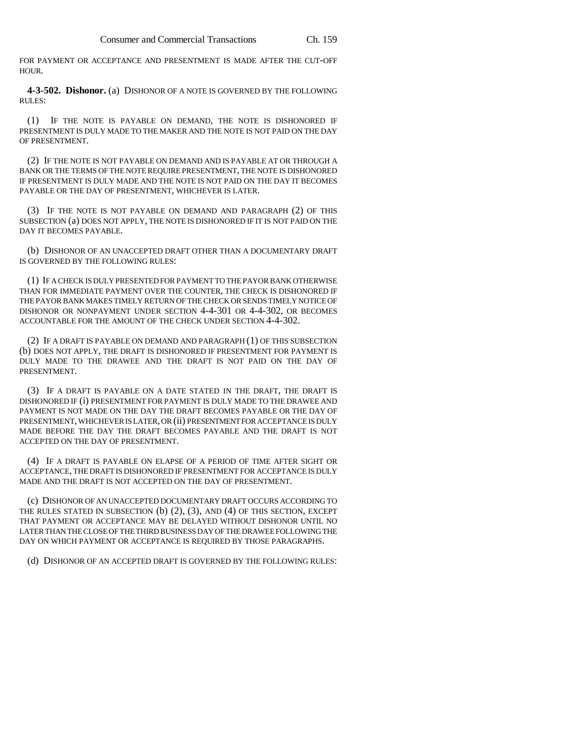FOR PAYMENT OR ACCEPTANCE AND PRESENTMENT IS MADE AFTER THE CUT-OFF HOUR.

**4-3-502. Dishonor.** (a) DISHONOR OF A NOTE IS GOVERNED BY THE FOLLOWING RULES:

(1) IF THE NOTE IS PAYABLE ON DEMAND, THE NOTE IS DISHONORED IF PRESENTMENT IS DULY MADE TO THE MAKER AND THE NOTE IS NOT PAID ON THE DAY OF PRESENTMENT.

(2) IF THE NOTE IS NOT PAYABLE ON DEMAND AND IS PAYABLE AT OR THROUGH A BANK OR THE TERMS OF THE NOTE REQUIRE PRESENTMENT, THE NOTE IS DISHONORED IF PRESENTMENT IS DULY MADE AND THE NOTE IS NOT PAID ON THE DAY IT BECOMES PAYABLE OR THE DAY OF PRESENTMENT, WHICHEVER IS LATER.

(3) IF THE NOTE IS NOT PAYABLE ON DEMAND AND PARAGRAPH (2) OF THIS SUBSECTION (a) DOES NOT APPLY, THE NOTE IS DISHONORED IF IT IS NOT PAID ON THE DAY IT BECOMES PAYABLE.

(b) DISHONOR OF AN UNACCEPTED DRAFT OTHER THAN A DOCUMENTARY DRAFT IS GOVERNED BY THE FOLLOWING RULES:

(1) IF A CHECK IS DULY PRESENTED FOR PAYMENT TO THE PAYOR BANK OTHERWISE THAN FOR IMMEDIATE PAYMENT OVER THE COUNTER, THE CHECK IS DISHONORED IF THE PAYOR BANK MAKES TIMELY RETURN OF THE CHECK OR SENDS TIMELY NOTICE OF DISHONOR OR NONPAYMENT UNDER SECTION 4-4-301 OR 4-4-302, OR BECOMES ACCOUNTABLE FOR THE AMOUNT OF THE CHECK UNDER SECTION 4-4-302.

(2) IF A DRAFT IS PAYABLE ON DEMAND AND PARAGRAPH (1) OF THIS SUBSECTION (b) DOES NOT APPLY, THE DRAFT IS DISHONORED IF PRESENTMENT FOR PAYMENT IS DULY MADE TO THE DRAWEE AND THE DRAFT IS NOT PAID ON THE DAY OF PRESENTMENT.

(3) IF A DRAFT IS PAYABLE ON A DATE STATED IN THE DRAFT, THE DRAFT IS DISHONORED IF (i) PRESENTMENT FOR PAYMENT IS DULY MADE TO THE DRAWEE AND PAYMENT IS NOT MADE ON THE DAY THE DRAFT BECOMES PAYABLE OR THE DAY OF PRESENTMENT, WHICHEVER IS LATER, OR (ii) PRESENTMENT FOR ACCEPTANCE IS DULY MADE BEFORE THE DAY THE DRAFT BECOMES PAYABLE AND THE DRAFT IS NOT ACCEPTED ON THE DAY OF PRESENTMENT.

(4) IF A DRAFT IS PAYABLE ON ELAPSE OF A PERIOD OF TIME AFTER SIGHT OR ACCEPTANCE, THE DRAFT IS DISHONORED IF PRESENTMENT FOR ACCEPTANCE IS DULY MADE AND THE DRAFT IS NOT ACCEPTED ON THE DAY OF PRESENTMENT.

(c) DISHONOR OF AN UNACCEPTED DOCUMENTARY DRAFT OCCURS ACCORDING TO THE RULES STATED IN SUBSECTION (b) (2), (3), AND (4) OF THIS SECTION, EXCEPT THAT PAYMENT OR ACCEPTANCE MAY BE DELAYED WITHOUT DISHONOR UNTIL NO LATER THAN THE CLOSE OF THE THIRD BUSINESS DAY OF THE DRAWEE FOLLOWING THE DAY ON WHICH PAYMENT OR ACCEPTANCE IS REQUIRED BY THOSE PARAGRAPHS.

(d) DISHONOR OF AN ACCEPTED DRAFT IS GOVERNED BY THE FOLLOWING RULES: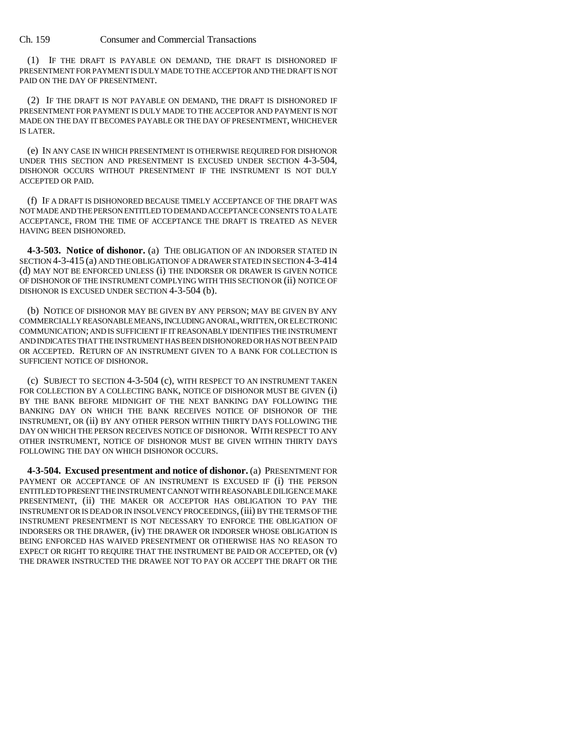(1) IF THE DRAFT IS PAYABLE ON DEMAND, THE DRAFT IS DISHONORED IF PRESENTMENT FOR PAYMENT IS DULY MADE TO THE ACCEPTOR AND THE DRAFT IS NOT PAID ON THE DAY OF PRESENTMENT.

(2) IF THE DRAFT IS NOT PAYABLE ON DEMAND, THE DRAFT IS DISHONORED IF PRESENTMENT FOR PAYMENT IS DULY MADE TO THE ACCEPTOR AND PAYMENT IS NOT MADE ON THE DAY IT BECOMES PAYABLE OR THE DAY OF PRESENTMENT, WHICHEVER IS LATER.

(e) IN ANY CASE IN WHICH PRESENTMENT IS OTHERWISE REQUIRED FOR DISHONOR UNDER THIS SECTION AND PRESENTMENT IS EXCUSED UNDER SECTION 4-3-504, DISHONOR OCCURS WITHOUT PRESENTMENT IF THE INSTRUMENT IS NOT DULY ACCEPTED OR PAID.

(f) IF A DRAFT IS DISHONORED BECAUSE TIMELY ACCEPTANCE OF THE DRAFT WAS NOT MADE AND THE PERSON ENTITLED TO DEMAND ACCEPTANCE CONSENTS TO A LATE ACCEPTANCE, FROM THE TIME OF ACCEPTANCE THE DRAFT IS TREATED AS NEVER HAVING BEEN DISHONORED.

**4-3-503. Notice of dishonor.** (a) THE OBLIGATION OF AN INDORSER STATED IN SECTION 4-3-415 (a) AND THE OBLIGATION OF A DRAWER STATED IN SECTION 4-3-414 (d) MAY NOT BE ENFORCED UNLESS (i) THE INDORSER OR DRAWER IS GIVEN NOTICE OF DISHONOR OF THE INSTRUMENT COMPLYING WITH THIS SECTION OR (ii) NOTICE OF DISHONOR IS EXCUSED UNDER SECTION 4-3-504 (b).

(b) NOTICE OF DISHONOR MAY BE GIVEN BY ANY PERSON; MAY BE GIVEN BY ANY COMMERCIALLY REASONABLE MEANS, INCLUDING AN ORAL, WRITTEN, OR ELECTRONIC COMMUNICATION; AND IS SUFFICIENT IF IT REASONABLY IDENTIFIES THE INSTRUMENT AND INDICATES THAT THE INSTRUMENT HAS BEEN DISHONORED OR HAS NOT BEEN PAID OR ACCEPTED. RETURN OF AN INSTRUMENT GIVEN TO A BANK FOR COLLECTION IS SUFFICIENT NOTICE OF DISHONOR.

(c) SUBJECT TO SECTION 4-3-504 (c), WITH RESPECT TO AN INSTRUMENT TAKEN FOR COLLECTION BY A COLLECTING BANK, NOTICE OF DISHONOR MUST BE GIVEN (i) BY THE BANK BEFORE MIDNIGHT OF THE NEXT BANKING DAY FOLLOWING THE BANKING DAY ON WHICH THE BANK RECEIVES NOTICE OF DISHONOR OF THE INSTRUMENT, OR (ii) BY ANY OTHER PERSON WITHIN THIRTY DAYS FOLLOWING THE DAY ON WHICH THE PERSON RECEIVES NOTICE OF DISHONOR. WITH RESPECT TO ANY OTHER INSTRUMENT, NOTICE OF DISHONOR MUST BE GIVEN WITHIN THIRTY DAYS FOLLOWING THE DAY ON WHICH DISHONOR OCCURS.

**4-3-504. Excused presentment and notice of dishonor.** (a) PRESENTMENT FOR PAYMENT OR ACCEPTANCE OF AN INSTRUMENT IS EXCUSED IF (i) THE PERSON ENTITLED TO PRESENT THE INSTRUMENT CANNOT WITH REASONABLE DILIGENCE MAKE PRESENTMENT, (ii) THE MAKER OR ACCEPTOR HAS OBLIGATION TO PAY THE INSTRUMENT OR IS DEAD OR IN INSOLVENCY PROCEEDINGS, (iii) BY THE TERMS OF THE INSTRUMENT PRESENTMENT IS NOT NECESSARY TO ENFORCE THE OBLIGATION OF INDORSERS OR THE DRAWER, (iv) THE DRAWER OR INDORSER WHOSE OBLIGATION IS BEING ENFORCED HAS WAIVED PRESENTMENT OR OTHERWISE HAS NO REASON TO EXPECT OR RIGHT TO REQUIRE THAT THE INSTRUMENT BE PAID OR ACCEPTED, OR (v) THE DRAWER INSTRUCTED THE DRAWEE NOT TO PAY OR ACCEPT THE DRAFT OR THE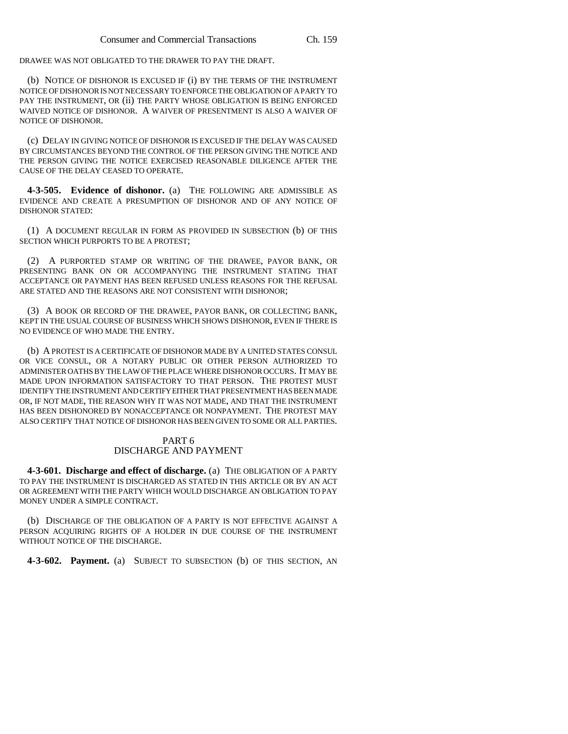DRAWEE WAS NOT OBLIGATED TO THE DRAWER TO PAY THE DRAFT.

(b) NOTICE OF DISHONOR IS EXCUSED IF (i) BY THE TERMS OF THE INSTRUMENT NOTICE OF DISHONOR IS NOT NECESSARY TO ENFORCE THE OBLIGATION OF A PARTY TO PAY THE INSTRUMENT, OR (ii) THE PARTY WHOSE OBLIGATION IS BEING ENFORCED WAIVED NOTICE OF DISHONOR. A WAIVER OF PRESENTMENT IS ALSO A WAIVER OF NOTICE OF DISHONOR.

(c) DELAY IN GIVING NOTICE OF DISHONOR IS EXCUSED IF THE DELAY WAS CAUSED BY CIRCUMSTANCES BEYOND THE CONTROL OF THE PERSON GIVING THE NOTICE AND THE PERSON GIVING THE NOTICE EXERCISED REASONABLE DILIGENCE AFTER THE CAUSE OF THE DELAY CEASED TO OPERATE.

**4-3-505. Evidence of dishonor.** (a) THE FOLLOWING ARE ADMISSIBLE AS EVIDENCE AND CREATE A PRESUMPTION OF DISHONOR AND OF ANY NOTICE OF DISHONOR STATED:

(1) A DOCUMENT REGULAR IN FORM AS PROVIDED IN SUBSECTION (b) OF THIS SECTION WHICH PURPORTS TO BE A PROTEST;

(2) A PURPORTED STAMP OR WRITING OF THE DRAWEE, PAYOR BANK, OR PRESENTING BANK ON OR ACCOMPANYING THE INSTRUMENT STATING THAT ACCEPTANCE OR PAYMENT HAS BEEN REFUSED UNLESS REASONS FOR THE REFUSAL ARE STATED AND THE REASONS ARE NOT CONSISTENT WITH DISHONOR;

(3) A BOOK OR RECORD OF THE DRAWEE, PAYOR BANK, OR COLLECTING BANK, KEPT IN THE USUAL COURSE OF BUSINESS WHICH SHOWS DISHONOR, EVEN IF THERE IS NO EVIDENCE OF WHO MADE THE ENTRY.

(b) A PROTEST IS A CERTIFICATE OF DISHONOR MADE BY A UNITED STATES CONSUL OR VICE CONSUL, OR A NOTARY PUBLIC OR OTHER PERSON AUTHORIZED TO ADMINISTER OATHS BY THE LAW OF THE PLACE WHERE DISHONOR OCCURS. IT MAY BE MADE UPON INFORMATION SATISFACTORY TO THAT PERSON. THE PROTEST MUST IDENTIFY THE INSTRUMENT AND CERTIFY EITHER THAT PRESENTMENT HAS BEEN MADE OR, IF NOT MADE, THE REASON WHY IT WAS NOT MADE, AND THAT THE INSTRUMENT HAS BEEN DISHONORED BY NONACCEPTANCE OR NONPAYMENT. THE PROTEST MAY ALSO CERTIFY THAT NOTICE OF DISHONOR HAS BEEN GIVEN TO SOME OR ALL PARTIES.

#### PART 6 DISCHARGE AND PAYMENT

**4-3-601. Discharge and effect of discharge.** (a) THE OBLIGATION OF A PARTY TO PAY THE INSTRUMENT IS DISCHARGED AS STATED IN THIS ARTICLE OR BY AN ACT OR AGREEMENT WITH THE PARTY WHICH WOULD DISCHARGE AN OBLIGATION TO PAY MONEY UNDER A SIMPLE CONTRACT.

(b) DISCHARGE OF THE OBLIGATION OF A PARTY IS NOT EFFECTIVE AGAINST A PERSON ACQUIRING RIGHTS OF A HOLDER IN DUE COURSE OF THE INSTRUMENT WITHOUT NOTICE OF THE DISCHARGE.

**4-3-602. Payment.** (a) SUBJECT TO SUBSECTION (b) OF THIS SECTION, AN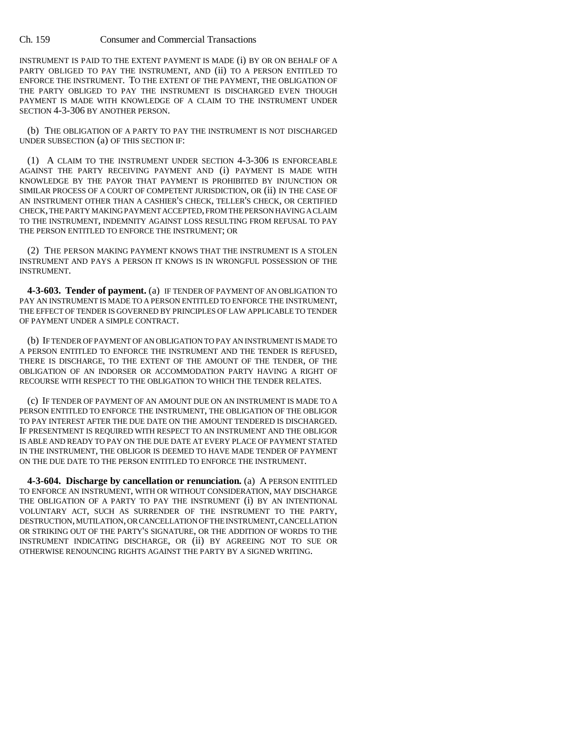INSTRUMENT IS PAID TO THE EXTENT PAYMENT IS MADE (i) BY OR ON BEHALF OF A PARTY OBLIGED TO PAY THE INSTRUMENT, AND (ii) TO A PERSON ENTITLED TO ENFORCE THE INSTRUMENT. TO THE EXTENT OF THE PAYMENT, THE OBLIGATION OF THE PARTY OBLIGED TO PAY THE INSTRUMENT IS DISCHARGED EVEN THOUGH PAYMENT IS MADE WITH KNOWLEDGE OF A CLAIM TO THE INSTRUMENT UNDER SECTION 4-3-306 BY ANOTHER PERSON.

(b) THE OBLIGATION OF A PARTY TO PAY THE INSTRUMENT IS NOT DISCHARGED UNDER SUBSECTION (a) OF THIS SECTION IF:

(1) A CLAIM TO THE INSTRUMENT UNDER SECTION 4-3-306 IS ENFORCEABLE AGAINST THE PARTY RECEIVING PAYMENT AND (i) PAYMENT IS MADE WITH KNOWLEDGE BY THE PAYOR THAT PAYMENT IS PROHIBITED BY INJUNCTION OR SIMILAR PROCESS OF A COURT OF COMPETENT JURISDICTION, OR (ii) IN THE CASE OF AN INSTRUMENT OTHER THAN A CASHIER'S CHECK, TELLER'S CHECK, OR CERTIFIED CHECK, THE PARTY MAKING PAYMENT ACCEPTED, FROM THE PERSON HAVING A CLAIM TO THE INSTRUMENT, INDEMNITY AGAINST LOSS RESULTING FROM REFUSAL TO PAY THE PERSON ENTITLED TO ENFORCE THE INSTRUMENT; OR

(2) THE PERSON MAKING PAYMENT KNOWS THAT THE INSTRUMENT IS A STOLEN INSTRUMENT AND PAYS A PERSON IT KNOWS IS IN WRONGFUL POSSESSION OF THE INSTRUMENT.

**4-3-603. Tender of payment.** (a) IF TENDER OF PAYMENT OF AN OBLIGATION TO PAY AN INSTRUMENT IS MADE TO A PERSON ENTITLED TO ENFORCE THE INSTRUMENT, THE EFFECT OF TENDER IS GOVERNED BY PRINCIPLES OF LAW APPLICABLE TO TENDER OF PAYMENT UNDER A SIMPLE CONTRACT.

(b) IF TENDER OF PAYMENT OF AN OBLIGATION TO PAY AN INSTRUMENT IS MADE TO A PERSON ENTITLED TO ENFORCE THE INSTRUMENT AND THE TENDER IS REFUSED, THERE IS DISCHARGE, TO THE EXTENT OF THE AMOUNT OF THE TENDER, OF THE OBLIGATION OF AN INDORSER OR ACCOMMODATION PARTY HAVING A RIGHT OF RECOURSE WITH RESPECT TO THE OBLIGATION TO WHICH THE TENDER RELATES.

(c) IF TENDER OF PAYMENT OF AN AMOUNT DUE ON AN INSTRUMENT IS MADE TO A PERSON ENTITLED TO ENFORCE THE INSTRUMENT, THE OBLIGATION OF THE OBLIGOR TO PAY INTEREST AFTER THE DUE DATE ON THE AMOUNT TENDERED IS DISCHARGED. IF PRESENTMENT IS REQUIRED WITH RESPECT TO AN INSTRUMENT AND THE OBLIGOR IS ABLE AND READY TO PAY ON THE DUE DATE AT EVERY PLACE OF PAYMENT STATED IN THE INSTRUMENT, THE OBLIGOR IS DEEMED TO HAVE MADE TENDER OF PAYMENT ON THE DUE DATE TO THE PERSON ENTITLED TO ENFORCE THE INSTRUMENT.

**4-3-604. Discharge by cancellation or renunciation.** (a) A PERSON ENTITLED TO ENFORCE AN INSTRUMENT, WITH OR WITHOUT CONSIDERATION, MAY DISCHARGE THE OBLIGATION OF A PARTY TO PAY THE INSTRUMENT (i) BY AN INTENTIONAL VOLUNTARY ACT, SUCH AS SURRENDER OF THE INSTRUMENT TO THE PARTY, DESTRUCTION, MUTILATION, OR CANCELLATION OF THE INSTRUMENT, CANCELLATION OR STRIKING OUT OF THE PARTY'S SIGNATURE, OR THE ADDITION OF WORDS TO THE INSTRUMENT INDICATING DISCHARGE, OR (ii) BY AGREEING NOT TO SUE OR OTHERWISE RENOUNCING RIGHTS AGAINST THE PARTY BY A SIGNED WRITING.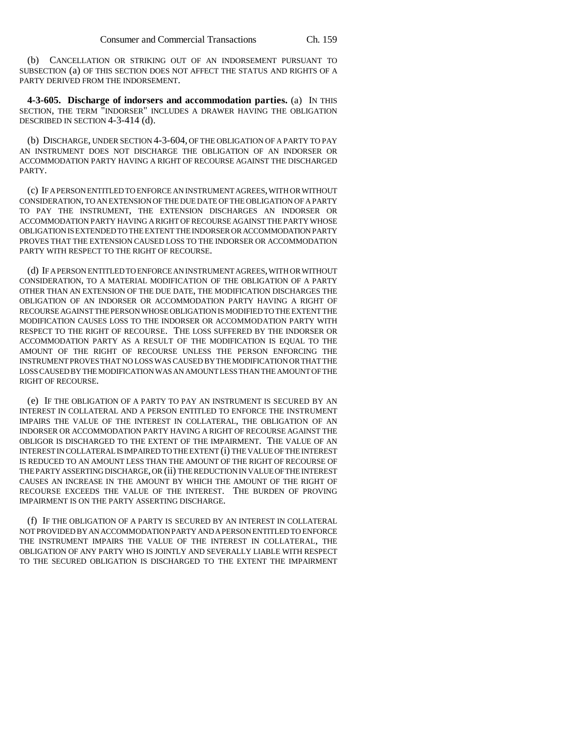(b) CANCELLATION OR STRIKING OUT OF AN INDORSEMENT PURSUANT TO SUBSECTION (a) OF THIS SECTION DOES NOT AFFECT THE STATUS AND RIGHTS OF A PARTY DERIVED FROM THE INDORSEMENT.

**4-3-605. Discharge of indorsers and accommodation parties.** (a) IN THIS SECTION, THE TERM "INDORSER" INCLUDES A DRAWER HAVING THE OBLIGATION DESCRIBED IN SECTION 4-3-414 (d).

(b) DISCHARGE, UNDER SECTION 4-3-604, OF THE OBLIGATION OF A PARTY TO PAY AN INSTRUMENT DOES NOT DISCHARGE THE OBLIGATION OF AN INDORSER OR ACCOMMODATION PARTY HAVING A RIGHT OF RECOURSE AGAINST THE DISCHARGED PARTY.

(c) IF A PERSON ENTITLED TO ENFORCE AN INSTRUMENT AGREES, WITH OR WITHOUT CONSIDERATION, TO AN EXTENSION OF THE DUE DATE OF THE OBLIGATION OF A PARTY TO PAY THE INSTRUMENT, THE EXTENSION DISCHARGES AN INDORSER OR ACCOMMODATION PARTY HAVING A RIGHT OF RECOURSE AGAINST THE PARTY WHOSE OBLIGATION IS EXTENDED TO THE EXTENT THE INDORSER OR ACCOMMODATION PARTY PROVES THAT THE EXTENSION CAUSED LOSS TO THE INDORSER OR ACCOMMODATION PARTY WITH RESPECT TO THE RIGHT OF RECOURSE.

(d) IF A PERSON ENTITLED TO ENFORCE AN INSTRUMENT AGREES, WITH OR WITHOUT CONSIDERATION, TO A MATERIAL MODIFICATION OF THE OBLIGATION OF A PARTY OTHER THAN AN EXTENSION OF THE DUE DATE, THE MODIFICATION DISCHARGES THE OBLIGATION OF AN INDORSER OR ACCOMMODATION PARTY HAVING A RIGHT OF RECOURSE AGAINST THE PERSON WHOSE OBLIGATION IS MODIFIED TO THE EXTENT THE MODIFICATION CAUSES LOSS TO THE INDORSER OR ACCOMMODATION PARTY WITH RESPECT TO THE RIGHT OF RECOURSE. THE LOSS SUFFERED BY THE INDORSER OR ACCOMMODATION PARTY AS A RESULT OF THE MODIFICATION IS EQUAL TO THE AMOUNT OF THE RIGHT OF RECOURSE UNLESS THE PERSON ENFORCING THE INSTRUMENT PROVES THAT NO LOSS WAS CAUSED BY THE MODIFICATION OR THAT THE LOSS CAUSED BY THE MODIFICATION WAS AN AMOUNT LESS THAN THE AMOUNT OF THE RIGHT OF RECOURSE.

(e) IF THE OBLIGATION OF A PARTY TO PAY AN INSTRUMENT IS SECURED BY AN INTEREST IN COLLATERAL AND A PERSON ENTITLED TO ENFORCE THE INSTRUMENT IMPAIRS THE VALUE OF THE INTEREST IN COLLATERAL, THE OBLIGATION OF AN INDORSER OR ACCOMMODATION PARTY HAVING A RIGHT OF RECOURSE AGAINST THE OBLIGOR IS DISCHARGED TO THE EXTENT OF THE IMPAIRMENT. THE VALUE OF AN INTEREST IN COLLATERAL IS IMPAIRED TO THE EXTENT (i) THE VALUE OF THE INTEREST IS REDUCED TO AN AMOUNT LESS THAN THE AMOUNT OF THE RIGHT OF RECOURSE OF THE PARTY ASSERTING DISCHARGE, OR (ii) THE REDUCTION IN VALUE OF THE INTEREST CAUSES AN INCREASE IN THE AMOUNT BY WHICH THE AMOUNT OF THE RIGHT OF RECOURSE EXCEEDS THE VALUE OF THE INTEREST. THE BURDEN OF PROVING IMPAIRMENT IS ON THE PARTY ASSERTING DISCHARGE.

(f) IF THE OBLIGATION OF A PARTY IS SECURED BY AN INTEREST IN COLLATERAL NOT PROVIDED BY AN ACCOMMODATION PARTY AND A PERSON ENTITLED TO ENFORCE THE INSTRUMENT IMPAIRS THE VALUE OF THE INTEREST IN COLLATERAL, THE OBLIGATION OF ANY PARTY WHO IS JOINTLY AND SEVERALLY LIABLE WITH RESPECT TO THE SECURED OBLIGATION IS DISCHARGED TO THE EXTENT THE IMPAIRMENT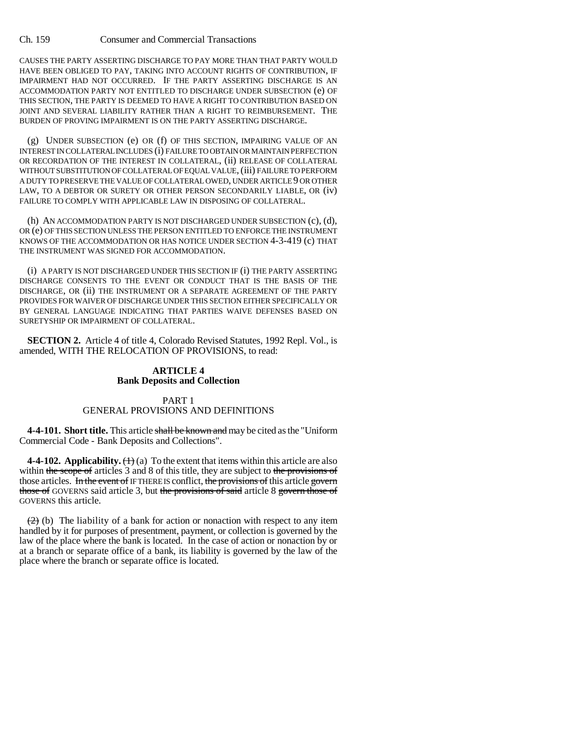CAUSES THE PARTY ASSERTING DISCHARGE TO PAY MORE THAN THAT PARTY WOULD HAVE BEEN OBLIGED TO PAY, TAKING INTO ACCOUNT RIGHTS OF CONTRIBUTION, IF IMPAIRMENT HAD NOT OCCURRED. IF THE PARTY ASSERTING DISCHARGE IS AN ACCOMMODATION PARTY NOT ENTITLED TO DISCHARGE UNDER SUBSECTION (e) OF THIS SECTION, THE PARTY IS DEEMED TO HAVE A RIGHT TO CONTRIBUTION BASED ON JOINT AND SEVERAL LIABILITY RATHER THAN A RIGHT TO REIMBURSEMENT. THE BURDEN OF PROVING IMPAIRMENT IS ON THE PARTY ASSERTING DISCHARGE.

(g) UNDER SUBSECTION (e) OR (f) OF THIS SECTION, IMPAIRING VALUE OF AN INTEREST IN COLLATERAL INCLUDES (i) FAILURE TO OBTAIN OR MAINTAIN PERFECTION OR RECORDATION OF THE INTEREST IN COLLATERAL, (ii) RELEASE OF COLLATERAL WITHOUT SUBSTITUTION OF COLLATERAL OF EQUAL VALUE, (iii) FAILURE TO PERFORM A DUTY TO PRESERVE THE VALUE OF COLLATERAL OWED, UNDER ARTICLE 9 OR OTHER LAW, TO A DEBTOR OR SURETY OR OTHER PERSON SECONDARILY LIABLE, OR (iv) FAILURE TO COMPLY WITH APPLICABLE LAW IN DISPOSING OF COLLATERAL.

(h) AN ACCOMMODATION PARTY IS NOT DISCHARGED UNDER SUBSECTION (c), (d), OR (e) OF THIS SECTION UNLESS THE PERSON ENTITLED TO ENFORCE THE INSTRUMENT KNOWS OF THE ACCOMMODATION OR HAS NOTICE UNDER SECTION 4-3-419 (c) THAT THE INSTRUMENT WAS SIGNED FOR ACCOMMODATION.

(i) A PARTY IS NOT DISCHARGED UNDER THIS SECTION IF (i) THE PARTY ASSERTING DISCHARGE CONSENTS TO THE EVENT OR CONDUCT THAT IS THE BASIS OF THE DISCHARGE, OR (ii) THE INSTRUMENT OR A SEPARATE AGREEMENT OF THE PARTY PROVIDES FOR WAIVER OF DISCHARGE UNDER THIS SECTION EITHER SPECIFICALLY OR BY GENERAL LANGUAGE INDICATING THAT PARTIES WAIVE DEFENSES BASED ON SURETYSHIP OR IMPAIRMENT OF COLLATERAL.

**SECTION 2.** Article 4 of title 4, Colorado Revised Statutes, 1992 Repl. Vol., is amended, WITH THE RELOCATION OF PROVISIONS, to read:

## **ARTICLE 4 Bank Deposits and Collection**

## PART 1 GENERAL PROVISIONS AND DEFINITIONS

**4-4-101. Short title.** This article shall be known and may be cited as the "Uniform Commercial Code - Bank Deposits and Collections".

**4-4-102. Applicability.**  $(1)(a)$  To the extent that items within this article are also within the scope of articles 3 and 8 of this title, they are subject to the provisions of those articles. In the event of IF THERE IS conflict, the provisions of this article govern those of GOVERNS said article 3, but the provisions of said article 8 govern those of GOVERNS this article.

 $(2)$  (b) The liability of a bank for action or nonaction with respect to any item handled by it for purposes of presentment, payment, or collection is governed by the law of the place where the bank is located. In the case of action or nonaction by or at a branch or separate office of a bank, its liability is governed by the law of the place where the branch or separate office is located.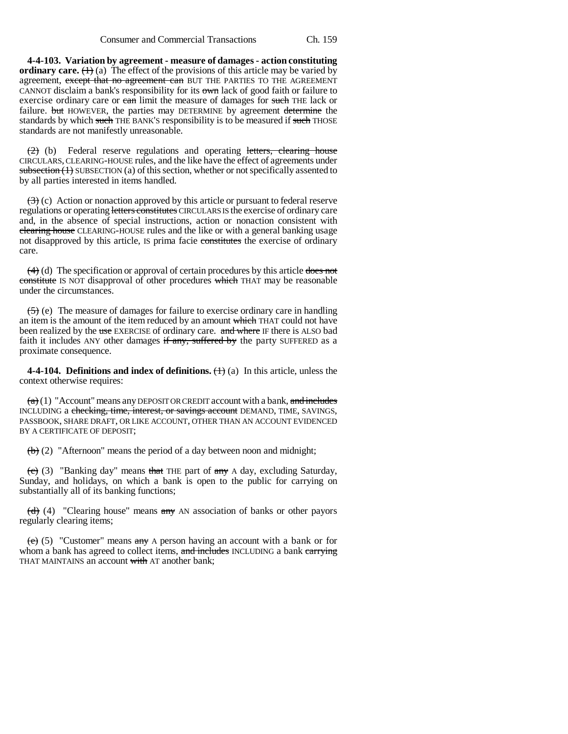**4-4-103. Variation by agreement - measure of damages - action constituting ordinary care.**  $(1)$  (a) The effect of the provisions of this article may be varied by agreement, except that no agreement can BUT THE PARTIES TO THE AGREEMENT CANNOT disclaim a bank's responsibility for its own lack of good faith or failure to exercise ordinary care or can limit the measure of damages for such THE lack or failure. but HOWEVER, the parties may DETERMINE by agreement determine the standards by which such THE BANK's responsibility is to be measured if such THOSE standards are not manifestly unreasonable.

 $(2)$  (b) Federal reserve regulations and operating letters, clearing house CIRCULARS, CLEARING-HOUSE rules, and the like have the effect of agreements under subsection  $(1)$  SUBSECTION (a) of this section, whether or not specifically assented to by all parties interested in items handled.

 $(3)$  (c) Action or nonaction approved by this article or pursuant to federal reserve regulations or operating letters constitutes CIRCULARS IS the exercise of ordinary care and, in the absence of special instructions, action or nonaction consistent with clearing house CLEARING-HOUSE rules and the like or with a general banking usage not disapproved by this article, IS prima facie constitutes the exercise of ordinary care.

 $(4)$  (d) The specification or approval of certain procedures by this article does not constitute IS NOT disapproval of other procedures which THAT may be reasonable under the circumstances.

 $(5)$  (e) The measure of damages for failure to exercise ordinary care in handling an item is the amount of the item reduced by an amount which THAT could not have been realized by the use EXERCISE of ordinary care. and where IF there is ALSO bad faith it includes ANY other damages if any, suffered by the party SUFFERED as a proximate consequence.

**4-4-104. Definitions and index of definitions.**  $(1)$  (a) In this article, unless the context otherwise requires:

 $(a)(1)$  "Account" means any DEPOSIT OR CREDIT account with a bank, and includes INCLUDING a checking, time, interest, or savings account DEMAND, TIME, SAVINGS, PASSBOOK, SHARE DRAFT, OR LIKE ACCOUNT, OTHER THAN AN ACCOUNT EVIDENCED BY A CERTIFICATE OF DEPOSIT;

 $\left(\frac{b}{b}\right)$  (2) "Afternoon" means the period of a day between noon and midnight;

(c) (3) "Banking day" means that THE part of  $\frac{any}{x}$  A day, excluding Saturday, Sunday, and holidays, on which a bank is open to the public for carrying on substantially all of its banking functions;

(d) (4) "Clearing house" means  $\frac{day}{dx}$  AN association of banks or other payors regularly clearing items;

(e) (5) "Customer" means  $\frac{\text{any}}{\text{any}}$  A person having an account with a bank or for whom a bank has agreed to collect items, and includes INCLUDING a bank carrying THAT MAINTAINS an account with AT another bank;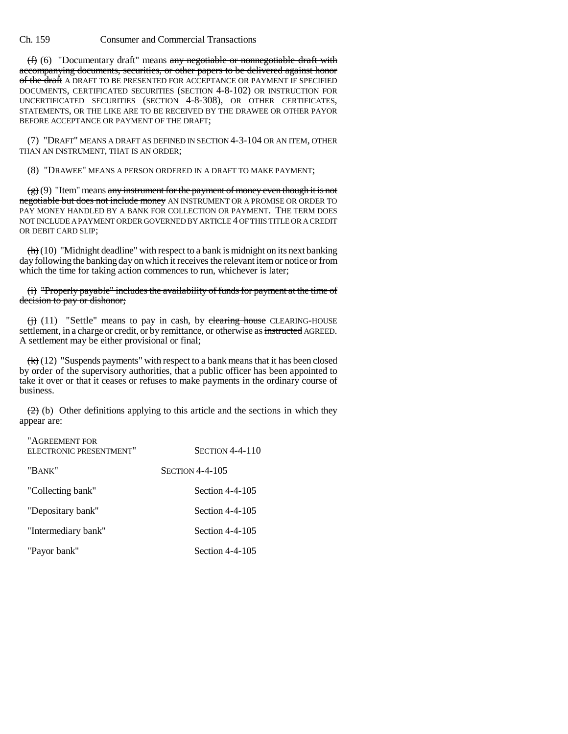(f) (6) "Documentary draft" means any negotiable or nonnegotiable draft with accompanying documents, securities, or other papers to be delivered against honor of the draft A DRAFT TO BE PRESENTED FOR ACCEPTANCE OR PAYMENT IF SPECIFIED DOCUMENTS, CERTIFICATED SECURITIES (SECTION 4-8-102) OR INSTRUCTION FOR UNCERTIFICATED SECURITIES (SECTION 4-8-308), OR OTHER CERTIFICATES, STATEMENTS, OR THE LIKE ARE TO BE RECEIVED BY THE DRAWEE OR OTHER PAYOR BEFORE ACCEPTANCE OR PAYMENT OF THE DRAFT;

(7) "DRAFT" MEANS A DRAFT AS DEFINED IN SECTION 4-3-104 OR AN ITEM, OTHER THAN AN INSTRUMENT, THAT IS AN ORDER;

(8) "DRAWEE" MEANS A PERSON ORDERED IN A DRAFT TO MAKE PAYMENT;

 $(g)(9)$  "Item" means any instrument for the payment of money even though it is not negotiable but does not include money AN INSTRUMENT OR A PROMISE OR ORDER TO PAY MONEY HANDLED BY A BANK FOR COLLECTION OR PAYMENT. THE TERM DOES NOT INCLUDE A PAYMENT ORDER GOVERNED BY ARTICLE 4 OF THIS TITLE OR A CREDIT OR DEBIT CARD SLIP;

 $\left(\frac{h}{h}\right)$  (10) "Midnight deadline" with respect to a bank is midnight on its next banking day following the banking day on which it receives the relevant item or notice or from which the time for taking action commences to run, whichever is later;

(i) "Properly payable" includes the availability of funds for payment at the time of decision to pay or dishonor;

 $(i)$  (11) "Settle" means to pay in cash, by clearing house CLEARING-HOUSE settlement, in a charge or credit, or by remittance, or otherwise as instructed AGREED. A settlement may be either provisional or final;

 $\left(\frac{k}{k}\right)$  (12) "Suspends payments" with respect to a bank means that it has been closed by order of the supervisory authorities, that a public officer has been appointed to take it over or that it ceases or refuses to make payments in the ordinary course of business.

 $(2)$  (b) Other definitions applying to this article and the sections in which they appear are:

| " AGREEMENT FOR<br>ELECTRONIC PRESENTMENT" | <b>SECTION 4-4-110</b> |
|--------------------------------------------|------------------------|
| "BANK"                                     | <b>SECTION 4-4-105</b> |
| "Collecting bank"                          | Section 4-4-105        |
| "Depositary bank"                          | Section 4-4-105        |
| "Intermediary bank"                        | Section 4-4-105        |
| "Payor bank"                               | Section 4-4-105        |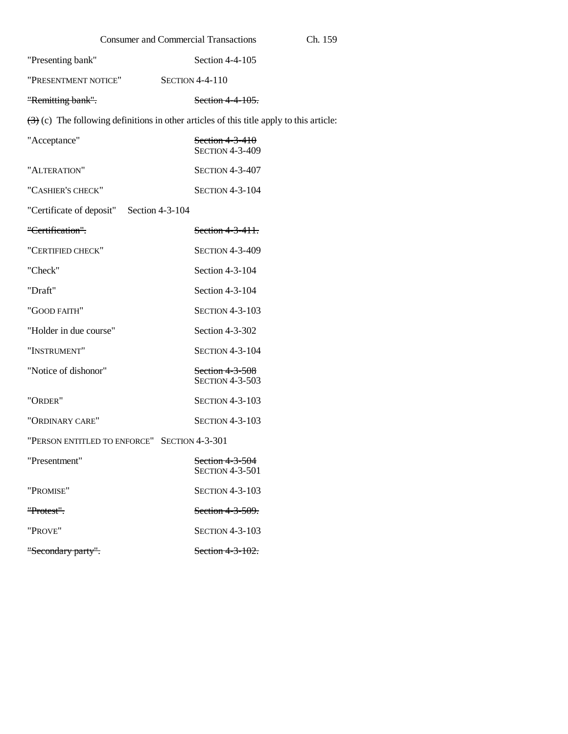| <b>Consumer and Commercial Transactions</b><br>Ch. 159 |                                                                                                                 |  |
|--------------------------------------------------------|-----------------------------------------------------------------------------------------------------------------|--|
| "Presenting bank"                                      | Section 4-4-105                                                                                                 |  |
| "PRESENTMENT NOTICE"                                   | <b>SECTION 4-4-110</b>                                                                                          |  |
| "Remitting bank".                                      | Section 4-4-105.                                                                                                |  |
|                                                        | $\left(\frac{1}{2}\right)$ (c) The following definitions in other articles of this title apply to this article: |  |
| "Acceptance"                                           | Section 4-3-410<br><b>SECTION 4-3-409</b>                                                                       |  |
| "ALTERATION"                                           | <b>SECTION 4-3-407</b>                                                                                          |  |
| "CASHIER'S CHECK"                                      | <b>SECTION 4-3-104</b>                                                                                          |  |
| "Certificate of deposit" Section 4-3-104               |                                                                                                                 |  |
| "Certification".                                       | Section 4-3-411.                                                                                                |  |
| "CERTIFIED CHECK"                                      | <b>SECTION 4-3-409</b>                                                                                          |  |
| "Check"                                                | Section 4-3-104                                                                                                 |  |
| "Draft"                                                | Section 4-3-104                                                                                                 |  |
| "GOOD FAITH"                                           | <b>SECTION 4-3-103</b>                                                                                          |  |
| "Holder in due course"                                 | Section 4-3-302                                                                                                 |  |
| "INSTRUMENT"                                           | <b>SECTION 4-3-104</b>                                                                                          |  |
| "Notice of dishonor"                                   | <del>Section 4-3-508</del><br><b>SECTION 4-3-503</b>                                                            |  |
| "ORDER"                                                | <b>SECTION 4-3-103</b>                                                                                          |  |
| "ORDINARY CARE"                                        | <b>SECTION 4-3-103</b>                                                                                          |  |
| "PERSON ENTITLED TO ENFORCE" SECTION 4-3-301           |                                                                                                                 |  |
| "Presentment"                                          | Section 4-3-504<br><b>SECTION 4-3-501</b>                                                                       |  |
| "PROMISE"                                              | <b>SECTION 4-3-103</b>                                                                                          |  |
| "Protest".                                             | Section 4-3-509.                                                                                                |  |
| "PROVE"                                                | <b>SECTION 4-3-103</b>                                                                                          |  |
| "Secondary party".                                     | Section 4-3-102.                                                                                                |  |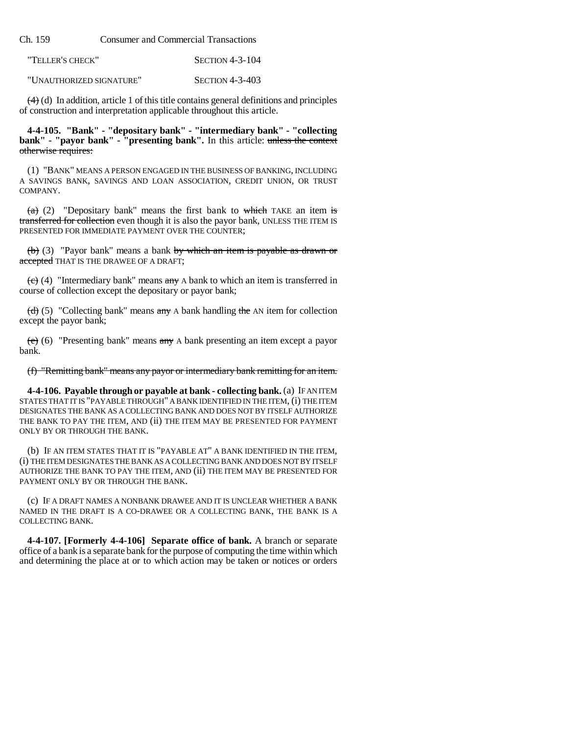| "TELLER'S CHECK"         | <b>SECTION 4-3-104</b> |
|--------------------------|------------------------|
| "UNAUTHORIZED SIGNATURE" | <b>SECTION 4-3-403</b> |

 $\left(\frac{4}{4}\right)$  (d) In addition, article 1 of this title contains general definitions and principles of construction and interpretation applicable throughout this article.

**4-4-105. "Bank" - "depositary bank" - "intermediary bank" - "collecting bank" - "payor bank" - "presenting bank".** In this article: unless the context otherwise requires:

(1) "BANK" MEANS A PERSON ENGAGED IN THE BUSINESS OF BANKING, INCLUDING A SAVINGS BANK, SAVINGS AND LOAN ASSOCIATION, CREDIT UNION, OR TRUST COMPANY.

 $(a)$  (2) "Depositary bank" means the first bank to which TAKE an item is transferred for collection even though it is also the payor bank, UNLESS THE ITEM IS PRESENTED FOR IMMEDIATE PAYMENT OVER THE COUNTER;

 $(b)$  (3) "Payor bank" means a bank by which an item is payable as drawn or accepted THAT IS THE DRAWEE OF A DRAFT;

 $(c)$  (4) "Intermediary bank" means  $\frac{1}{2}$  A bank to which an item is transferred in course of collection except the depositary or payor bank;

(d) (5) "Collecting bank" means  $\frac{\text{any}}{\text{day}}$  A bank handling the AN item for collection except the payor bank;

(e) (6) "Presenting bank" means any A bank presenting an item except a payor bank.

(f) "Remitting bank" means any payor or intermediary bank remitting for an item.

**4-4-106. Payable through or payable at bank - collecting bank.** (a) IF AN ITEM STATES THAT IT IS "PAYABLE THROUGH" A BANK IDENTIFIED IN THE ITEM, (i) THE ITEM DESIGNATES THE BANK AS A COLLECTING BANK AND DOES NOT BY ITSELF AUTHORIZE THE BANK TO PAY THE ITEM, AND (ii) THE ITEM MAY BE PRESENTED FOR PAYMENT ONLY BY OR THROUGH THE BANK.

(b) IF AN ITEM STATES THAT IT IS "PAYABLE AT" A BANK IDENTIFIED IN THE ITEM, (i) THE ITEM DESIGNATES THE BANK AS A COLLECTING BANK AND DOES NOT BY ITSELF AUTHORIZE THE BANK TO PAY THE ITEM, AND (ii) THE ITEM MAY BE PRESENTED FOR PAYMENT ONLY BY OR THROUGH THE BANK.

(c) IF A DRAFT NAMES A NONBANK DRAWEE AND IT IS UNCLEAR WHETHER A BANK NAMED IN THE DRAFT IS A CO-DRAWEE OR A COLLECTING BANK, THE BANK IS A COLLECTING BANK.

**4-4-107. [Formerly 4-4-106] Separate office of bank.** A branch or separate office of a bank is a separate bank for the purpose of computing the time within which and determining the place at or to which action may be taken or notices or orders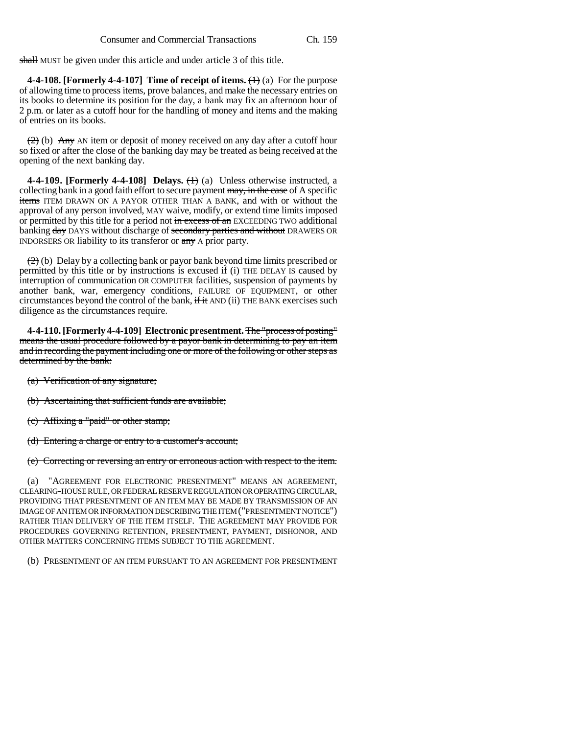shall MUST be given under this article and under article 3 of this title.

**4-4-108. [Formerly 4-4-107] Time of receipt of items.**  $\leftrightarrow$  (a) For the purpose of allowing time to process items, prove balances, and make the necessary entries on its books to determine its position for the day, a bank may fix an afternoon hour of 2 p.m. or later as a cutoff hour for the handling of money and items and the making of entries on its books.

 $(2)$  (b) Any AN item or deposit of money received on any day after a cutoff hour so fixed or after the close of the banking day may be treated as being received at the opening of the next banking day.

**4-4-109. [Formerly 4-4-108] Delays.**  $\left(\frac{1}{1}\right)$  (a) Unless otherwise instructed, a collecting bank in a good faith effort to secure payment may, in the case of A specific items ITEM DRAWN ON A PAYOR OTHER THAN A BANK, and with or without the approval of any person involved, MAY waive, modify, or extend time limits imposed or permitted by this title for a period not in excess of an EXCEEDING TWO additional banking day DAYS without discharge of secondary parties and without DRAWERS OR INDORSERS OR liability to its transferor or any A prior party.

 $(2)$  (b) Delay by a collecting bank or payor bank beyond time limits prescribed or permitted by this title or by instructions is excused if (i) THE DELAY IS caused by interruption of communication OR COMPUTER facilities, suspension of payments by another bank, war, emergency conditions, FAILURE OF EQUIPMENT, or other circumstances beyond the control of the bank,  $\overrightarrow{H}$  and  $\overrightarrow{H}$  and  $\overrightarrow{H}$  and  $\overrightarrow{H}$  and  $\overrightarrow{H}$  and  $\overrightarrow{H}$  and  $\overrightarrow{H}$  and  $\overrightarrow{H}$  and  $\overrightarrow{H}$  and  $\overrightarrow{H}$  and  $\overrightarrow{H}$  and  $\overrightarrow{H}$  and  $\overrightarrow{H}$  and  $\overrightarrow{H$ diligence as the circumstances require.

**4-4-110. [Formerly 4-4-109] Electronic presentment.** The "process of posting" means the usual procedure followed by a payor bank in determining to pay an item and in recording the payment including one or more of the following or other steps as determined by the bank:

- (a) Verification of any signature;
- (b) Ascertaining that sufficient funds are available;
- (c) Affixing a "paid" or other stamp;
- (d) Entering a charge or entry to a customer's account;

(e) Correcting or reversing an entry or erroneous action with respect to the item.

(a) "AGREEMENT FOR ELECTRONIC PRESENTMENT" MEANS AN AGREEMENT, CLEARING-HOUSE RULE, OR FEDERAL RESERVE REGULATION OR OPERATING CIRCULAR, PROVIDING THAT PRESENTMENT OF AN ITEM MAY BE MADE BY TRANSMISSION OF AN IMAGE OF AN ITEM OR INFORMATION DESCRIBING THE ITEM ("PRESENTMENT NOTICE") RATHER THAN DELIVERY OF THE ITEM ITSELF. THE AGREEMENT MAY PROVIDE FOR PROCEDURES GOVERNING RETENTION, PRESENTMENT, PAYMENT, DISHONOR, AND OTHER MATTERS CONCERNING ITEMS SUBJECT TO THE AGREEMENT.

(b) PRESENTMENT OF AN ITEM PURSUANT TO AN AGREEMENT FOR PRESENTMENT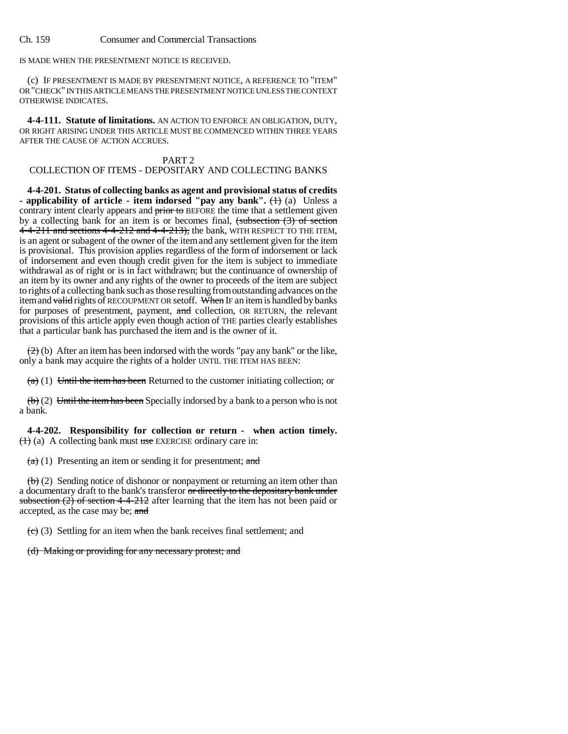IS MADE WHEN THE PRESENTMENT NOTICE IS RECEIVED.

(c) IF PRESENTMENT IS MADE BY PRESENTMENT NOTICE, A REFERENCE TO "ITEM" OR "CHECK" IN THIS ARTICLE MEANS THE PRESENTMENT NOTICE UNLESS THE CONTEXT OTHERWISE INDICATES.

**4-4-111. Statute of limitations.** AN ACTION TO ENFORCE AN OBLIGATION, DUTY, OR RIGHT ARISING UNDER THIS ARTICLE MUST BE COMMENCED WITHIN THREE YEARS AFTER THE CAUSE OF ACTION ACCRUES.

### PART 2

# COLLECTION OF ITEMS - DEPOSITARY AND COLLECTING BANKS

**4-4-201. Status of collecting banks as agent and provisional status of credits** - applicability of article - item indorsed "pay any bank". (+) (a) Unless a contrary intent clearly appears and prior to BEFORE the time that a settlement given by a collecting bank for an item is or becomes final, (subsection (3) of section  $4-4-211$  and sections  $4-4-212$  and  $4-4-213$ ), the bank, WITH RESPECT TO THE ITEM, is an agent or subagent of the owner of the item and any settlement given for the item is provisional. This provision applies regardless of the form of indorsement or lack of indorsement and even though credit given for the item is subject to immediate withdrawal as of right or is in fact withdrawn; but the continuance of ownership of an item by its owner and any rights of the owner to proceeds of the item are subject to rights of a collecting bank such as those resulting from outstanding advances on the item and valid rights of RECOUPMENT OR setoff. When IF an item is handled by banks for purposes of presentment, payment, and collection, OR RETURN, the relevant provisions of this article apply even though action of THE parties clearly establishes that a particular bank has purchased the item and is the owner of it.

 $(2)$  (b) After an item has been indorsed with the words "pay any bank" or the like, only a bank may acquire the rights of a holder UNTIL THE ITEM HAS BEEN:

 $(a)$  (1) Until the item has been Returned to the customer initiating collection; or

 $(b)$  (2) Until the item has been Specially indorsed by a bank to a person who is not a bank.

**4-4-202. Responsibility for collection or return - when action timely.**  $(1)$  (a) A collecting bank must use EXERCISE ordinary care in:

 $(a)$  (1) Presenting an item or sending it for presentment; and

 $\left(\frac{1}{b}\right)$  (2) Sending notice of dishonor or nonpayment or returning an item other than a documentary draft to the bank's transferor or directly to the depositary bank under subsection  $(2)$  of section 4-4-212 after learning that the item has not been paid or accepted, as the case may be; and

 $\left(\frac{c}{c}\right)$  (3) Settling for an item when the bank receives final settlement; and

(d) Making or providing for any necessary protest; and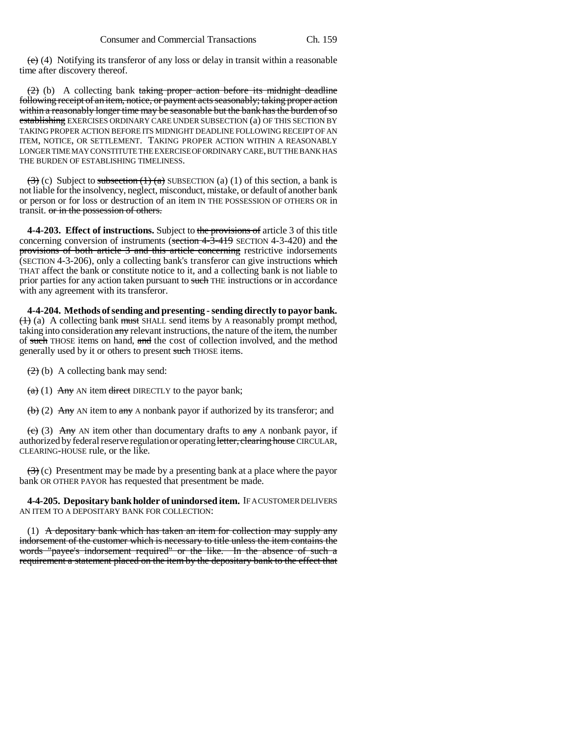$(e)$  (4) Notifying its transferor of any loss or delay in transit within a reasonable time after discovery thereof.

 $(2)$  (b) A collecting bank taking proper action before its midnight deadline following receipt of an item, notice, or payment acts seasonably; taking proper action within a reasonably longer time may be seasonable but the bank has the burden of so establishing EXERCISES ORDINARY CARE UNDER SUBSECTION (a) OF THIS SECTION BY TAKING PROPER ACTION BEFORE ITS MIDNIGHT DEADLINE FOLLOWING RECEIPT OF AN ITEM, NOTICE, OR SETTLEMENT. TAKING PROPER ACTION WITHIN A REASONABLY LONGER TIME MAY CONSTITUTE THE EXERCISE OF ORDINARY CARE, BUT THE BANK HAS THE BURDEN OF ESTABLISHING TIMELINESS.

 $(3)$  (c) Subject to subsection  $(1)$  (a) SUBSECTION (a) (1) of this section, a bank is not liable for the insolvency, neglect, misconduct, mistake, or default of another bank or person or for loss or destruction of an item IN THE POSSESSION OF OTHERS OR in transit. or in the possession of others.

**4-4-203. Effect of instructions.** Subject to the provisions of article 3 of this title concerning conversion of instruments (section 4-3-419 SECTION 4-3-420) and the provisions of both article 3 and this article concerning restrictive indorsements (SECTION 4-3-206), only a collecting bank's transferor can give instructions which THAT affect the bank or constitute notice to it, and a collecting bank is not liable to prior parties for any action taken pursuant to such THE instructions or in accordance with any agreement with its transferor.

**4-4-204. Methods of sending and presenting - sending directly to payor bank.**  $(1)$  (a) A collecting bank must SHALL send items by A reasonably prompt method, taking into consideration any relevant instructions, the nature of the item, the number of such THOSE items on hand, and the cost of collection involved, and the method generally used by it or others to present such THOSE items.

 $(2)$  (b) A collecting bank may send:

 $(a)$  (1) Any AN item direct DIRECTLY to the payor bank;

 $\left(\frac{b}{b}\right)$  (2) Any AN item to any A nonbank payor if authorized by its transferor; and

 $\overrightarrow{c}$  (3) Any AN item other than documentary drafts to any A nonbank payor, if authorized by federal reserve regulation or operating letter, clearing house CIRCULAR, CLEARING-HOUSE rule, or the like.

 $\left(\frac{1}{2}\right)$  (c) Presentment may be made by a presenting bank at a place where the payor bank OR OTHER PAYOR has requested that presentment be made.

**4-4-205. Depositary bank holder of unindorsed item.** IF A CUSTOMER DELIVERS AN ITEM TO A DEPOSITARY BANK FOR COLLECTION:

(1) A depositary bank which has taken an item for collection may supply any indorsement of the customer which is necessary to title unless the item contains the words "payee's indorsement required" or the like. In the absence of such a requirement a statement placed on the item by the depositary bank to the effect that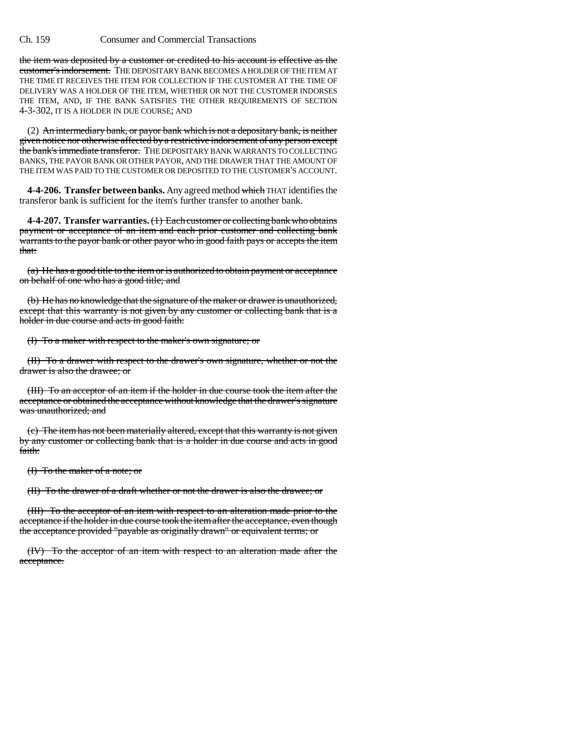the item was deposited by a customer or credited to his account is effective as the customer's indorsement. THE DEPOSITARY BANK BECOMES A HOLDER OF THE ITEM AT THE TIME IT RECEIVES THE ITEM FOR COLLECTION IF THE CUSTOMER AT THE TIME OF DELIVERY WAS A HOLDER OF THE ITEM, WHETHER OR NOT THE CUSTOMER INDORSES THE ITEM, AND, IF THE BANK SATISFIES THE OTHER REQUIREMENTS OF SECTION 4-3-302, IT IS A HOLDER IN DUE COURSE; AND

(2) An intermediary bank, or payor bank which is not a depositary bank, is neither given notice nor otherwise affected by a restrictive indorsement of any person except the bank's immediate transferor. THE DEPOSITARY BANK WARRANTS TO COLLECTING BANKS, THE PAYOR BANK OR OTHER PAYOR, AND THE DRAWER THAT THE AMOUNT OF THE ITEM WAS PAID TO THE CUSTOMER OR DEPOSITED TO THE CUSTOMER'S ACCOUNT.

**4-4-206. Transfer between banks.** Any agreed method which THAT identifies the transferor bank is sufficient for the item's further transfer to another bank.

**4-4-207. Transfer warranties.** (1) Each customer or collecting bank who obtains payment or acceptance of an item and each prior customer and collecting bank warrants to the payor bank or other payor who in good faith pays or accepts the item that:

(a) He has a good title to the item or is authorized to obtain payment or acceptance on behalf of one who has a good title; and

(b) He has no knowledge that the signature of the maker or drawer is unauthorized, except that this warranty is not given by any customer or collecting bank that is a holder in due course and acts in good faith:

(I) To a maker with respect to the maker's own signature; or

(II) To a drawer with respect to the drawer's own signature, whether or not the drawer is also the drawee; or

(III) To an acceptor of an item if the holder in due course took the item after the acceptance or obtained the acceptance without knowledge that the drawer's signature was unauthorized; and

(c) The item has not been materially altered, except that this warranty is not given by any customer or collecting bank that is a holder in due course and acts in good faith:

(I) To the maker of a note; or

(II) To the drawer of a draft whether or not the drawer is also the drawee; or

(III) To the acceptor of an item with respect to an alteration made prior to the acceptance if the holder in due course took the item after the acceptance, even though the acceptance provided "payable as originally drawn" or equivalent terms; or

(IV) To the acceptor of an item with respect to an alteration made after the acceptance.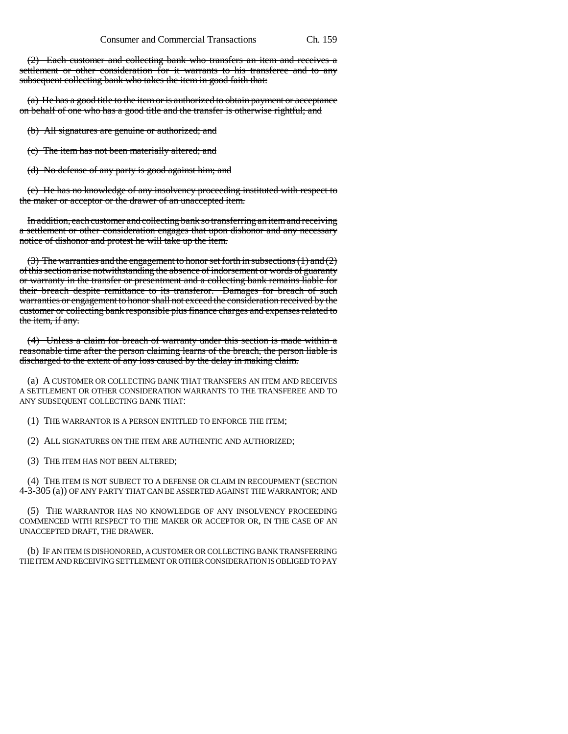(2) Each customer and collecting bank who transfers an item and receives a settlement or other consideration for it warrants to his transferee and to any subsequent collecting bank who takes the item in good faith that:

(a) He has a good title to the item or is authorized to obtain payment or acceptance on behalf of one who has a good title and the transfer is otherwise rightful; and

(b) All signatures are genuine or authorized; and

(c) The item has not been materially altered; and

(d) No defense of any party is good against him; and

(e) He has no knowledge of any insolvency proceeding instituted with respect to the maker or acceptor or the drawer of an unaccepted item.

In addition, each customer and collecting bank so transferring an item and receiving a settlement or other consideration engages that upon dishonor and any necessary notice of dishonor and protest he will take up the item.

(3) The warranties and the engagement to honor set forth in subsections  $(1)$  and  $(2)$ of this section arise notwithstanding the absence of indorsement or words of guaranty or warranty in the transfer or presentment and a collecting bank remains liable for their breach despite remittance to its transferor. Damages for breach of such warranties or engagement to honor shall not exceed the consideration received by the customer or collecting bank responsible plus finance charges and expenses related to the item, if any.

(4) Unless a claim for breach of warranty under this section is made within a reasonable time after the person claiming learns of the breach, the person liable is discharged to the extent of any loss caused by the delay in making claim.

(a) A CUSTOMER OR COLLECTING BANK THAT TRANSFERS AN ITEM AND RECEIVES A SETTLEMENT OR OTHER CONSIDERATION WARRANTS TO THE TRANSFEREE AND TO ANY SUBSEQUENT COLLECTING BANK THAT:

(1) THE WARRANTOR IS A PERSON ENTITLED TO ENFORCE THE ITEM;

(2) ALL SIGNATURES ON THE ITEM ARE AUTHENTIC AND AUTHORIZED;

(3) THE ITEM HAS NOT BEEN ALTERED;

(4) THE ITEM IS NOT SUBJECT TO A DEFENSE OR CLAIM IN RECOUPMENT (SECTION 4-3-305 (a)) OF ANY PARTY THAT CAN BE ASSERTED AGAINST THE WARRANTOR; AND

(5) THE WARRANTOR HAS NO KNOWLEDGE OF ANY INSOLVENCY PROCEEDING COMMENCED WITH RESPECT TO THE MAKER OR ACCEPTOR OR, IN THE CASE OF AN UNACCEPTED DRAFT, THE DRAWER.

(b) IF AN ITEM IS DISHONORED, A CUSTOMER OR COLLECTING BANK TRANSFERRING THE ITEM AND RECEIVING SETTLEMENT OR OTHER CONSIDERATION IS OBLIGED TO PAY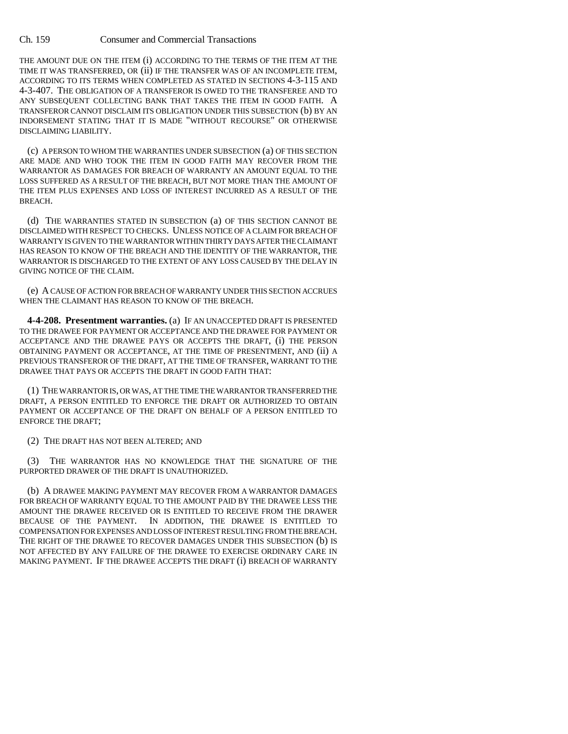THE AMOUNT DUE ON THE ITEM (i) ACCORDING TO THE TERMS OF THE ITEM AT THE TIME IT WAS TRANSFERRED, OR (ii) IF THE TRANSFER WAS OF AN INCOMPLETE ITEM, ACCORDING TO ITS TERMS WHEN COMPLETED AS STATED IN SECTIONS 4-3-115 AND 4-3-407. THE OBLIGATION OF A TRANSFEROR IS OWED TO THE TRANSFEREE AND TO ANY SUBSEQUENT COLLECTING BANK THAT TAKES THE ITEM IN GOOD FAITH. A TRANSFEROR CANNOT DISCLAIM ITS OBLIGATION UNDER THIS SUBSECTION (b) BY AN INDORSEMENT STATING THAT IT IS MADE "WITHOUT RECOURSE" OR OTHERWISE DISCLAIMING LIABILITY.

(c) A PERSON TO WHOM THE WARRANTIES UNDER SUBSECTION (a) OF THIS SECTION ARE MADE AND WHO TOOK THE ITEM IN GOOD FAITH MAY RECOVER FROM THE WARRANTOR AS DAMAGES FOR BREACH OF WARRANTY AN AMOUNT EQUAL TO THE LOSS SUFFERED AS A RESULT OF THE BREACH, BUT NOT MORE THAN THE AMOUNT OF THE ITEM PLUS EXPENSES AND LOSS OF INTEREST INCURRED AS A RESULT OF THE BREACH.

(d) THE WARRANTIES STATED IN SUBSECTION (a) OF THIS SECTION CANNOT BE DISCLAIMED WITH RESPECT TO CHECKS. UNLESS NOTICE OF A CLAIM FOR BREACH OF WARRANTY IS GIVEN TO THE WARRANTOR WITHIN THIRTY DAYS AFTER THE CLAIMANT HAS REASON TO KNOW OF THE BREACH AND THE IDENTITY OF THE WARRANTOR, THE WARRANTOR IS DISCHARGED TO THE EXTENT OF ANY LOSS CAUSED BY THE DELAY IN GIVING NOTICE OF THE CLAIM.

(e) A CAUSE OF ACTION FOR BREACH OF WARRANTY UNDER THIS SECTION ACCRUES WHEN THE CLAIMANT HAS REASON TO KNOW OF THE BREACH.

**4-4-208. Presentment warranties.** (a) IF AN UNACCEPTED DRAFT IS PRESENTED TO THE DRAWEE FOR PAYMENT OR ACCEPTANCE AND THE DRAWEE FOR PAYMENT OR ACCEPTANCE AND THE DRAWEE PAYS OR ACCEPTS THE DRAFT, (i) THE PERSON OBTAINING PAYMENT OR ACCEPTANCE, AT THE TIME OF PRESENTMENT, AND (ii) A PREVIOUS TRANSFEROR OF THE DRAFT, AT THE TIME OF TRANSFER, WARRANT TO THE DRAWEE THAT PAYS OR ACCEPTS THE DRAFT IN GOOD FAITH THAT:

(1) THE WARRANTOR IS, OR WAS, AT THE TIME THE WARRANTOR TRANSFERRED THE DRAFT, A PERSON ENTITLED TO ENFORCE THE DRAFT OR AUTHORIZED TO OBTAIN PAYMENT OR ACCEPTANCE OF THE DRAFT ON BEHALF OF A PERSON ENTITLED TO ENFORCE THE DRAFT;

(2) THE DRAFT HAS NOT BEEN ALTERED; AND

(3) THE WARRANTOR HAS NO KNOWLEDGE THAT THE SIGNATURE OF THE PURPORTED DRAWER OF THE DRAFT IS UNAUTHORIZED.

(b) A DRAWEE MAKING PAYMENT MAY RECOVER FROM A WARRANTOR DAMAGES FOR BREACH OF WARRANTY EQUAL TO THE AMOUNT PAID BY THE DRAWEE LESS THE AMOUNT THE DRAWEE RECEIVED OR IS ENTITLED TO RECEIVE FROM THE DRAWER BECAUSE OF THE PAYMENT. IN ADDITION, THE DRAWEE IS ENTITLED TO COMPENSATION FOR EXPENSES AND LOSS OF INTEREST RESULTING FROM THE BREACH. THE RIGHT OF THE DRAWEE TO RECOVER DAMAGES UNDER THIS SUBSECTION (b) IS NOT AFFECTED BY ANY FAILURE OF THE DRAWEE TO EXERCISE ORDINARY CARE IN MAKING PAYMENT. IF THE DRAWEE ACCEPTS THE DRAFT (i) BREACH OF WARRANTY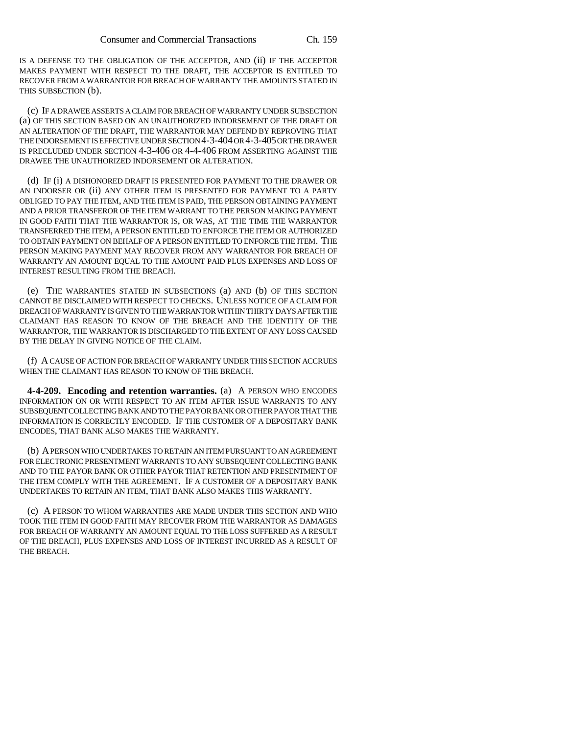IS A DEFENSE TO THE OBLIGATION OF THE ACCEPTOR, AND (ii) IF THE ACCEPTOR MAKES PAYMENT WITH RESPECT TO THE DRAFT, THE ACCEPTOR IS ENTITLED TO RECOVER FROM A WARRANTOR FOR BREACH OF WARRANTY THE AMOUNTS STATED IN THIS SUBSECTION (b).

(c) IF A DRAWEE ASSERTS A CLAIM FOR BREACH OF WARRANTY UNDER SUBSECTION (a) OF THIS SECTION BASED ON AN UNAUTHORIZED INDORSEMENT OF THE DRAFT OR AN ALTERATION OF THE DRAFT, THE WARRANTOR MAY DEFEND BY REPROVING THAT THE INDORSEMENT IS EFFECTIVE UNDER SECTION 4-3-404 OR 4-3-405 OR THE DRAWER IS PRECLUDED UNDER SECTION 4-3-406 OR 4-4-406 FROM ASSERTING AGAINST THE DRAWEE THE UNAUTHORIZED INDORSEMENT OR ALTERATION.

(d) IF (i) A DISHONORED DRAFT IS PRESENTED FOR PAYMENT TO THE DRAWER OR AN INDORSER OR (ii) ANY OTHER ITEM IS PRESENTED FOR PAYMENT TO A PARTY OBLIGED TO PAY THE ITEM, AND THE ITEM IS PAID, THE PERSON OBTAINING PAYMENT AND A PRIOR TRANSFEROR OF THE ITEM WARRANT TO THE PERSON MAKING PAYMENT IN GOOD FAITH THAT THE WARRANTOR IS, OR WAS, AT THE TIME THE WARRANTOR TRANSFERRED THE ITEM, A PERSON ENTITLED TO ENFORCE THE ITEM OR AUTHORIZED TO OBTAIN PAYMENT ON BEHALF OF A PERSON ENTITLED TO ENFORCE THE ITEM. THE PERSON MAKING PAYMENT MAY RECOVER FROM ANY WARRANTOR FOR BREACH OF WARRANTY AN AMOUNT EQUAL TO THE AMOUNT PAID PLUS EXPENSES AND LOSS OF INTEREST RESULTING FROM THE BREACH.

(e) THE WARRANTIES STATED IN SUBSECTIONS (a) AND (b) OF THIS SECTION CANNOT BE DISCLAIMED WITH RESPECT TO CHECKS. UNLESS NOTICE OF A CLAIM FOR BREACH OF WARRANTY IS GIVEN TO THE WARRANTOR WITHIN THIRTY DAYS AFTER THE CLAIMANT HAS REASON TO KNOW OF THE BREACH AND THE IDENTITY OF THE WARRANTOR, THE WARRANTOR IS DISCHARGED TO THE EXTENT OF ANY LOSS CAUSED BY THE DELAY IN GIVING NOTICE OF THE CLAIM.

(f) A CAUSE OF ACTION FOR BREACH OF WARRANTY UNDER THIS SECTION ACCRUES WHEN THE CLAIMANT HAS REASON TO KNOW OF THE BREACH.

**4-4-209. Encoding and retention warranties.** (a) A PERSON WHO ENCODES INFORMATION ON OR WITH RESPECT TO AN ITEM AFTER ISSUE WARRANTS TO ANY SUBSEQUENT COLLECTING BANK AND TO THE PAYOR BANK OR OTHER PAYOR THAT THE INFORMATION IS CORRECTLY ENCODED. IF THE CUSTOMER OF A DEPOSITARY BANK ENCODES, THAT BANK ALSO MAKES THE WARRANTY.

(b) A PERSON WHO UNDERTAKES TO RETAIN AN ITEM PURSUANT TO AN AGREEMENT FOR ELECTRONIC PRESENTMENT WARRANTS TO ANY SUBSEQUENT COLLECTING BANK AND TO THE PAYOR BANK OR OTHER PAYOR THAT RETENTION AND PRESENTMENT OF THE ITEM COMPLY WITH THE AGREEMENT. IF A CUSTOMER OF A DEPOSITARY BANK UNDERTAKES TO RETAIN AN ITEM, THAT BANK ALSO MAKES THIS WARRANTY.

(c) A PERSON TO WHOM WARRANTIES ARE MADE UNDER THIS SECTION AND WHO TOOK THE ITEM IN GOOD FAITH MAY RECOVER FROM THE WARRANTOR AS DAMAGES FOR BREACH OF WARRANTY AN AMOUNT EQUAL TO THE LOSS SUFFERED AS A RESULT OF THE BREACH, PLUS EXPENSES AND LOSS OF INTEREST INCURRED AS A RESULT OF THE BREACH.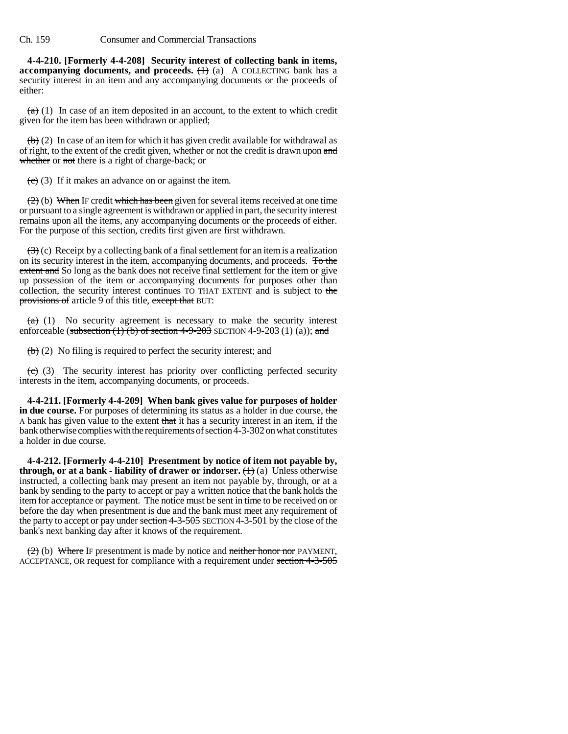**4-4-210. [Formerly 4-4-208] Security interest of collecting bank in items, accompanying documents, and proceeds.**  $\left(\frac{1}{1}\right)$  (a) A COLLECTING bank has a security interest in an item and any accompanying documents or the proceeds of either:

 $(a)$  (1) In case of an item deposited in an account, to the extent to which credit given for the item has been withdrawn or applied;

 $\left(\frac{b}{b}\right)$  (2) In case of an item for which it has given credit available for withdrawal as of right, to the extent of the credit given, whether or not the credit is drawn upon and whether or not there is a right of charge-back; or

 $(c)$  (3) If it makes an advance on or against the item.

 $(2)$  (b) When IF credit which has been given for several items received at one time or pursuant to a single agreement is withdrawn or applied in part, the security interest remains upon all the items, any accompanying documents or the proceeds of either. For the purpose of this section, credits first given are first withdrawn.

 $\left(\frac{1}{2}\right)$  (c) Receipt by a collecting bank of a final settlement for an item is a realization on its security interest in the item, accompanying documents, and proceeds. To the extent and So long as the bank does not receive final settlement for the item or give up possession of the item or accompanying documents for purposes other than collection, the security interest continues TO THAT EXTENT and is subject to the provisions of article 9 of this title, except that BUT:

 $(a)$  (1) No security agreement is necessary to make the security interest enforceable (subsection  $(1)$  (b) of section 4-9-203 SECTION 4-9-203 (1) (a)); and

 $(b)$  (2) No filing is required to perfect the security interest; and

 $(e)$  (3) The security interest has priority over conflicting perfected security interests in the item, accompanying documents, or proceeds.

**4-4-211. [Formerly 4-4-209] When bank gives value for purposes of holder in due course.** For purposes of determining its status as a holder in due course, the A bank has given value to the extent that it has a security interest in an item, if the bank otherwise complies with the requirements of section 4-3-302 on what constitutes a holder in due course.

**4-4-212. [Formerly 4-4-210] Presentment by notice of item not payable by, through, or at a bank - liability of drawer or indorser.**  $(1)$  (a) Unless otherwise instructed, a collecting bank may present an item not payable by, through, or at a bank by sending to the party to accept or pay a written notice that the bank holds the item for acceptance or payment. The notice must be sent in time to be received on or before the day when presentment is due and the bank must meet any requirement of the party to accept or pay under section  $4-3-505$  SECTION  $4-3-501$  by the close of the bank's next banking day after it knows of the requirement.

 $(2)$  (b) Where IF presentment is made by notice and neither honor nor PAYMENT, ACCEPTANCE, OR request for compliance with a requirement under section 4-3-505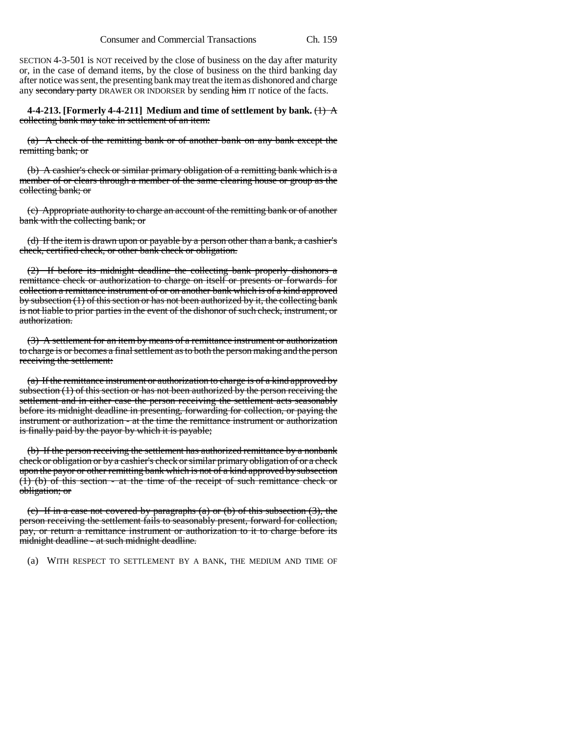SECTION 4-3-501 is NOT received by the close of business on the day after maturity or, in the case of demand items, by the close of business on the third banking day after notice was sent, the presenting bank may treat the item as dishonored and charge any secondary party DRAWER OR INDORSER by sending him IT notice of the facts.

**4-4-213. [Formerly 4-4-211] Medium and time of settlement by bank.**  $\left(\frac{1}{1}\right)$  A collecting bank may take in settlement of an item:

(a) A check of the remitting bank or of another bank on any bank except the remitting bank; or

(b) A cashier's check or similar primary obligation of a remitting bank which is a member of or clears through a member of the same clearing house or group as the collecting bank; or

(c) Appropriate authority to charge an account of the remitting bank or of another bank with the collecting bank; or

(d) If the item is drawn upon or payable by a person other than a bank, a cashier's check, certified check, or other bank check or obligation.

(2) If before its midnight deadline the collecting bank properly dishonors a remittance check or authorization to charge on itself or presents or forwards for collection a remittance instrument of or on another bank which is of a kind approved by subsection (1) of this section or has not been authorized by it, the collecting bank is not liable to prior parties in the event of the dishonor of such check, instrument, or authorization.

(3) A settlement for an item by means of a remittance instrument or authorization to charge is or becomes a final settlement as to both the person making and the person receiving the settlement:

(a) If the remittance instrument or authorization to charge is of a kind approved by subsection (1) of this section or has not been authorized by the person receiving the settlement and in either case the person receiving the settlement acts seasonably before its midnight deadline in presenting, forwarding for collection, or paying the instrument or authorization - at the time the remittance instrument or authorization is finally paid by the payor by which it is payable;

(b) If the person receiving the settlement has authorized remittance by a nonbank check or obligation or by a cashier's check or similar primary obligation of or a check upon the payor or other remitting bank which is not of a kind approved by subsection (1) (b) of this section - at the time of the receipt of such remittance check or obligation; or

(c) If in a case not covered by paragraphs (a) or (b) of this subsection (3), the person receiving the settlement fails to seasonably present, forward for collection, pay, or return a remittance instrument or authorization to it to charge before its midnight deadline - at such midnight deadline.

(a) WITH RESPECT TO SETTLEMENT BY A BANK, THE MEDIUM AND TIME OF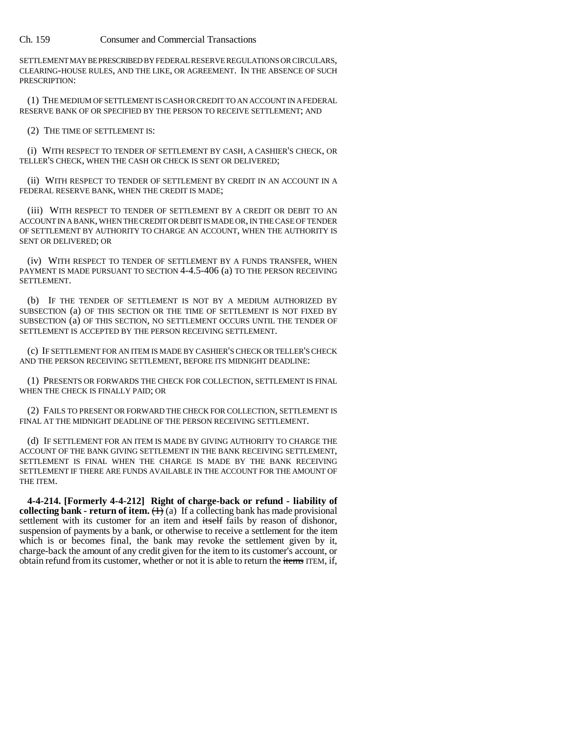SETTLEMENT MAY BE PRESCRIBED BY FEDERAL RESERVE REGULATIONS OR CIRCULARS, CLEARING-HOUSE RULES, AND THE LIKE, OR AGREEMENT. IN THE ABSENCE OF SUCH PRESCRIPTION:

(1) THE MEDIUM OF SETTLEMENT IS CASH OR CREDIT TO AN ACCOUNT IN A FEDERAL RESERVE BANK OF OR SPECIFIED BY THE PERSON TO RECEIVE SETTLEMENT; AND

(2) THE TIME OF SETTLEMENT IS:

(i) WITH RESPECT TO TENDER OF SETTLEMENT BY CASH, A CASHIER'S CHECK, OR TELLER'S CHECK, WHEN THE CASH OR CHECK IS SENT OR DELIVERED;

(ii) WITH RESPECT TO TENDER OF SETTLEMENT BY CREDIT IN AN ACCOUNT IN A FEDERAL RESERVE BANK, WHEN THE CREDIT IS MADE;

(iii) WITH RESPECT TO TENDER OF SETTLEMENT BY A CREDIT OR DEBIT TO AN ACCOUNT IN A BANK, WHEN THE CREDIT OR DEBIT IS MADE OR, IN THE CASE OF TENDER OF SETTLEMENT BY AUTHORITY TO CHARGE AN ACCOUNT, WHEN THE AUTHORITY IS SENT OR DELIVERED; OR

(iv) WITH RESPECT TO TENDER OF SETTLEMENT BY A FUNDS TRANSFER, WHEN PAYMENT IS MADE PURSUANT TO SECTION 4-4.5-406 (a) TO THE PERSON RECEIVING SETTLEMENT.

(b) IF THE TENDER OF SETTLEMENT IS NOT BY A MEDIUM AUTHORIZED BY SUBSECTION (a) OF THIS SECTION OR THE TIME OF SETTLEMENT IS NOT FIXED BY SUBSECTION (a) OF THIS SECTION, NO SETTLEMENT OCCURS UNTIL THE TENDER OF SETTLEMENT IS ACCEPTED BY THE PERSON RECEIVING SETTLEMENT.

(c) IF SETTLEMENT FOR AN ITEM IS MADE BY CASHIER'S CHECK OR TELLER'S CHECK AND THE PERSON RECEIVING SETTLEMENT, BEFORE ITS MIDNIGHT DEADLINE:

(1) PRESENTS OR FORWARDS THE CHECK FOR COLLECTION, SETTLEMENT IS FINAL WHEN THE CHECK IS FINALLY PAID; OR

(2) FAILS TO PRESENT OR FORWARD THE CHECK FOR COLLECTION, SETTLEMENT IS FINAL AT THE MIDNIGHT DEADLINE OF THE PERSON RECEIVING SETTLEMENT.

(d) IF SETTLEMENT FOR AN ITEM IS MADE BY GIVING AUTHORITY TO CHARGE THE ACCOUNT OF THE BANK GIVING SETTLEMENT IN THE BANK RECEIVING SETTLEMENT, SETTLEMENT IS FINAL WHEN THE CHARGE IS MADE BY THE BANK RECEIVING SETTLEMENT IF THERE ARE FUNDS AVAILABLE IN THE ACCOUNT FOR THE AMOUNT OF THE ITEM.

**4-4-214. [Formerly 4-4-212] Right of charge-back or refund - liability of collecting bank - return of item.**  $\leftrightarrow$  (a) If a collecting bank has made provisional settlement with its customer for an item and itself fails by reason of dishonor, suspension of payments by a bank, or otherwise to receive a settlement for the item which is or becomes final, the bank may revoke the settlement given by it, charge-back the amount of any credit given for the item to its customer's account, or obtain refund from its customer, whether or not it is able to return the items ITEM, if,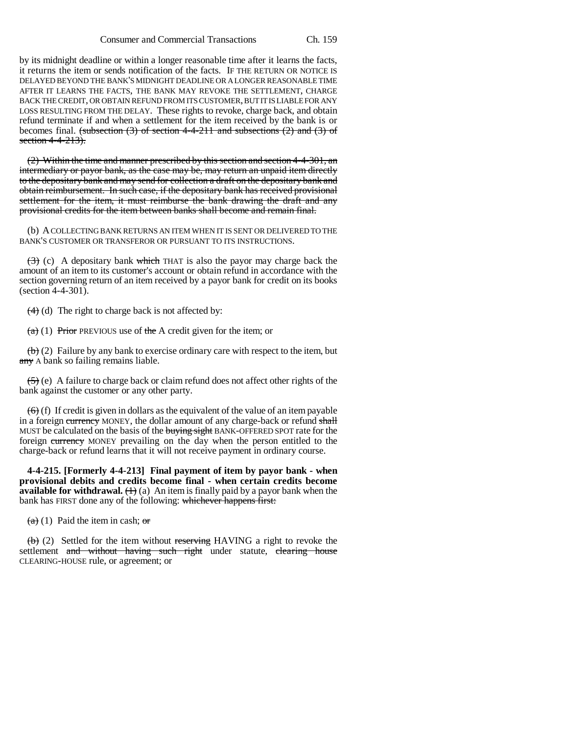by its midnight deadline or within a longer reasonable time after it learns the facts, it returns the item or sends notification of the facts. IF THE RETURN OR NOTICE IS DELAYED BEYOND THE BANK'S MIDNIGHT DEADLINE OR A LONGER REASONABLE TIME AFTER IT LEARNS THE FACTS, THE BANK MAY REVOKE THE SETTLEMENT, CHARGE BACK THE CREDIT, OR OBTAIN REFUND FROM ITS CUSTOMER, BUT IT IS LIABLE FOR ANY LOSS RESULTING FROM THE DELAY. These rights to revoke, charge back, and obtain refund terminate if and when a settlement for the item received by the bank is or becomes final. (subsection  $(3)$  of section 4-4-211 and subsections  $(2)$  and  $(3)$  of section 4-4-213).

(2) Within the time and manner prescribed by this section and section 4-4-301, an intermediary or payor bank, as the case may be, may return an unpaid item directly to the depositary bank and may send for collection a draft on the depositary bank and obtain reimbursement. In such case, if the depositary bank has received provisional settlement for the item, it must reimburse the bank drawing the draft and any provisional credits for the item between banks shall become and remain final.

(b) A COLLECTING BANK RETURNS AN ITEM WHEN IT IS SENT OR DELIVERED TO THE BANK'S CUSTOMER OR TRANSFEROR OR PURSUANT TO ITS INSTRUCTIONS.

 $(3)$  (c) A depositary bank which THAT is also the payor may charge back the amount of an item to its customer's account or obtain refund in accordance with the section governing return of an item received by a payor bank for credit on its books (section 4-4-301).

 $(4)$  (d) The right to charge back is not affected by:

 $(a)$  (1) Prior PREVIOUS use of the A credit given for the item; or

 $\left(\frac{b}{b}\right)$  (2) Failure by any bank to exercise ordinary care with respect to the item, but any A bank so failing remains liable.

 $(5)$  (e) A failure to charge back or claim refund does not affect other rights of the bank against the customer or any other party.

 $(6)$  (f) If credit is given in dollars as the equivalent of the value of an item payable in a foreign currency MONEY, the dollar amount of any charge-back or refund shall MUST be calculated on the basis of the buying sight BANK-OFFERED SPOT rate for the foreign currency MONEY prevailing on the day when the person entitled to the charge-back or refund learns that it will not receive payment in ordinary course.

**4-4-215. [Formerly 4-4-213] Final payment of item by payor bank - when provisional debits and credits become final - when certain credits become available for withdrawal.**  $(1)$  (a) An item is finally paid by a payor bank when the bank has FIRST done any of the following: whichever happens first:

 $(a)$  (1) Paid the item in cash; or

 $(b)$  (2) Settled for the item without reserving HAVING a right to revoke the settlement and without having such right under statute, clearing house CLEARING-HOUSE rule, or agreement; or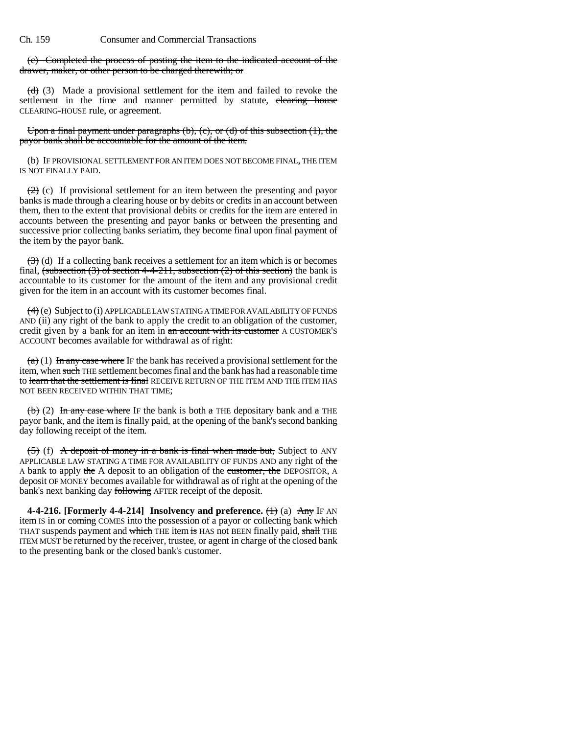(c) Completed the process of posting the item to the indicated account of the drawer, maker, or other person to be charged therewith; or

 $(d)$  (3) Made a provisional settlement for the item and failed to revoke the settlement in the time and manner permitted by statute, clearing house CLEARING-HOUSE rule, or agreement.

Upon a final payment under paragraphs (b), (c), or (d) of this subsection (1), the payor bank shall be accountable for the amount of the item.

(b) IF PROVISIONAL SETTLEMENT FOR AN ITEM DOES NOT BECOME FINAL, THE ITEM IS NOT FINALLY PAID.

 $(2)$  (c) If provisional settlement for an item between the presenting and payor banks is made through a clearing house or by debits or credits in an account between them, then to the extent that provisional debits or credits for the item are entered in accounts between the presenting and payor banks or between the presenting and successive prior collecting banks seriatim, they become final upon final payment of the item by the payor bank.

 $(3)$  (d) If a collecting bank receives a settlement for an item which is or becomes final,  $\left(\frac{\text{subsection}(3)}{\text{of section 4-4-211}}\right)$ , subsection (2) of this section) the bank is accountable to its customer for the amount of the item and any provisional credit given for the item in an account with its customer becomes final.

(4) (e) Subject to (i) APPLICABLE LAW STATING A TIME FOR AVAILABILITY OF FUNDS AND (ii) any right of the bank to apply the credit to an obligation of the customer, credit given by a bank for an item in an account with its customer A CUSTOMER'S ACCOUNT becomes available for withdrawal as of right:

 $(a)$  (1) In any case where IF the bank has received a provisional settlement for the item, when such THE settlement becomes final and the bank has had a reasonable time to learn that the settlement is final RECEIVE RETURN OF THE ITEM AND THE ITEM HAS NOT BEEN RECEIVED WITHIN THAT TIME;

(b) (2) In any case where IF the bank is both a THE depositary bank and a THE payor bank, and the item is finally paid, at the opening of the bank's second banking day following receipt of the item.

 $(5)$  (f) A deposit of money in a bank is final when made but, Subject to ANY APPLICABLE LAW STATING A TIME FOR AVAILABILITY OF FUNDS AND any right of the A bank to apply the A deposit to an obligation of the customer, the DEPOSITOR, A deposit OF MONEY becomes available for withdrawal as of right at the opening of the bank's next banking day following AFTER receipt of the deposit.

**4-4-216. [Formerly 4-4-214] Insolvency and preference.**  $(+)$  (a) Any IF AN item IS in or coming COMES into the possession of a payor or collecting bank which THAT suspends payment and which THE item is HAS not BEEN finally paid, shall THE ITEM MUST be returned by the receiver, trustee, or agent in charge of the closed bank to the presenting bank or the closed bank's customer.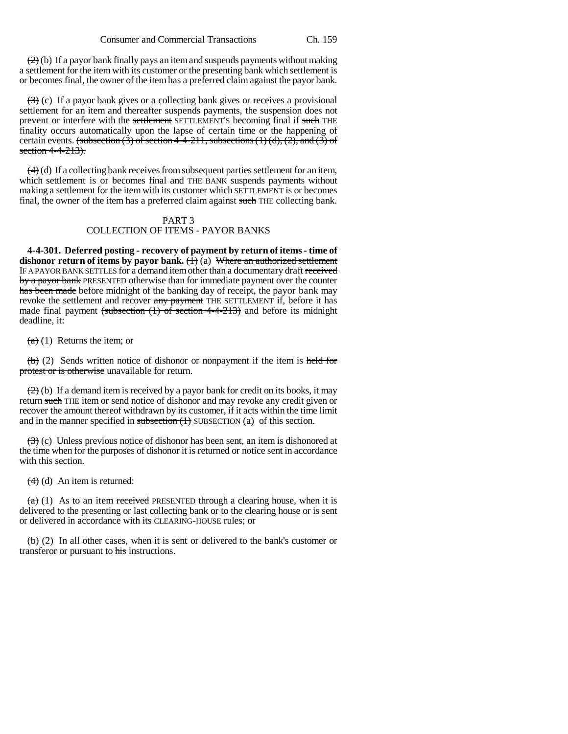$(2)$  (b) If a payor bank finally pays an item and suspends payments without making a settlement for the item with its customer or the presenting bank which settlement is or becomes final, the owner of the item has a preferred claim against the payor bank.

 $(3)$  (c) If a payor bank gives or a collecting bank gives or receives a provisional settlement for an item and thereafter suspends payments, the suspension does not prevent or interfere with the settlement SETTLEMENT'S becoming final if such THE finality occurs automatically upon the lapse of certain time or the happening of certain events. (subsection  $(\tilde{3})$  of section 4-4-211, subsections  $(1)$   $(d)$ ,  $(2)$ , and  $(\tilde{3})$  of section 4-4-213).

 $\left(\frac{4}{4}\right)$  (d) If a collecting bank receives from subsequent parties settlement for an item, which settlement is or becomes final and THE BANK suspends payments without making a settlement for the item with its customer which SETTLEMENT is or becomes final, the owner of the item has a preferred claim against such THE collecting bank.

## PART 3

## COLLECTION OF ITEMS - PAYOR BANKS

**4-4-301. Deferred posting - recovery of payment by return of items - time of** dishonor return of items by payor bank.  $\overline{(1)}$  (a) Where an authorized settlement IF A PAYOR BANK SETTLES for a demand item other than a documentary draft received by a payor bank PRESENTED otherwise than for immediate payment over the counter has been made before midnight of the banking day of receipt, the payor bank may revoke the settlement and recover any payment THE SETTLEMENT if, before it has made final payment  $(subsection (1)$  of section  $4-4-213$  and before its midnight deadline, it:

 $(a)$  (1) Returns the item; or

 $(b)$  (2) Sends written notice of dishonor or nonpayment if the item is held for protest or is otherwise unavailable for return.

 $(2)$  (b) If a demand item is received by a payor bank for credit on its books, it may return such THE item or send notice of dishonor and may revoke any credit given or recover the amount thereof withdrawn by its customer, if it acts within the time limit and in the manner specified in subsection  $(1)$  SUBSECTION  $(a)$  of this section.

 $\left(\frac{1}{2}\right)$  (c) Unless previous notice of dishonor has been sent, an item is dishonored at the time when for the purposes of dishonor it is returned or notice sent in accordance with this section.

 $(4)$  (d) An item is returned:

 $(a)$  (1) As to an item received PRESENTED through a clearing house, when it is delivered to the presenting or last collecting bank or to the clearing house or is sent or delivered in accordance with its CLEARING-HOUSE rules; or

 $(b)$  (2) In all other cases, when it is sent or delivered to the bank's customer or transferor or pursuant to his instructions.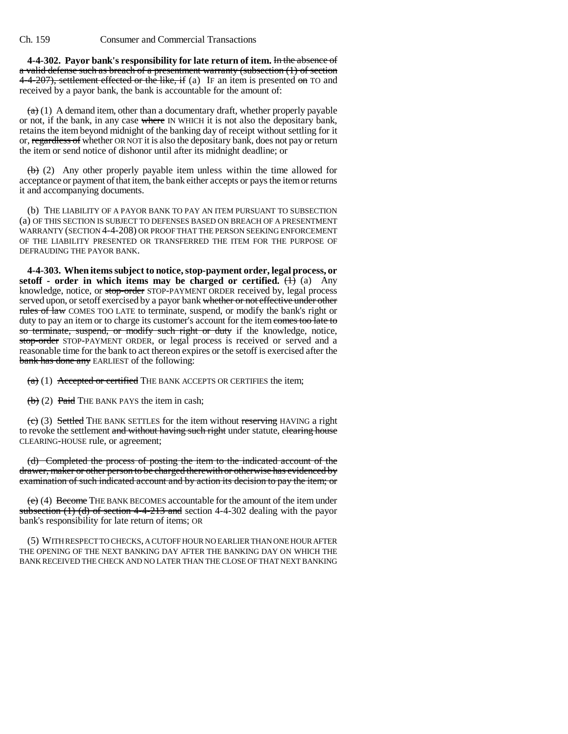**4-4-302. Payor bank's responsibility for late return of item.** In the absence of a valid defense such as breach of a presentment warranty (subsection (1) of section 4-4-207), settlement effected or the like, if (a) IF an item is presented on TO and received by a payor bank, the bank is accountable for the amount of:

 $(a)$  (1) A demand item, other than a documentary draft, whether properly payable or not, if the bank, in any case where IN WHICH it is not also the depositary bank, retains the item beyond midnight of the banking day of receipt without settling for it or, regardless of whether OR NOT it is also the depositary bank, does not pay or return the item or send notice of dishonor until after its midnight deadline; or

 $\leftrightarrow$  (2) Any other properly payable item unless within the time allowed for acceptance or payment of that item, the bank either accepts or pays the item or returns it and accompanying documents.

(b) THE LIABILITY OF A PAYOR BANK TO PAY AN ITEM PURSUANT TO SUBSECTION (a) OF THIS SECTION IS SUBJECT TO DEFENSES BASED ON BREACH OF A PRESENTMENT WARRANTY (SECTION 4-4-208) OR PROOF THAT THE PERSON SEEKING ENFORCEMENT OF THE LIABILITY PRESENTED OR TRANSFERRED THE ITEM FOR THE PURPOSE OF DEFRAUDING THE PAYOR BANK.

**4-4-303. When items subject to notice, stop-payment order, legal process, or setoff** - order in which items may be charged or certified.  $\left(\frac{1}{1}\right)$  (a) Any knowledge, notice, or stop-order STOP-PAYMENT ORDER received by, legal process served upon, or setoff exercised by a payor bank whether or not effective under other rules of law COMES TOO LATE to terminate, suspend, or modify the bank's right or duty to pay an item or to charge its customer's account for the item comes too late to so terminate, suspend, or modify such right or duty if the knowledge, notice, stop-order STOP-PAYMENT ORDER, or legal process is received or served and a reasonable time for the bank to act thereon expires or the setoff is exercised after the bank has done any EARLIEST of the following:

 $(a)$  (1) Accepted or certified THE BANK ACCEPTS OR CERTIFIES the item;

 $(b)$  (2) Paid THE BANK PAYS the item in cash;

 $(e)$  (3) Settled THE BANK SETTLES for the item without reserving HAVING a right to revoke the settlement and without having such right under statute, clearing house CLEARING-HOUSE rule, or agreement;

(d) Completed the process of posting the item to the indicated account of the drawer, maker or other person to be charged therewith or otherwise has evidenced by examination of such indicated account and by action its decision to pay the item; or

 $(e)$  (4) Become THE BANK BECOMES accountable for the amount of the item under subsection  $(1)$  (d) of section 4-4-213 and section 4-4-302 dealing with the payor bank's responsibility for late return of items; OR

(5) WITH RESPECT TO CHECKS, A CUTOFF HOUR NO EARLIER THAN ONE HOUR AFTER THE OPENING OF THE NEXT BANKING DAY AFTER THE BANKING DAY ON WHICH THE BANK RECEIVED THE CHECK AND NO LATER THAN THE CLOSE OF THAT NEXT BANKING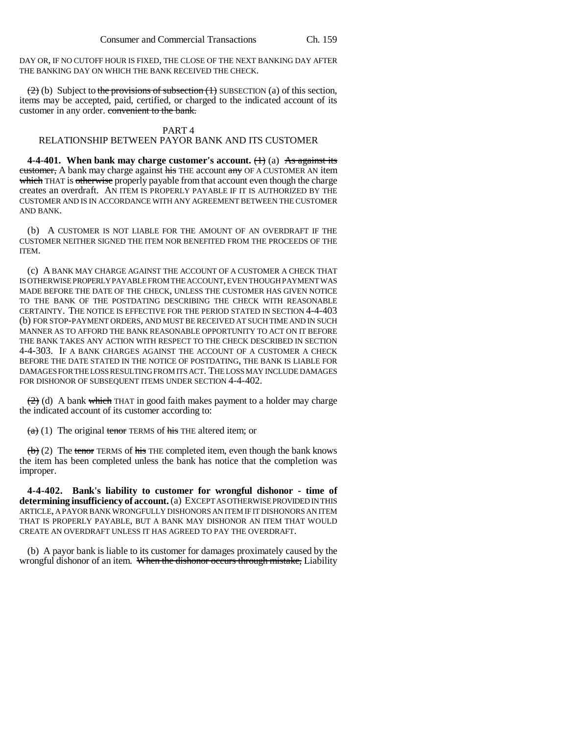DAY OR, IF NO CUTOFF HOUR IS FIXED, THE CLOSE OF THE NEXT BANKING DAY AFTER THE BANKING DAY ON WHICH THE BANK RECEIVED THE CHECK.

 $(2)$  (b) Subject to the provisions of subsection  $(1)$  SUBSECTION (a) of this section, items may be accepted, paid, certified, or charged to the indicated account of its customer in any order. convenient to the bank.

#### PART 4

#### RELATIONSHIP BETWEEN PAYOR BANK AND ITS CUSTOMER

**4-4-401.** When bank may charge customer's account.  $\leftrightarrow$  (a) As against its customer, A bank may charge against his THE account any OF A CUSTOMER AN item which THAT is otherwise properly payable from that account even though the charge creates an overdraft. AN ITEM IS PROPERLY PAYABLE IF IT IS AUTHORIZED BY THE CUSTOMER AND IS IN ACCORDANCE WITH ANY AGREEMENT BETWEEN THE CUSTOMER AND BANK.

(b) A CUSTOMER IS NOT LIABLE FOR THE AMOUNT OF AN OVERDRAFT IF THE CUSTOMER NEITHER SIGNED THE ITEM NOR BENEFITED FROM THE PROCEEDS OF THE ITEM.

(c) A BANK MAY CHARGE AGAINST THE ACCOUNT OF A CUSTOMER A CHECK THAT IS OTHERWISE PROPERLY PAYABLE FROM THE ACCOUNT, EVEN THOUGH PAYMENT WAS MADE BEFORE THE DATE OF THE CHECK, UNLESS THE CUSTOMER HAS GIVEN NOTICE TO THE BANK OF THE POSTDATING DESCRIBING THE CHECK WITH REASONABLE CERTAINTY. THE NOTICE IS EFFECTIVE FOR THE PERIOD STATED IN SECTION 4-4-403 (b) FOR STOP-PAYMENT ORDERS, AND MUST BE RECEIVED AT SUCH TIME AND IN SUCH MANNER AS TO AFFORD THE BANK REASONABLE OPPORTUNITY TO ACT ON IT BEFORE THE BANK TAKES ANY ACTION WITH RESPECT TO THE CHECK DESCRIBED IN SECTION 4-4-303. IF A BANK CHARGES AGAINST THE ACCOUNT OF A CUSTOMER A CHECK BEFORE THE DATE STATED IN THE NOTICE OF POSTDATING, THE BANK IS LIABLE FOR DAMAGES FOR THE LOSS RESULTING FROM ITS ACT. THE LOSS MAY INCLUDE DAMAGES FOR DISHONOR OF SUBSEQUENT ITEMS UNDER SECTION 4-4-402.

 $(2)$  (d) A bank which THAT in good faith makes payment to a holder may charge the indicated account of its customer according to:

 $(a)$  (1) The original tenor TERMS of his THE altered item; or

 $\left(\frac{b}{b}\right)$  (2) The tenor TERMS of his THE completed item, even though the bank knows the item has been completed unless the bank has notice that the completion was improper.

**4-4-402. Bank's liability to customer for wrongful dishonor - time of determining insufficiency of account.** (a) EXCEPT AS OTHERWISE PROVIDED IN THIS ARTICLE, A PAYOR BANK WRONGFULLY DISHONORS AN ITEM IF IT DISHONORS AN ITEM THAT IS PROPERLY PAYABLE, BUT A BANK MAY DISHONOR AN ITEM THAT WOULD CREATE AN OVERDRAFT UNLESS IT HAS AGREED TO PAY THE OVERDRAFT.

(b) A payor bank is liable to its customer for damages proximately caused by the wrongful dishonor of an item. When the dishonor occurs through mistake, Liability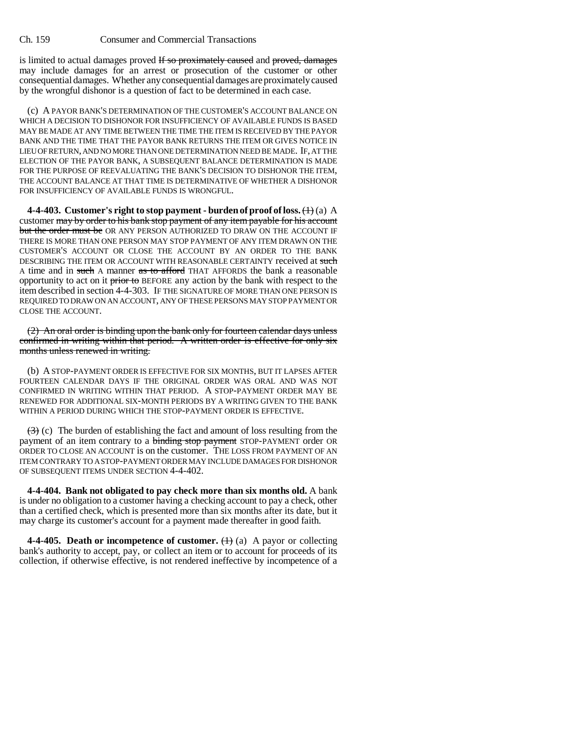is limited to actual damages proved If so proximately caused and proved, damages may include damages for an arrest or prosecution of the customer or other consequential damages. Whether any consequential damages are proximately caused by the wrongful dishonor is a question of fact to be determined in each case.

(c) A PAYOR BANK'S DETERMINATION OF THE CUSTOMER'S ACCOUNT BALANCE ON WHICH A DECISION TO DISHONOR FOR INSUFFICIENCY OF AVAILABLE FUNDS IS BASED MAY BE MADE AT ANY TIME BETWEEN THE TIME THE ITEM IS RECEIVED BY THE PAYOR BANK AND THE TIME THAT THE PAYOR BANK RETURNS THE ITEM OR GIVES NOTICE IN LIEU OF RETURN, AND NO MORE THAN ONE DETERMINATION NEED BE MADE. IF, AT THE ELECTION OF THE PAYOR BANK, A SUBSEQUENT BALANCE DETERMINATION IS MADE FOR THE PURPOSE OF REEVALUATING THE BANK'S DECISION TO DISHONOR THE ITEM, THE ACCOUNT BALANCE AT THAT TIME IS DETERMINATIVE OF WHETHER A DISHONOR FOR INSUFFICIENCY OF AVAILABLE FUNDS IS WRONGFUL.

**4-4-403.** Customer's right to stop payment - burden of proof of loss.  $\left(\frac{1}{1}\right)$  (a) A customer may by order to his bank stop payment of any item payable for his account but the order must be OR ANY PERSON AUTHORIZED TO DRAW ON THE ACCOUNT IF THERE IS MORE THAN ONE PERSON MAY STOP PAYMENT OF ANY ITEM DRAWN ON THE CUSTOMER'S ACCOUNT OR CLOSE THE ACCOUNT BY AN ORDER TO THE BANK DESCRIBING THE ITEM OR ACCOUNT WITH REASONABLE CERTAINTY received at such A time and in such A manner as to afford THAT AFFORDS the bank a reasonable opportunity to act on it prior to BEFORE any action by the bank with respect to the item described in section 4-4-303. IF THE SIGNATURE OF MORE THAN ONE PERSON IS REQUIRED TO DRAW ON AN ACCOUNT, ANY OF THESE PERSONS MAY STOP PAYMENT OR CLOSE THE ACCOUNT.

(2) An oral order is binding upon the bank only for fourteen calendar days unless confirmed in writing within that period. A written order is effective for only six months unless renewed in writing.

(b) A STOP-PAYMENT ORDER IS EFFECTIVE FOR SIX MONTHS, BUT IT LAPSES AFTER FOURTEEN CALENDAR DAYS IF THE ORIGINAL ORDER WAS ORAL AND WAS NOT CONFIRMED IN WRITING WITHIN THAT PERIOD. A STOP-PAYMENT ORDER MAY BE RENEWED FOR ADDITIONAL SIX-MONTH PERIODS BY A WRITING GIVEN TO THE BANK WITHIN A PERIOD DURING WHICH THE STOP-PAYMENT ORDER IS EFFECTIVE.

 $(3)$  (c) The burden of establishing the fact and amount of loss resulting from the payment of an item contrary to a binding stop payment STOP-PAYMENT order OR ORDER TO CLOSE AN ACCOUNT is on the customer. THE LOSS FROM PAYMENT OF AN ITEM CONTRARY TO A STOP-PAYMENT ORDER MAY INCLUDE DAMAGES FOR DISHONOR OF SUBSEQUENT ITEMS UNDER SECTION 4-4-402.

**4-4-404. Bank not obligated to pay check more than six months old.** A bank is under no obligation to a customer having a checking account to pay a check, other than a certified check, which is presented more than six months after its date, but it may charge its customer's account for a payment made thereafter in good faith.

**4-4-405. Death or incompetence of customer.** (1) (a) A payor or collecting bank's authority to accept, pay, or collect an item or to account for proceeds of its collection, if otherwise effective, is not rendered ineffective by incompetence of a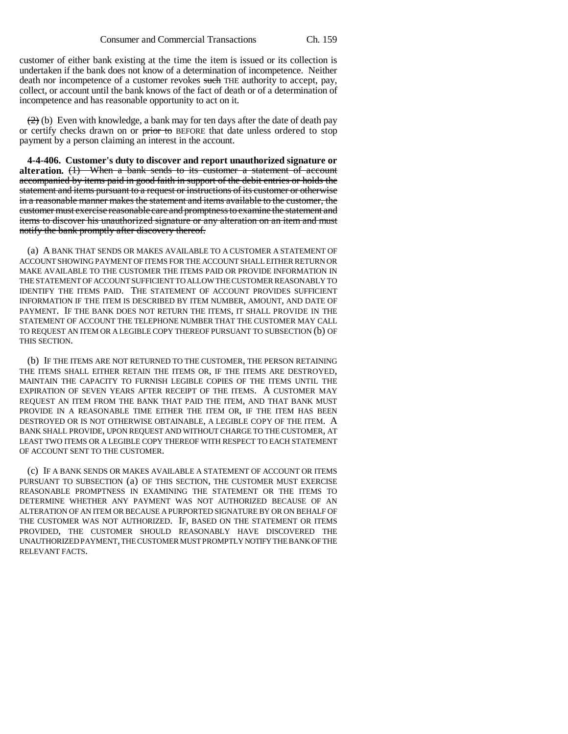customer of either bank existing at the time the item is issued or its collection is undertaken if the bank does not know of a determination of incompetence. Neither death nor incompetence of a customer revokes such THE authority to accept, pay, collect, or account until the bank knows of the fact of death or of a determination of incompetence and has reasonable opportunity to act on it.

 $(2)$  (b) Even with knowledge, a bank may for ten days after the date of death pay or certify checks drawn on or prior to BEFORE that date unless ordered to stop payment by a person claiming an interest in the account.

**4-4-406. Customer's duty to discover and report unauthorized signature or alteration.** (1) When a bank sends to its customer a statement of account accompanied by items paid in good faith in support of the debit entries or holds the statement and items pursuant to a request or instructions of its customer or otherwise in a reasonable manner makes the statement and items available to the customer, the customer must exercise reasonable care and promptness to examine the statement and items to discover his unauthorized signature or any alteration on an item and must notify the bank promptly after discovery thereof.

(a) A BANK THAT SENDS OR MAKES AVAILABLE TO A CUSTOMER A STATEMENT OF ACCOUNT SHOWING PAYMENT OF ITEMS FOR THE ACCOUNT SHALL EITHER RETURN OR MAKE AVAILABLE TO THE CUSTOMER THE ITEMS PAID OR PROVIDE INFORMATION IN THE STATEMENT OF ACCOUNT SUFFICIENT TO ALLOW THE CUSTOMER REASONABLY TO IDENTIFY THE ITEMS PAID. THE STATEMENT OF ACCOUNT PROVIDES SUFFICIENT INFORMATION IF THE ITEM IS DESCRIBED BY ITEM NUMBER, AMOUNT, AND DATE OF PAYMENT. IF THE BANK DOES NOT RETURN THE ITEMS, IT SHALL PROVIDE IN THE STATEMENT OF ACCOUNT THE TELEPHONE NUMBER THAT THE CUSTOMER MAY CALL TO REQUEST AN ITEM OR A LEGIBLE COPY THEREOF PURSUANT TO SUBSECTION (b) OF THIS SECTION.

(b) IF THE ITEMS ARE NOT RETURNED TO THE CUSTOMER, THE PERSON RETAINING THE ITEMS SHALL EITHER RETAIN THE ITEMS OR, IF THE ITEMS ARE DESTROYED, MAINTAIN THE CAPACITY TO FURNISH LEGIBLE COPIES OF THE ITEMS UNTIL THE EXPIRATION OF SEVEN YEARS AFTER RECEIPT OF THE ITEMS. A CUSTOMER MAY REQUEST AN ITEM FROM THE BANK THAT PAID THE ITEM, AND THAT BANK MUST PROVIDE IN A REASONABLE TIME EITHER THE ITEM OR, IF THE ITEM HAS BEEN DESTROYED OR IS NOT OTHERWISE OBTAINABLE, A LEGIBLE COPY OF THE ITEM. A BANK SHALL PROVIDE, UPON REQUEST AND WITHOUT CHARGE TO THE CUSTOMER, AT LEAST TWO ITEMS OR A LEGIBLE COPY THEREOF WITH RESPECT TO EACH STATEMENT OF ACCOUNT SENT TO THE CUSTOMER.

(c) IF A BANK SENDS OR MAKES AVAILABLE A STATEMENT OF ACCOUNT OR ITEMS PURSUANT TO SUBSECTION (a) OF THIS SECTION, THE CUSTOMER MUST EXERCISE REASONABLE PROMPTNESS IN EXAMINING THE STATEMENT OR THE ITEMS TO DETERMINE WHETHER ANY PAYMENT WAS NOT AUTHORIZED BECAUSE OF AN ALTERATION OF AN ITEM OR BECAUSE A PURPORTED SIGNATURE BY OR ON BEHALF OF THE CUSTOMER WAS NOT AUTHORIZED. IF, BASED ON THE STATEMENT OR ITEMS PROVIDED, THE CUSTOMER SHOULD REASONABLY HAVE DISCOVERED THE UNAUTHORIZED PAYMENT, THE CUSTOMER MUST PROMPTLY NOTIFY THE BANK OF THE RELEVANT FACTS.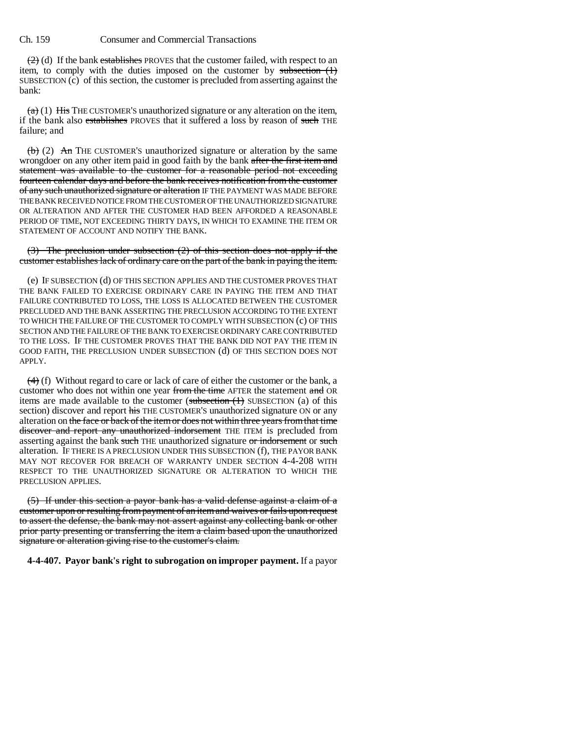$(2)$  (d) If the bank establishes PROVES that the customer failed, with respect to an item, to comply with the duties imposed on the customer by subsection  $(1)$ SUBSECTION  $(c)$  of this section, the customer is precluded from asserting against the bank:

 $(a)$  (1) His THE CUSTOMER's unauthorized signature or any alteration on the item, if the bank also establishes PROVES that it suffered a loss by reason of such THE failure; and

 $(b)$  (2) An THE CUSTOMER's unauthorized signature or alteration by the same wrongdoer on any other item paid in good faith by the bank after the first item and statement was available to the customer for a reasonable period not exceeding fourteen calendar days and before the bank receives notification from the customer of any such unauthorized signature or alteration IF THE PAYMENT WAS MADE BEFORE THE BANK RECEIVED NOTICE FROM THE CUSTOMER OF THE UNAUTHORIZED SIGNATURE OR ALTERATION AND AFTER THE CUSTOMER HAD BEEN AFFORDED A REASONABLE PERIOD OF TIME, NOT EXCEEDING THIRTY DAYS, IN WHICH TO EXAMINE THE ITEM OR STATEMENT OF ACCOUNT AND NOTIFY THE BANK.

#### (3) The preclusion under subsection (2) of this section does not apply if the customer establishes lack of ordinary care on the part of the bank in paying the item.

(e) IF SUBSECTION (d) OF THIS SECTION APPLIES AND THE CUSTOMER PROVES THAT THE BANK FAILED TO EXERCISE ORDINARY CARE IN PAYING THE ITEM AND THAT FAILURE CONTRIBUTED TO LOSS, THE LOSS IS ALLOCATED BETWEEN THE CUSTOMER PRECLUDED AND THE BANK ASSERTING THE PRECLUSION ACCORDING TO THE EXTENT TO WHICH THE FAILURE OF THE CUSTOMER TO COMPLY WITH SUBSECTION (c) OF THIS SECTION AND THE FAILURE OF THE BANK TO EXERCISE ORDINARY CARE CONTRIBUTED TO THE LOSS. IF THE CUSTOMER PROVES THAT THE BANK DID NOT PAY THE ITEM IN GOOD FAITH, THE PRECLUSION UNDER SUBSECTION (d) OF THIS SECTION DOES NOT APPLY.

 $(4)$  (f) Without regard to care or lack of care of either the customer or the bank, a customer who does not within one year from the time AFTER the statement and OR items are made available to the customer  $(\frac{\text{subsection}(1)}{\text{subsection}(1)})$  SUBSECTION (a) of this section) discover and report his THE CUSTOMER'S unauthorized signature ON or any alteration on the face or back of the item or does not within three years from that time discover and report any unauthorized indorsement THE ITEM is precluded from asserting against the bank such THE unauthorized signature or indorsement or such alteration. IF THERE IS A PRECLUSION UNDER THIS SUBSECTION (f), THE PAYOR BANK MAY NOT RECOVER FOR BREACH OF WARRANTY UNDER SECTION 4-4-208 WITH RESPECT TO THE UNAUTHORIZED SIGNATURE OR ALTERATION TO WHICH THE PRECLUSION APPLIES.

(5) If under this section a payor bank has a valid defense against a claim of a customer upon or resulting from payment of an item and waives or fails upon request to assert the defense, the bank may not assert against any collecting bank or other prior party presenting or transferring the item a claim based upon the unauthorized signature or alteration giving rise to the customer's claim.

**4-4-407. Payor bank's right to subrogation on improper payment.** If a payor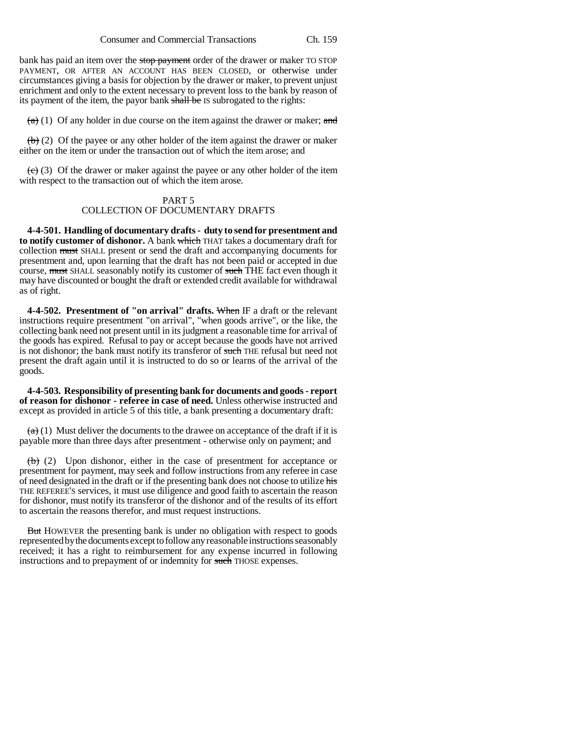bank has paid an item over the stop payment order of the drawer or maker TO STOP PAYMENT, OR AFTER AN ACCOUNT HAS BEEN CLOSED, or otherwise under circumstances giving a basis for objection by the drawer or maker, to prevent unjust enrichment and only to the extent necessary to prevent loss to the bank by reason of its payment of the item, the payor bank shall be IS subrogated to the rights:

 $(a)$  (1) Of any holder in due course on the item against the drawer or maker; and

 $\left(\frac{b}{b}\right)$  (2) Of the payee or any other holder of the item against the drawer or maker either on the item or under the transaction out of which the item arose; and

 $(e)$  (3) Of the drawer or maker against the payee or any other holder of the item with respect to the transaction out of which the item arose.

#### PART 5 COLLECTION OF DOCUMENTARY DRAFTS

**4-4-501. Handling of documentary drafts - duty to send for presentment and to notify customer of dishonor.** A bank which THAT takes a documentary draft for collection must SHALL present or send the draft and accompanying documents for presentment and, upon learning that the draft has not been paid or accepted in due course, must SHALL seasonably notify its customer of such THE fact even though it may have discounted or bought the draft or extended credit available for withdrawal as of right.

**4-4-502. Presentment of "on arrival" drafts.** When IF a draft or the relevant instructions require presentment "on arrival", "when goods arrive", or the like, the collecting bank need not present until in its judgment a reasonable time for arrival of the goods has expired. Refusal to pay or accept because the goods have not arrived is not dishonor; the bank must notify its transferor of such THE refusal but need not present the draft again until it is instructed to do so or learns of the arrival of the goods.

**4-4-503. Responsibility of presenting bank for documents and goods - report of reason for dishonor - referee in case of need.** Unless otherwise instructed and except as provided in article 5 of this title, a bank presenting a documentary draft:

 $(a)$  (1) Must deliver the documents to the drawee on acceptance of the draft if it is payable more than three days after presentment - otherwise only on payment; and

 $(b)$  (2) Upon dishonor, either in the case of presentment for acceptance or presentment for payment, may seek and follow instructions from any referee in case of need designated in the draft or if the presenting bank does not choose to utilize his THE REFEREE'S services, it must use diligence and good faith to ascertain the reason for dishonor, must notify its transferor of the dishonor and of the results of its effort to ascertain the reasons therefor, and must request instructions.

But HOWEVER the presenting bank is under no obligation with respect to goods represented by the documents except to follow any reasonable instructions seasonably received; it has a right to reimbursement for any expense incurred in following instructions and to prepayment of or indemnity for such THOSE expenses.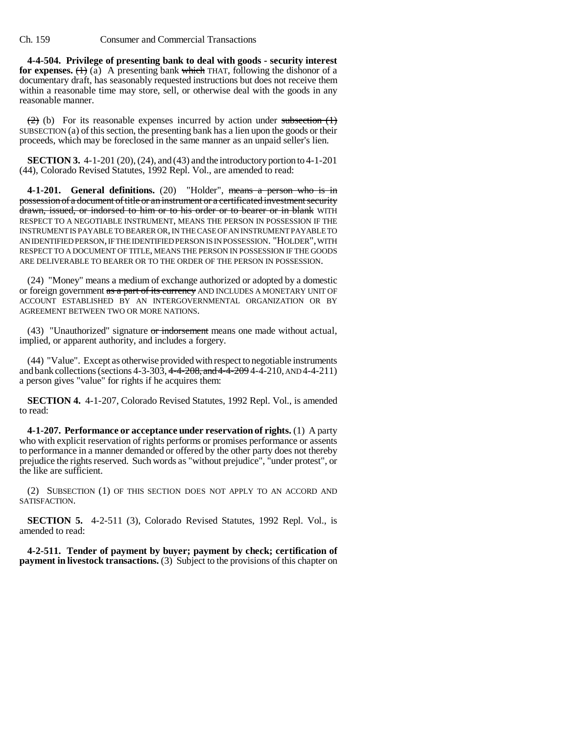**4-4-504. Privilege of presenting bank to deal with goods - security interest for expenses.**  $(1)(a)$  A presenting bank which THAT, following the dishonor of a documentary draft, has seasonably requested instructions but does not receive them within a reasonable time may store, sell, or otherwise deal with the goods in any reasonable manner.

 $(2)$  (b) For its reasonable expenses incurred by action under subsection  $(1)$ SUBSECTION (a) of this section, the presenting bank has a lien upon the goods or their proceeds, which may be foreclosed in the same manner as an unpaid seller's lien.

**SECTION 3.** 4-1-201 (20), (24), and (43) and the introductory portion to 4-1-201 (44), Colorado Revised Statutes, 1992 Repl. Vol., are amended to read:

**4-1-201. General definitions.** (20) "Holder", means a person who is in possession of a document of title or an instrument or a certificated investment security drawn, issued, or indorsed to him or to his order or to bearer or in blank WITH RESPECT TO A NEGOTIABLE INSTRUMENT, MEANS THE PERSON IN POSSESSION IF THE INSTRUMENT IS PAYABLE TO BEARER OR, IN THE CASE OF AN INSTRUMENT PAYABLE TO AN IDENTIFIED PERSON, IF THE IDENTIFIED PERSON IS IN POSSESSION. "HOLDER", WITH RESPECT TO A DOCUMENT OF TITLE, MEANS THE PERSON IN POSSESSION IF THE GOODS ARE DELIVERABLE TO BEARER OR TO THE ORDER OF THE PERSON IN POSSESSION.

(24) "Money" means a medium of exchange authorized or adopted by a domestic or foreign government as a part of its currency AND INCLUDES A MONETARY UNIT OF ACCOUNT ESTABLISHED BY AN INTERGOVERNMENTAL ORGANIZATION OR BY AGREEMENT BETWEEN TWO OR MORE NATIONS.

(43) "Unauthorized" signature or indorsement means one made without actual, implied, or apparent authority, and includes a forgery.

(44) "Value". Except as otherwise provided with respect to negotiable instruments and bank collections (sections 4-3-303, 4-4-208, and 4-4-209 4-4-210, AND 4-4-211) a person gives "value" for rights if he acquires them:

**SECTION 4.** 4-1-207, Colorado Revised Statutes, 1992 Repl. Vol., is amended to read:

**4-1-207. Performance or acceptance under reservation of rights.** (1) A party who with explicit reservation of rights performs or promises performance or assents to performance in a manner demanded or offered by the other party does not thereby prejudice the rights reserved. Such words as "without prejudice", "under protest", or the like are sufficient.

(2) SUBSECTION (1) OF THIS SECTION DOES NOT APPLY TO AN ACCORD AND SATISFACTION.

**SECTION 5.** 4-2-511 (3), Colorado Revised Statutes, 1992 Repl. Vol., is amended to read:

**4-2-511. Tender of payment by buyer; payment by check; certification of payment in livestock transactions.** (3) Subject to the provisions of this chapter on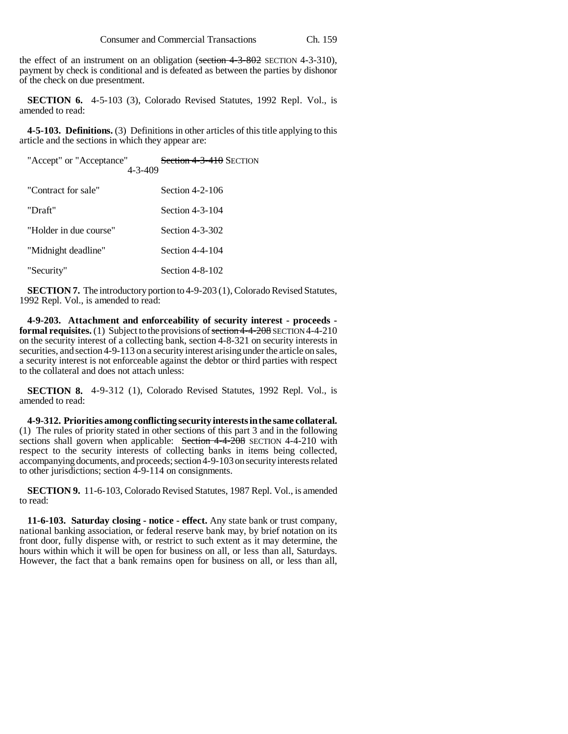the effect of an instrument on an obligation (section  $4-3-802$  SECTION 4-3-310), payment by check is conditional and is defeated as between the parties by dishonor of the check on due presentment.

**SECTION 6.** 4-5-103 (3), Colorado Revised Statutes, 1992 Repl. Vol., is amended to read:

**4-5-103. Definitions.** (3) Definitions in other articles of this title applying to this article and the sections in which they appear are:

| "Accept" or "Acceptance"<br>$4 - 3 - 409$ | Section 4-3-410 SECTION |
|-------------------------------------------|-------------------------|
| "Contract for sale"                       | Section 4-2-106         |
| "Draft"                                   | Section 4-3-104         |
| "Holder in due course"                    | Section 4-3-302         |
| "Midnight deadline"                       | Section 4-4-104         |
| "Security"                                | Section 4-8-102         |

**SECTION 7.** The introductory portion to 4-9-203 (1), Colorado Revised Statutes, 1992 Repl. Vol., is amended to read:

**4-9-203. Attachment and enforceability of security interest - proceeds formal requisites.** (1) Subject to the provisions of section  $\frac{4-4-208}{1}$  SECTION 4-4-210 on the security interest of a collecting bank, section 4-8-321 on security interests in securities, and section 4-9-113 on a security interest arising under the article on sales, a security interest is not enforceable against the debtor or third parties with respect to the collateral and does not attach unless:

**SECTION 8.** 4-9-312 (1), Colorado Revised Statutes, 1992 Repl. Vol., is amended to read:

**4-9-312. Priorities among conflicting security interests in the same collateral.** (1) The rules of priority stated in other sections of this part 3 and in the following sections shall govern when applicable: Section 4-4-208 SECTION 4-4-210 with respect to the security interests of collecting banks in items being collected, accompanying documents, and proceeds; section 4-9-103 on security interests related to other jurisdictions; section 4-9-114 on consignments.

**SECTION 9.** 11-6-103, Colorado Revised Statutes, 1987 Repl. Vol., is amended to read:

**11-6-103. Saturday closing - notice - effect.** Any state bank or trust company, national banking association, or federal reserve bank may, by brief notation on its front door, fully dispense with, or restrict to such extent as it may determine, the hours within which it will be open for business on all, or less than all, Saturdays. However, the fact that a bank remains open for business on all, or less than all,